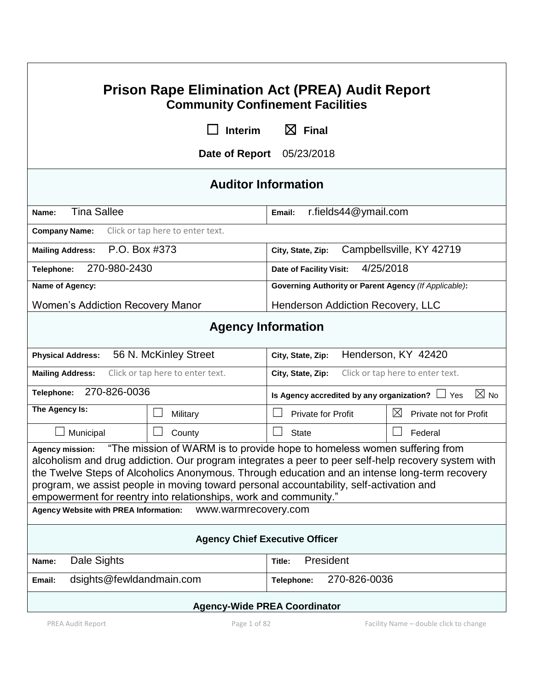| <b>Prison Rape Elimination Act (PREA) Audit Report</b><br><b>Community Confinement Facilities</b>                                                                                                                                                                                                                                                                                                                                                                         |                                  |                                                                        |                                       |  |  |  |
|---------------------------------------------------------------------------------------------------------------------------------------------------------------------------------------------------------------------------------------------------------------------------------------------------------------------------------------------------------------------------------------------------------------------------------------------------------------------------|----------------------------------|------------------------------------------------------------------------|---------------------------------------|--|--|--|
| $\boxtimes$ Final<br><b>Interim</b>                                                                                                                                                                                                                                                                                                                                                                                                                                       |                                  |                                                                        |                                       |  |  |  |
| Date of Report<br>05/23/2018                                                                                                                                                                                                                                                                                                                                                                                                                                              |                                  |                                                                        |                                       |  |  |  |
| <b>Auditor Information</b>                                                                                                                                                                                                                                                                                                                                                                                                                                                |                                  |                                                                        |                                       |  |  |  |
| <b>Tina Sallee</b><br>Name:                                                                                                                                                                                                                                                                                                                                                                                                                                               |                                  | r.fields44@ymail.com<br>Email:                                         |                                       |  |  |  |
| <b>Company Name:</b>                                                                                                                                                                                                                                                                                                                                                                                                                                                      | Click or tap here to enter text. |                                                                        |                                       |  |  |  |
| P.O. Box #373<br><b>Mailing Address:</b>                                                                                                                                                                                                                                                                                                                                                                                                                                  |                                  | Campbellsville, KY 42719<br>City, State, Zip:                          |                                       |  |  |  |
| 270-980-2430<br>Telephone:                                                                                                                                                                                                                                                                                                                                                                                                                                                |                                  | 4/25/2018<br>Date of Facility Visit:                                   |                                       |  |  |  |
| Name of Agency:                                                                                                                                                                                                                                                                                                                                                                                                                                                           |                                  | <b>Governing Authority or Parent Agency (If Applicable):</b>           |                                       |  |  |  |
| <b>Women's Addiction Recovery Manor</b>                                                                                                                                                                                                                                                                                                                                                                                                                                   |                                  | Henderson Addiction Recovery, LLC                                      |                                       |  |  |  |
| <b>Agency Information</b>                                                                                                                                                                                                                                                                                                                                                                                                                                                 |                                  |                                                                        |                                       |  |  |  |
| 56 N. McKinley Street<br><b>Physical Address:</b>                                                                                                                                                                                                                                                                                                                                                                                                                         |                                  | Henderson, KY 42420<br>City, State, Zip:                               |                                       |  |  |  |
| Click or tap here to enter text.<br><b>Mailing Address:</b>                                                                                                                                                                                                                                                                                                                                                                                                               |                                  | Click or tap here to enter text.<br>City, State, Zip:                  |                                       |  |  |  |
| 270-826-0036<br>Telephone:                                                                                                                                                                                                                                                                                                                                                                                                                                                |                                  | $\boxtimes$ No<br>Is Agency accredited by any organization? $\Box$ Yes |                                       |  |  |  |
| The Agency Is:                                                                                                                                                                                                                                                                                                                                                                                                                                                            | Military                         | <b>Private for Profit</b>                                              | $\boxtimes$<br>Private not for Profit |  |  |  |
| Municipal                                                                                                                                                                                                                                                                                                                                                                                                                                                                 | $\mathbf{I}$<br>County           | <b>State</b>                                                           | Federal                               |  |  |  |
| "The mission of WARM is to provide hope to homeless women suffering from<br><b>Agency mission:</b><br>alcoholism and drug addiction. Our program integrates a peer to peer self-help recovery system with<br>the Twelve Steps of Alcoholics Anonymous. Through education and an intense long-term recovery<br>program, we assist people in moving toward personal accountability, self-activation and<br>empowerment for reentry into relationships, work and community." |                                  |                                                                        |                                       |  |  |  |
| <b>Agency Website with PREA Information:</b><br>www.warmrecovery.com                                                                                                                                                                                                                                                                                                                                                                                                      |                                  |                                                                        |                                       |  |  |  |
| <b>Agency Chief Executive Officer</b>                                                                                                                                                                                                                                                                                                                                                                                                                                     |                                  |                                                                        |                                       |  |  |  |
| Dale Sights<br>Name:                                                                                                                                                                                                                                                                                                                                                                                                                                                      |                                  | President<br>Title:                                                    |                                       |  |  |  |
| dsights@fewldandmain.com<br>Email:                                                                                                                                                                                                                                                                                                                                                                                                                                        |                                  | 270-826-0036<br>Telephone:                                             |                                       |  |  |  |
| <b>Agency-Wide PREA Coordinator</b>                                                                                                                                                                                                                                                                                                                                                                                                                                       |                                  |                                                                        |                                       |  |  |  |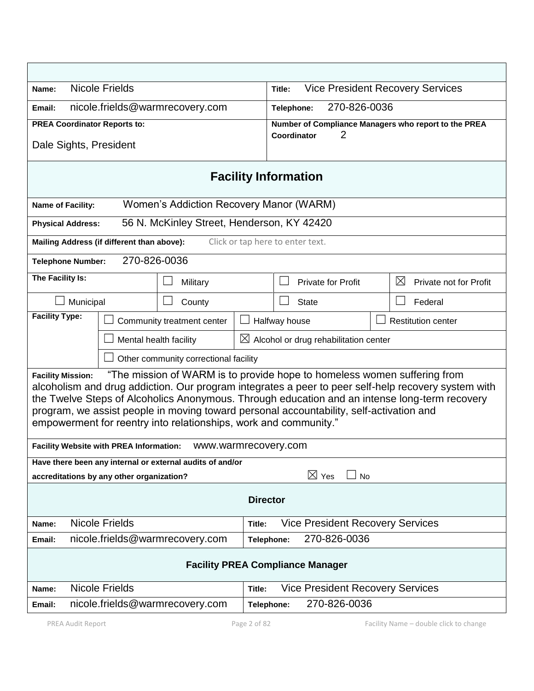| <b>Nicole Frields</b><br>Name:                                                                                                                                                                                                                                                                                                                                                                                                                                              |                                             | <b>Vice President Recovery Services</b><br>Title: |                                                      |  |  |  |  |
|-----------------------------------------------------------------------------------------------------------------------------------------------------------------------------------------------------------------------------------------------------------------------------------------------------------------------------------------------------------------------------------------------------------------------------------------------------------------------------|---------------------------------------------|---------------------------------------------------|------------------------------------------------------|--|--|--|--|
| nicole.frields@warmrecovery.com<br>Email:                                                                                                                                                                                                                                                                                                                                                                                                                                   |                                             | 270-826-0036<br>Telephone:                        |                                                      |  |  |  |  |
| <b>PREA Coordinator Reports to:</b>                                                                                                                                                                                                                                                                                                                                                                                                                                         |                                             |                                                   | Number of Compliance Managers who report to the PREA |  |  |  |  |
| Dale Sights, President                                                                                                                                                                                                                                                                                                                                                                                                                                                      |                                             | 2<br>Coordinator                                  |                                                      |  |  |  |  |
| <b>Facility Information</b>                                                                                                                                                                                                                                                                                                                                                                                                                                                 |                                             |                                                   |                                                      |  |  |  |  |
| Women's Addiction Recovery Manor (WARM)<br>Name of Facility:                                                                                                                                                                                                                                                                                                                                                                                                                |                                             |                                                   |                                                      |  |  |  |  |
| 56 N. McKinley Street, Henderson, KY 42420<br><b>Physical Address:</b>                                                                                                                                                                                                                                                                                                                                                                                                      |                                             |                                                   |                                                      |  |  |  |  |
| Click or tap here to enter text.<br>Mailing Address (if different than above):                                                                                                                                                                                                                                                                                                                                                                                              |                                             |                                                   |                                                      |  |  |  |  |
| 270-826-0036<br><b>Telephone Number:</b>                                                                                                                                                                                                                                                                                                                                                                                                                                    |                                             |                                                   |                                                      |  |  |  |  |
| The Facility Is:<br>Military                                                                                                                                                                                                                                                                                                                                                                                                                                                |                                             | <b>Private for Profit</b>                         | $\boxtimes$<br>Private not for Profit                |  |  |  |  |
| Municipal<br>County                                                                                                                                                                                                                                                                                                                                                                                                                                                         |                                             | <b>State</b>                                      | Federal<br>$\mathcal{L}$                             |  |  |  |  |
| <b>Facility Type:</b>                                                                                                                                                                                                                                                                                                                                                                                                                                                       | Community treatment center<br>Halfway house |                                                   | <b>Restitution center</b>                            |  |  |  |  |
| Mental health facility<br>$\boxtimes$ Alcohol or drug rehabilitation center                                                                                                                                                                                                                                                                                                                                                                                                 |                                             |                                                   |                                                      |  |  |  |  |
| Other community correctional facility                                                                                                                                                                                                                                                                                                                                                                                                                                       |                                             |                                                   |                                                      |  |  |  |  |
| "The mission of WARM is to provide hope to homeless women suffering from<br><b>Facility Mission:</b><br>alcoholism and drug addiction. Our program integrates a peer to peer self-help recovery system with<br>the Twelve Steps of Alcoholics Anonymous. Through education and an intense long-term recovery<br>program, we assist people in moving toward personal accountability, self-activation and<br>empowerment for reentry into relationships, work and community." |                                             |                                                   |                                                      |  |  |  |  |
| <b>Facility Website with PREA Information:</b><br>www.warmrecovery.com                                                                                                                                                                                                                                                                                                                                                                                                      |                                             |                                                   |                                                      |  |  |  |  |
| Have there been any internal or external audits of and/or<br>$\boxtimes$ Yes<br><b>No</b><br>accreditations by any other organization?                                                                                                                                                                                                                                                                                                                                      |                                             |                                                   |                                                      |  |  |  |  |
| <b>Director</b>                                                                                                                                                                                                                                                                                                                                                                                                                                                             |                                             |                                                   |                                                      |  |  |  |  |
| <b>Nicole Frields</b><br>Name:                                                                                                                                                                                                                                                                                                                                                                                                                                              |                                             | <b>Vice President Recovery Services</b><br>Title: |                                                      |  |  |  |  |
| 270-826-0036<br>nicole.frields@warmrecovery.com<br>Email:<br>Telephone:                                                                                                                                                                                                                                                                                                                                                                                                     |                                             |                                                   |                                                      |  |  |  |  |
| <b>Facility PREA Compliance Manager</b>                                                                                                                                                                                                                                                                                                                                                                                                                                     |                                             |                                                   |                                                      |  |  |  |  |
| <b>Nicole Frields</b><br>Name:                                                                                                                                                                                                                                                                                                                                                                                                                                              | Title:                                      | <b>Vice President Recovery Services</b>           |                                                      |  |  |  |  |
| 270-826-0036<br>nicole.frields@warmrecovery.com<br>Telephone:<br>Email:                                                                                                                                                                                                                                                                                                                                                                                                     |                                             |                                                   |                                                      |  |  |  |  |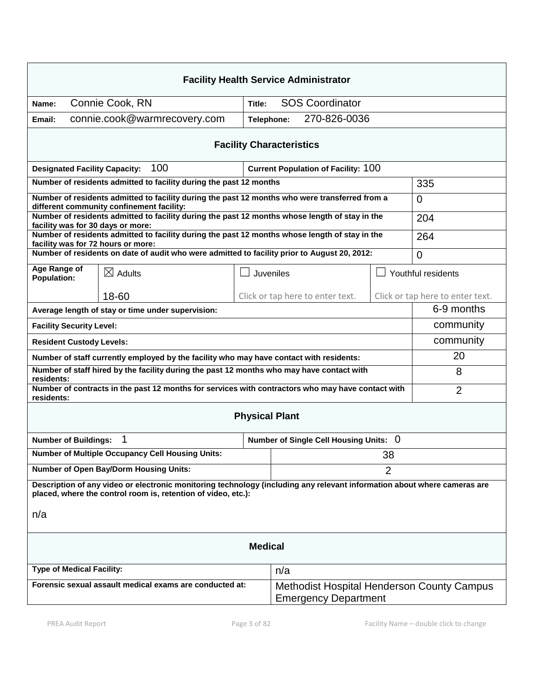| <b>Facility Health Service Administrator</b>                                                                                                                                              |                                                                                                                                             |            |                                                                                  |                |                                  |  |
|-------------------------------------------------------------------------------------------------------------------------------------------------------------------------------------------|---------------------------------------------------------------------------------------------------------------------------------------------|------------|----------------------------------------------------------------------------------|----------------|----------------------------------|--|
| Connie Cook, RN<br>Name:                                                                                                                                                                  |                                                                                                                                             | Title:     | <b>SOS Coordinator</b>                                                           |                |                                  |  |
| Email:                                                                                                                                                                                    | connie.cook@warmrecovery.com                                                                                                                | Telephone: | 270-826-0036                                                                     |                |                                  |  |
| <b>Facility Characteristics</b>                                                                                                                                                           |                                                                                                                                             |            |                                                                                  |                |                                  |  |
| <b>Designated Facility Capacity:</b>                                                                                                                                                      | 100                                                                                                                                         |            | <b>Current Population of Facility: 100</b>                                       |                |                                  |  |
|                                                                                                                                                                                           | Number of residents admitted to facility during the past 12 months                                                                          |            |                                                                                  |                | 335                              |  |
|                                                                                                                                                                                           | Number of residents admitted to facility during the past 12 months who were transferred from a<br>different community confinement facility: |            |                                                                                  |                | $\Omega$                         |  |
| facility was for 30 days or more:                                                                                                                                                         | Number of residents admitted to facility during the past 12 months whose length of stay in the                                              |            |                                                                                  |                | 204                              |  |
| facility was for 72 hours or more:                                                                                                                                                        | Number of residents admitted to facility during the past 12 months whose length of stay in the                                              |            |                                                                                  |                | 264                              |  |
|                                                                                                                                                                                           | Number of residents on date of audit who were admitted to facility prior to August 20, 2012:                                                |            |                                                                                  |                | $\Omega$                         |  |
| Age Range of<br><b>Population:</b>                                                                                                                                                        | $\boxtimes$ Adults                                                                                                                          |            | Juveniles                                                                        |                | Youthful residents               |  |
|                                                                                                                                                                                           | 18-60                                                                                                                                       |            | Click or tap here to enter text.                                                 |                | Click or tap here to enter text. |  |
| Average length of stay or time under supervision:                                                                                                                                         |                                                                                                                                             |            |                                                                                  |                | 6-9 months                       |  |
| <b>Facility Security Level:</b>                                                                                                                                                           |                                                                                                                                             |            |                                                                                  |                | community                        |  |
| <b>Resident Custody Levels:</b>                                                                                                                                                           |                                                                                                                                             |            |                                                                                  |                | community                        |  |
| Number of staff currently employed by the facility who may have contact with residents:                                                                                                   |                                                                                                                                             |            |                                                                                  |                | 20                               |  |
| Number of staff hired by the facility during the past 12 months who may have contact with<br>8<br>residents:                                                                              |                                                                                                                                             |            |                                                                                  |                |                                  |  |
| Number of contracts in the past 12 months for services with contractors who may have contact with<br>residents:                                                                           |                                                                                                                                             |            |                                                                                  | $\overline{2}$ |                                  |  |
| <b>Physical Plant</b>                                                                                                                                                                     |                                                                                                                                             |            |                                                                                  |                |                                  |  |
| <b>Number of Buildings:</b>                                                                                                                                                               |                                                                                                                                             |            | Number of Single Cell Housing Units: 0                                           |                |                                  |  |
| <b>Number of Multiple Occupancy Cell Housing Units:</b>                                                                                                                                   |                                                                                                                                             |            | 38                                                                               |                |                                  |  |
| <b>Number of Open Bay/Dorm Housing Units:</b><br>$\overline{2}$                                                                                                                           |                                                                                                                                             |            |                                                                                  |                |                                  |  |
| Description of any video or electronic monitoring technology (including any relevant information about where cameras are<br>placed, where the control room is, retention of video, etc.): |                                                                                                                                             |            |                                                                                  |                |                                  |  |
| n/a                                                                                                                                                                                       |                                                                                                                                             |            |                                                                                  |                |                                  |  |
| <b>Medical</b>                                                                                                                                                                            |                                                                                                                                             |            |                                                                                  |                |                                  |  |
| <b>Type of Medical Facility:</b>                                                                                                                                                          |                                                                                                                                             |            | n/a                                                                              |                |                                  |  |
| Forensic sexual assault medical exams are conducted at:                                                                                                                                   |                                                                                                                                             |            | <b>Methodist Hospital Henderson County Campus</b><br><b>Emergency Department</b> |                |                                  |  |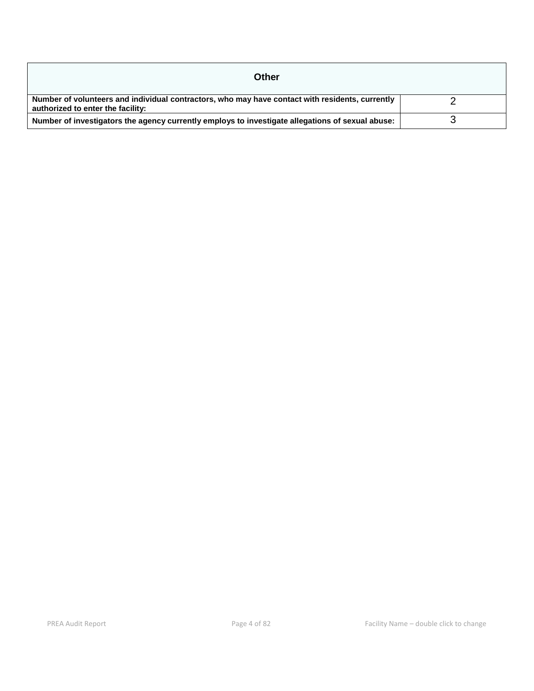| Other                                                                                                                                |  |
|--------------------------------------------------------------------------------------------------------------------------------------|--|
| Number of volunteers and individual contractors, who may have contact with residents, currently<br>authorized to enter the facility: |  |
| Number of investigators the agency currently employs to investigate allegations of sexual abuse:                                     |  |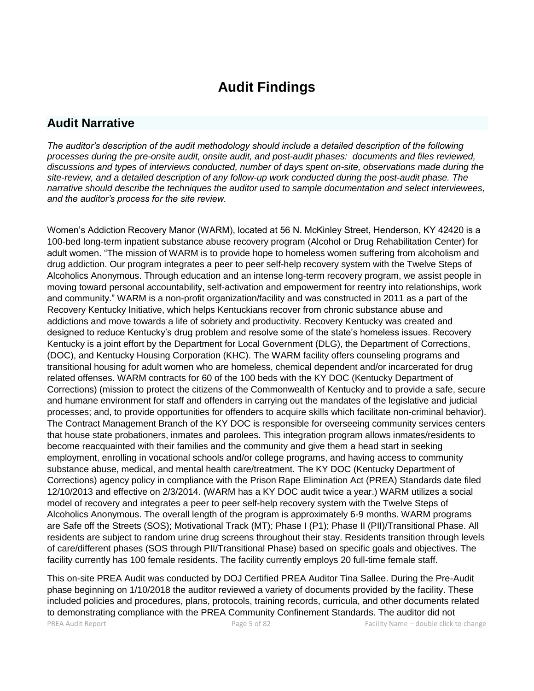# **Audit Findings**

# **Audit Narrative**

*The auditor's description of the audit methodology should include a detailed description of the following processes during the pre-onsite audit, onsite audit, and post-audit phases: documents and files reviewed, discussions and types of interviews conducted, number of days spent on-site, observations made during the site-review, and a detailed description of any follow-up work conducted during the post-audit phase. The narrative should describe the techniques the auditor used to sample documentation and select interviewees, and the auditor's process for the site review.*

Women's Addiction Recovery Manor (WARM), located at 56 N. McKinley Street, Henderson, KY 42420 is a 100-bed long-term inpatient substance abuse recovery program (Alcohol or Drug Rehabilitation Center) for adult women. "The mission of WARM is to provide hope to homeless women suffering from alcoholism and drug addiction. Our program integrates a peer to peer self-help recovery system with the Twelve Steps of Alcoholics Anonymous. Through education and an intense long-term recovery program, we assist people in moving toward personal accountability, self-activation and empowerment for reentry into relationships, work and community." WARM is a non-profit organization/facility and was constructed in 2011 as a part of the Recovery Kentucky Initiative, which helps Kentuckians recover from chronic substance abuse and addictions and move towards a life of sobriety and productivity. Recovery Kentucky was created and designed to reduce Kentucky's drug problem and resolve some of the state's homeless issues. Recovery Kentucky is a joint effort by the Department for Local Government (DLG), the Department of Corrections, (DOC), and Kentucky Housing Corporation (KHC). The WARM facility offers counseling programs and transitional housing for adult women who are homeless, chemical dependent and/or incarcerated for drug related offenses. WARM contracts for 60 of the 100 beds with the KY DOC (Kentucky Department of Corrections) (mission to protect the citizens of the Commonwealth of Kentucky and to provide a safe, secure and humane environment for staff and offenders in carrying out the mandates of the legislative and judicial processes; and, to provide opportunities for offenders to acquire skills which facilitate non-criminal behavior). The Contract Management Branch of the KY DOC is responsible for overseeing community services centers that house state probationers, inmates and parolees. This integration program allows inmates/residents to become reacquainted with their families and the community and give them a head start in seeking employment, enrolling in vocational schools and/or college programs, and having access to community substance abuse, medical, and mental health care/treatment. The KY DOC (Kentucky Department of Corrections) agency policy in compliance with the Prison Rape Elimination Act (PREA) Standards date filed 12/10/2013 and effective on 2/3/2014. (WARM has a KY DOC audit twice a year.) WARM utilizes a social model of recovery and integrates a peer to peer self-help recovery system with the Twelve Steps of Alcoholics Anonymous. The overall length of the program is approximately 6-9 months. WARM programs are Safe off the Streets (SOS); Motivational Track (MT); Phase I (P1); Phase II (PII)/Transitional Phase. All residents are subject to random urine drug screens throughout their stay. Residents transition through levels of care/different phases (SOS through PII/Transitional Phase) based on specific goals and objectives. The facility currently has 100 female residents. The facility currently employs 20 full-time female staff.

PREA Audit Report Page 5 of 82 Facility Name – double click to change This on-site PREA Audit was conducted by DOJ Certified PREA Auditor Tina Sallee. During the Pre-Audit phase beginning on 1/10/2018 the auditor reviewed a variety of documents provided by the facility. These included policies and procedures, plans, protocols, training records, curricula, and other documents related to demonstrating compliance with the PREA Community Confinement Standards. The auditor did not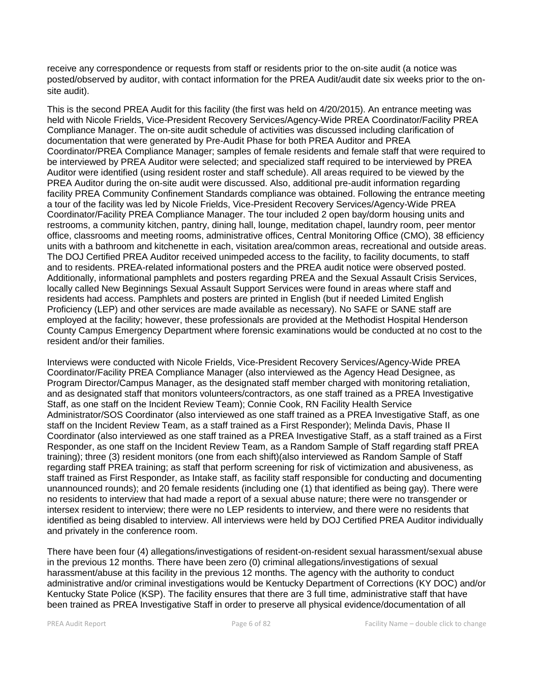receive any correspondence or requests from staff or residents prior to the on-site audit (a notice was posted/observed by auditor, with contact information for the PREA Audit/audit date six weeks prior to the onsite audit).

This is the second PREA Audit for this facility (the first was held on 4/20/2015). An entrance meeting was held with Nicole Frields, Vice-President Recovery Services/Agency-Wide PREA Coordinator/Facility PREA Compliance Manager. The on-site audit schedule of activities was discussed including clarification of documentation that were generated by Pre-Audit Phase for both PREA Auditor and PREA Coordinator/PREA Compliance Manager; samples of female residents and female staff that were required to be interviewed by PREA Auditor were selected; and specialized staff required to be interviewed by PREA Auditor were identified (using resident roster and staff schedule). All areas required to be viewed by the PREA Auditor during the on-site audit were discussed. Also, additional pre-audit information regarding facility PREA Community Confinement Standards compliance was obtained. Following the entrance meeting a tour of the facility was led by Nicole Frields, Vice-President Recovery Services/Agency-Wide PREA Coordinator/Facility PREA Compliance Manager. The tour included 2 open bay/dorm housing units and restrooms, a community kitchen, pantry, dining hall, lounge, meditation chapel, laundry room, peer mentor office, classrooms and meeting rooms, administrative offices, Central Monitoring Office (CMO), 38 efficiency units with a bathroom and kitchenette in each, visitation area/common areas, recreational and outside areas. The DOJ Certified PREA Auditor received unimpeded access to the facility, to facility documents, to staff and to residents. PREA-related informational posters and the PREA audit notice were observed posted. Additionally, informational pamphlets and posters regarding PREA and the Sexual Assault Crisis Services, locally called New Beginnings Sexual Assault Support Services were found in areas where staff and residents had access. Pamphlets and posters are printed in English (but if needed Limited English Proficiency (LEP) and other services are made available as necessary). No SAFE or SANE staff are employed at the facility; however, these professionals are provided at the Methodist Hospital Henderson County Campus Emergency Department where forensic examinations would be conducted at no cost to the resident and/or their families.

Interviews were conducted with Nicole Frields, Vice-President Recovery Services/Agency-Wide PREA Coordinator/Facility PREA Compliance Manager (also interviewed as the Agency Head Designee, as Program Director/Campus Manager, as the designated staff member charged with monitoring retaliation, and as designated staff that monitors volunteers/contractors, as one staff trained as a PREA Investigative Staff, as one staff on the Incident Review Team); Connie Cook, RN Facility Health Service Administrator/SOS Coordinator (also interviewed as one staff trained as a PREA Investigative Staff, as one staff on the Incident Review Team, as a staff trained as a First Responder); Melinda Davis, Phase II Coordinator (also interviewed as one staff trained as a PREA Investigative Staff, as a staff trained as a First Responder, as one staff on the Incident Review Team, as a Random Sample of Staff regarding staff PREA training); three (3) resident monitors (one from each shift)(also interviewed as Random Sample of Staff regarding staff PREA training; as staff that perform screening for risk of victimization and abusiveness, as staff trained as First Responder, as Intake staff, as facility staff responsible for conducting and documenting unannounced rounds); and 20 female residents (including one (1) that identified as being gay). There were no residents to interview that had made a report of a sexual abuse nature; there were no transgender or intersex resident to interview; there were no LEP residents to interview, and there were no residents that identified as being disabled to interview. All interviews were held by DOJ Certified PREA Auditor individually and privately in the conference room.

There have been four (4) allegations/investigations of resident-on-resident sexual harassment/sexual abuse in the previous 12 months. There have been zero (0) criminal allegations/investigations of sexual harassment/abuse at this facility in the previous 12 months. The agency with the authority to conduct administrative and/or criminal investigations would be Kentucky Department of Corrections (KY DOC) and/or Kentucky State Police (KSP). The facility ensures that there are 3 full time, administrative staff that have been trained as PREA Investigative Staff in order to preserve all physical evidence/documentation of all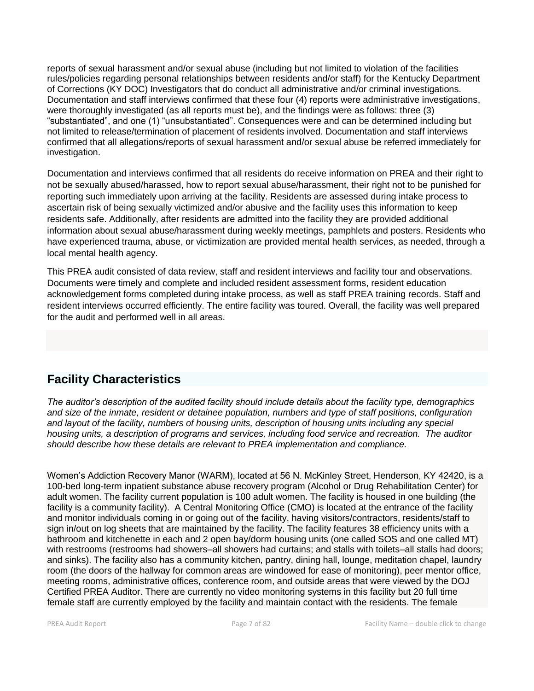reports of sexual harassment and/or sexual abuse (including but not limited to violation of the facilities rules/policies regarding personal relationships between residents and/or staff) for the Kentucky Department of Corrections (KY DOC) Investigators that do conduct all administrative and/or criminal investigations. Documentation and staff interviews confirmed that these four (4) reports were administrative investigations, were thoroughly investigated (as all reports must be), and the findings were as follows: three (3) "substantiated", and one (1) "unsubstantiated". Consequences were and can be determined including but not limited to release/termination of placement of residents involved. Documentation and staff interviews confirmed that all allegations/reports of sexual harassment and/or sexual abuse be referred immediately for investigation.

Documentation and interviews confirmed that all residents do receive information on PREA and their right to not be sexually abused/harassed, how to report sexual abuse/harassment, their right not to be punished for reporting such immediately upon arriving at the facility. Residents are assessed during intake process to ascertain risk of being sexually victimized and/or abusive and the facility uses this information to keep residents safe. Additionally, after residents are admitted into the facility they are provided additional information about sexual abuse/harassment during weekly meetings, pamphlets and posters. Residents who have experienced trauma, abuse, or victimization are provided mental health services, as needed, through a local mental health agency.

This PREA audit consisted of data review, staff and resident interviews and facility tour and observations. Documents were timely and complete and included resident assessment forms, resident education acknowledgement forms completed during intake process, as well as staff PREA training records. Staff and resident interviews occurred efficiently. The entire facility was toured. Overall, the facility was well prepared for the audit and performed well in all areas.

# **Facility Characteristics**

*The auditor's description of the audited facility should include details about the facility type, demographics and size of the inmate, resident or detainee population, numbers and type of staff positions, configuration and layout of the facility, numbers of housing units, description of housing units including any special housing units, a description of programs and services, including food service and recreation. The auditor should describe how these details are relevant to PREA implementation and compliance.*

Women's Addiction Recovery Manor (WARM), located at 56 N. McKinley Street, Henderson, KY 42420, is a 100-bed long-term inpatient substance abuse recovery program (Alcohol or Drug Rehabilitation Center) for adult women. The facility current population is 100 adult women. The facility is housed in one building (the facility is a community facility). A Central Monitoring Office (CMO) is located at the entrance of the facility and monitor individuals coming in or going out of the facility, having visitors/contractors, residents/staff to sign in/out on log sheets that are maintained by the facility. The facility features 38 efficiency units with a bathroom and kitchenette in each and 2 open bay/dorm housing units (one called SOS and one called MT) with restrooms (restrooms had showers–all showers had curtains; and stalls with toilets–all stalls had doors; and sinks). The facility also has a community kitchen, pantry, dining hall, lounge, meditation chapel, laundry room (the doors of the hallway for common areas are windowed for ease of monitoring), peer mentor office, meeting rooms, administrative offices, conference room, and outside areas that were viewed by the DOJ Certified PREA Auditor. There are currently no video monitoring systems in this facility but 20 full time female staff are currently employed by the facility and maintain contact with the residents. The female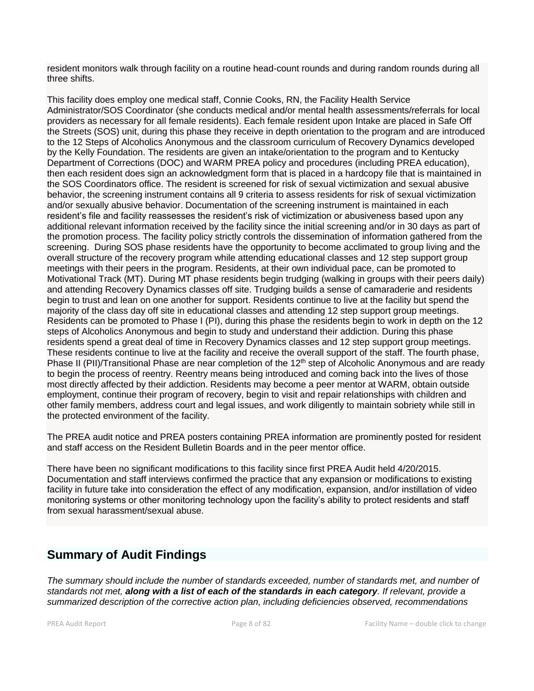resident monitors walk through facility on a routine head-count rounds and during random rounds during all three shifts.

This facility does employ one medical staff, Connie Cooks, RN, the Facility Health Service Administrator/SOS Coordinator (she conducts medical and/or mental health assessments/referrals for local providers as necessary for all female residents). Each female resident upon Intake are placed in Safe Off the Streets (SOS) unit, during this phase they receive in depth orientation to the program and are introduced to the 12 Steps of Alcoholics Anonymous and the classroom curriculum of Recovery Dynamics developed by the Kelly Foundation. The residents are given an intake/orientation to the program and to Kentucky Department of Corrections (DOC) and WARM PREA policy and procedures (including PREA education), then each resident does sign an acknowledgment form that is placed in a hardcopy file that is maintained in the SOS Coordinators office. The resident is screened for risk of sexual victimization and sexual abusive behavior, the screening instrument contains all 9 criteria to assess residents for risk of sexual victimization and/or sexually abusive behavior. Documentation of the screening instrument is maintained in each resident's file and facility reassesses the resident's risk of victimization or abusiveness based upon any additional relevant information received by the facility since the initial screening and/or in 30 days as part of the promotion process. The facility policy strictly controls the dissemination of information gathered from the screening. During SOS phase residents have the opportunity to become acclimated to group living and the overall structure of the recovery program while attending educational classes and 12 step support group meetings with their peers in the program. Residents, at their own individual pace, can be promoted to Motivational Track (MT). During MT phase residents begin trudging (walking in groups with their peers daily) and attending Recovery Dynamics classes off site. Trudging builds a sense of camaraderie and residents begin to trust and lean on one another for support. Residents continue to live at the facility but spend the majority of the class day off site in educational classes and attending 12 step support group meetings. Residents can be promoted to Phase I (PI), during this phase the residents begin to work in depth on the 12 steps of Alcoholics Anonymous and begin to study and understand their addiction. During this phase residents spend a great deal of time in Recovery Dynamics classes and 12 step support group meetings. These residents continue to live at the facility and receive the overall support of the staff. The fourth phase, Phase II (PII)/Transitional Phase are near completion of the 12<sup>th</sup> step of Alcoholic Anonymous and are ready to begin the process of reentry. Reentry means being introduced and coming back into the lives of those most directly affected by their addiction. Residents may become a peer mentor at WARM, obtain outside employment, continue their program of recovery, begin to visit and repair relationships with children and other family members, address court and legal issues, and work diligently to maintain sobriety while still in the protected environment of the facility.

The PREA audit notice and PREA posters containing PREA information are prominently posted for resident and staff access on the Resident Bulletin Boards and in the peer mentor office.

There have been no significant modifications to this facility since first PREA Audit held 4/20/2015. Documentation and staff interviews confirmed the practice that any expansion or modifications to existing facility in future take into consideration the effect of any modification, expansion, and/or instillation of video monitoring systems or other monitoring technology upon the facility's ability to protect residents and staff from sexual harassment/sexual abuse.

# **Summary of Audit Findings**

*The summary should include the number of standards exceeded, number of standards met, and number of standards not met, along with a list of each of the standards in each category. If relevant, provide a summarized description of the corrective action plan, including deficiencies observed, recommendations*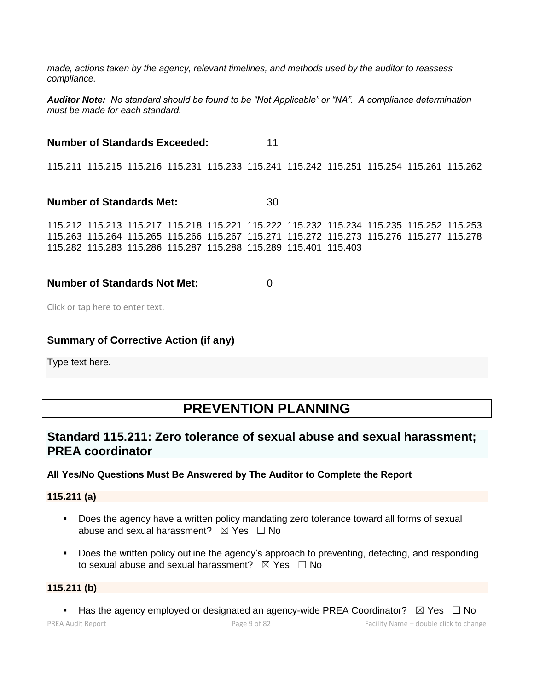*made, actions taken by the agency, relevant timelines, and methods used by the auditor to reassess compliance.*

*Auditor Note: No standard should be found to be "Not Applicable" or "NA". A compliance determination must be made for each standard.*

**Number of Standards Exceeded:** 11 115.211 115.215 115.216 115.231 115.233 115.241 115.242 115.251 115.254 115.261 115.262 **Number of Standards Met:** 30

115.212 115.213 115.217 115.218 115.221 115.222 115.232 115.234 115.235 115.252 115.253 115.263 115.264 115.265 115.266 115.267 115.271 115.272 115.273 115.276 115.277 115.278 115.282 115.283 115.286 115.287 115.288 115.289 115.401 115.403

### **Number of Standards Not Met:** 0

Click or tap here to enter text.

### **Summary of Corrective Action (if any)**

Type text here.

# **PREVENTION PLANNING**

# **Standard 115.211: Zero tolerance of sexual abuse and sexual harassment; PREA coordinator**

### **All Yes/No Questions Must Be Answered by The Auditor to Complete the Report**

**115.211 (a)**

- **•** Does the agency have a written policy mandating zero tolerance toward all forms of sexual abuse and sexual harassment?  $\boxtimes$  Yes  $\Box$  No
- Does the written policy outline the agency's approach to preventing, detecting, and responding to sexual abuse and sexual harassment?  $\boxtimes$  Yes  $\Box$  No

#### **115.211 (b)**

**■** Has the agency employed or designated an agency-wide PREA Coordinator?  $\boxtimes$  Yes  $\Box$  No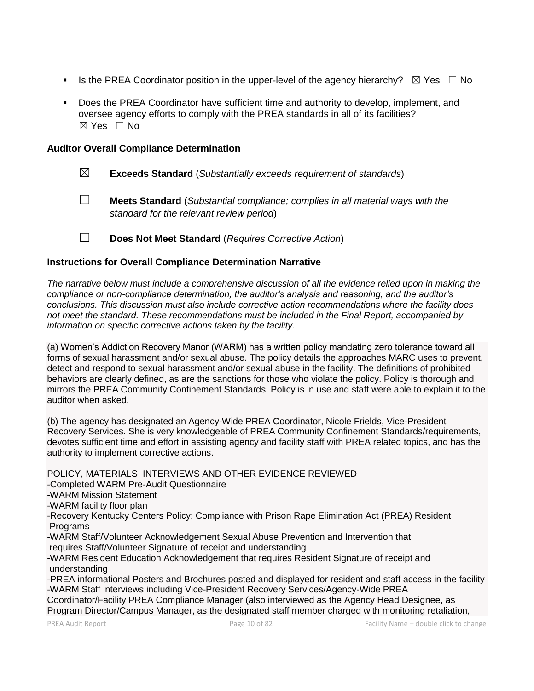- **■** Is the PREA Coordinator position in the upper-level of the agency hierarchy?  $\boxtimes$  Yes  $\Box$  No
- Does the PREA Coordinator have sufficient time and authority to develop, implement, and oversee agency efforts to comply with the PREA standards in all of its facilities?  $\boxtimes$  Yes  $\Box$  No

#### **Auditor Overall Compliance Determination**

- ☒ **Exceeds Standard** (*Substantially exceeds requirement of standards*)
- ☐ **Meets Standard** (*Substantial compliance; complies in all material ways with the standard for the relevant review period*)

☐ **Does Not Meet Standard** (*Requires Corrective Action*)

#### **Instructions for Overall Compliance Determination Narrative**

*The narrative below must include a comprehensive discussion of all the evidence relied upon in making the compliance or non-compliance determination, the auditor's analysis and reasoning, and the auditor's conclusions. This discussion must also include corrective action recommendations where the facility does not meet the standard. These recommendations must be included in the Final Report, accompanied by information on specific corrective actions taken by the facility.*

(a) Women's Addiction Recovery Manor (WARM) has a written policy mandating zero tolerance toward all forms of sexual harassment and/or sexual abuse. The policy details the approaches MARC uses to prevent, detect and respond to sexual harassment and/or sexual abuse in the facility. The definitions of prohibited behaviors are clearly defined, as are the sanctions for those who violate the policy. Policy is thorough and mirrors the PREA Community Confinement Standards. Policy is in use and staff were able to explain it to the auditor when asked.

(b) The agency has designated an Agency-Wide PREA Coordinator, Nicole Frields, Vice-President Recovery Services. She is very knowledgeable of PREA Community Confinement Standards/requirements, devotes sufficient time and effort in assisting agency and facility staff with PREA related topics, and has the authority to implement corrective actions.

POLICY, MATERIALS, INTERVIEWS AND OTHER EVIDENCE REVIEWED -Completed WARM Pre-Audit Questionnaire -WARM Mission Statement -WARM facility floor plan -Recovery Kentucky Centers Policy: Compliance with Prison Rape Elimination Act (PREA) Resident **Programs** -WARM Staff/Volunteer Acknowledgement Sexual Abuse Prevention and Intervention that requires Staff/Volunteer Signature of receipt and understanding -WARM Resident Education Acknowledgement that requires Resident Signature of receipt and understanding -PREA informational Posters and Brochures posted and displayed for resident and staff access in the facility -WARM Staff interviews including Vice-President Recovery Services/Agency-Wide PREA Coordinator/Facility PREA Compliance Manager (also interviewed as the Agency Head Designee, as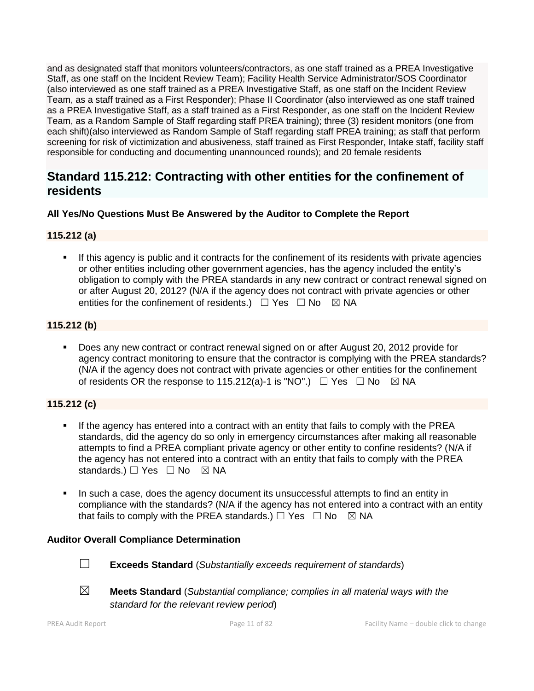and as designated staff that monitors volunteers/contractors, as one staff trained as a PREA Investigative Staff, as one staff on the Incident Review Team); Facility Health Service Administrator/SOS Coordinator (also interviewed as one staff trained as a PREA Investigative Staff, as one staff on the Incident Review Team, as a staff trained as a First Responder); Phase II Coordinator (also interviewed as one staff trained as a PREA Investigative Staff, as a staff trained as a First Responder, as one staff on the Incident Review Team, as a Random Sample of Staff regarding staff PREA training); three (3) resident monitors (one from each shift)(also interviewed as Random Sample of Staff regarding staff PREA training; as staff that perform screening for risk of victimization and abusiveness, staff trained as First Responder, Intake staff, facility staff responsible for conducting and documenting unannounced rounds); and 20 female residents

# **Standard 115.212: Contracting with other entities for the confinement of residents**

# **All Yes/No Questions Must Be Answered by the Auditor to Complete the Report**

# **115.212 (a)**

If this agency is public and it contracts for the confinement of its residents with private agencies or other entities including other government agencies, has the agency included the entity's obligation to comply with the PREA standards in any new contract or contract renewal signed on or after August 20, 2012? (N/A if the agency does not contract with private agencies or other entities for the confinement of residents.)  $\Box$  Yes  $\Box$  No  $\boxtimes$  NA

# **115.212 (b)**

Does any new contract or contract renewal signed on or after August 20, 2012 provide for agency contract monitoring to ensure that the contractor is complying with the PREA standards? (N/A if the agency does not contract with private agencies or other entities for the confinement of residents OR the response to 115.212(a)-1 is "NO".)  $\Box$  Yes  $\Box$  No  $\boxtimes$  NA

# **115.212 (c)**

- **■** If the agency has entered into a contract with an entity that fails to comply with the PREA standards, did the agency do so only in emergency circumstances after making all reasonable attempts to find a PREA compliant private agency or other entity to confine residents? (N/A if the agency has not entered into a contract with an entity that fails to comply with the PREA standards.) □ Yes □ No ⊠ NA
- In such a case, does the agency document its unsuccessful attempts to find an entity in compliance with the standards? (N/A if the agency has not entered into a contract with an entity that fails to comply with the PREA standards.)  $\Box$  Yes  $\Box$  No  $\boxtimes$  NA

# **Auditor Overall Compliance Determination**



- ☐ **Exceeds Standard** (*Substantially exceeds requirement of standards*)
- 
- ☒ **Meets Standard** (*Substantial compliance; complies in all material ways with the standard for the relevant review period*)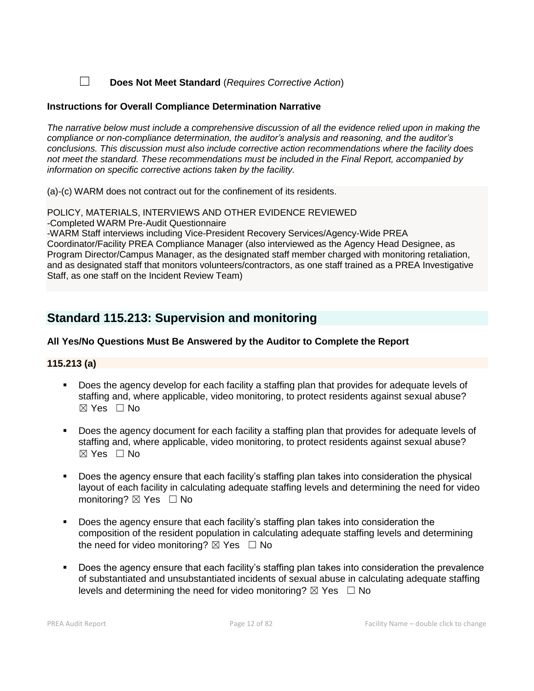☐ **Does Not Meet Standard** (*Requires Corrective Action*)

### **Instructions for Overall Compliance Determination Narrative**

*The narrative below must include a comprehensive discussion of all the evidence relied upon in making the compliance or non-compliance determination, the auditor's analysis and reasoning, and the auditor's conclusions. This discussion must also include corrective action recommendations where the facility does not meet the standard. These recommendations must be included in the Final Report, accompanied by information on specific corrective actions taken by the facility.*

(a)-(c) WARM does not contract out for the confinement of its residents.

POLICY, MATERIALS, INTERVIEWS AND OTHER EVIDENCE REVIEWED

-Completed WARM Pre-Audit Questionnaire

-WARM Staff interviews including Vice-President Recovery Services/Agency-Wide PREA Coordinator/Facility PREA Compliance Manager (also interviewed as the Agency Head Designee, as Program Director/Campus Manager, as the designated staff member charged with monitoring retaliation, and as designated staff that monitors volunteers/contractors, as one staff trained as a PREA Investigative Staff, as one staff on the Incident Review Team)

# **Standard 115.213: Supervision and monitoring**

# **All Yes/No Questions Must Be Answered by the Auditor to Complete the Report**

### **115.213 (a)**

- Does the agency develop for each facility a staffing plan that provides for adequate levels of staffing and, where applicable, video monitoring, to protect residents against sexual abuse?  $\boxtimes$  Yes  $\Box$  No
- Does the agency document for each facility a staffing plan that provides for adequate levels of staffing and, where applicable, video monitoring, to protect residents against sexual abuse?  $\boxtimes$  Yes  $\Box$  No
- Does the agency ensure that each facility's staffing plan takes into consideration the physical layout of each facility in calculating adequate staffing levels and determining the need for video monitoring? ⊠ Yes □ No
- Does the agency ensure that each facility's staffing plan takes into consideration the composition of the resident population in calculating adequate staffing levels and determining the need for video monitoring?  $\boxtimes$  Yes  $\Box$  No
- Does the agency ensure that each facility's staffing plan takes into consideration the prevalence of substantiated and unsubstantiated incidents of sexual abuse in calculating adequate staffing levels and determining the need for video monitoring?  $\boxtimes$  Yes  $\Box$  No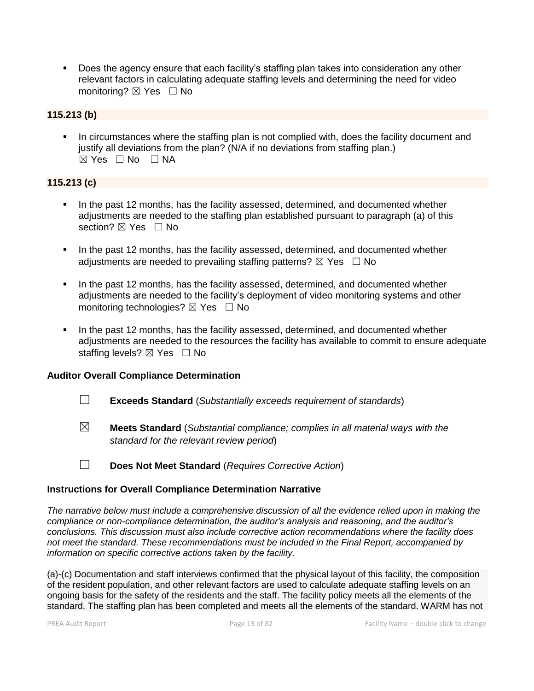■ Does the agency ensure that each facility's staffing plan takes into consideration any other relevant factors in calculating adequate staffing levels and determining the need for video monitoring? ⊠ Yes □ No

## **115.213 (b)**

In circumstances where the staffing plan is not complied with, does the facility document and justify all deviations from the plan? (N/A if no deviations from staffing plan.)  $\boxtimes$  Yes  $\Box$  No  $\Box$  NA

#### **115.213 (c)**

- **.** In the past 12 months, has the facility assessed, determined, and documented whether adjustments are needed to the staffing plan established pursuant to paragraph (a) of this section? **⊠** Yes □ No
- **.** In the past 12 months, has the facility assessed, determined, and documented whether adjustments are needed to prevailing staffing patterns?  $\boxtimes$  Yes  $\Box$  No
- In the past 12 months, has the facility assessed, determined, and documented whether adjustments are needed to the facility's deployment of video monitoring systems and other monitoring technologies?  $\boxtimes$  Yes  $\Box$  No
- In the past 12 months, has the facility assessed, determined, and documented whether adjustments are needed to the resources the facility has available to commit to ensure adequate staffing levels? ⊠ Yes □ No

#### **Auditor Overall Compliance Determination**

- ☐ **Exceeds Standard** (*Substantially exceeds requirement of standards*)
- ☒ **Meets Standard** (*Substantial compliance; complies in all material ways with the standard for the relevant review period*)
- ☐ **Does Not Meet Standard** (*Requires Corrective Action*)

#### **Instructions for Overall Compliance Determination Narrative**

*The narrative below must include a comprehensive discussion of all the evidence relied upon in making the compliance or non-compliance determination, the auditor's analysis and reasoning, and the auditor's conclusions. This discussion must also include corrective action recommendations where the facility does not meet the standard. These recommendations must be included in the Final Report, accompanied by information on specific corrective actions taken by the facility.*

(a)-(c) Documentation and staff interviews confirmed that the physical layout of this facility, the composition of the resident population, and other relevant factors are used to calculate adequate staffing levels on an ongoing basis for the safety of the residents and the staff. The facility policy meets all the elements of the standard. The staffing plan has been completed and meets all the elements of the standard. WARM has not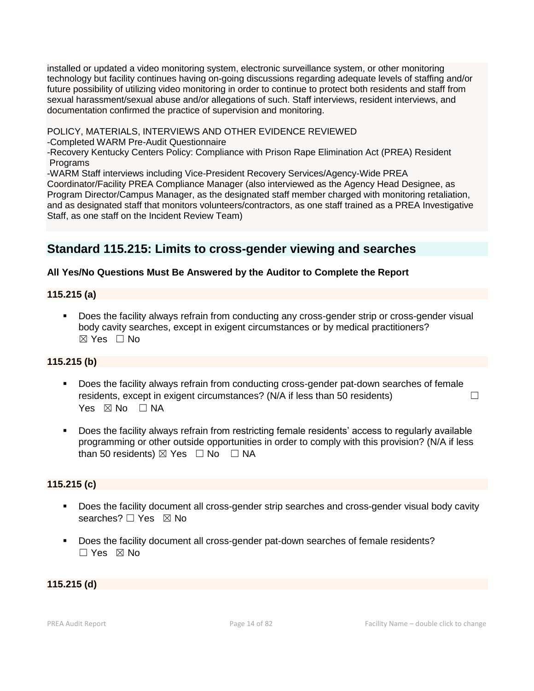installed or updated a video monitoring system, electronic surveillance system, or other monitoring technology but facility continues having on-going discussions regarding adequate levels of staffing and/or future possibility of utilizing video monitoring in order to continue to protect both residents and staff from sexual harassment/sexual abuse and/or allegations of such. Staff interviews, resident interviews, and documentation confirmed the practice of supervision and monitoring.

POLICY, MATERIALS, INTERVIEWS AND OTHER EVIDENCE REVIEWED

-Completed WARM Pre-Audit Questionnaire

-Recovery Kentucky Centers Policy: Compliance with Prison Rape Elimination Act (PREA) Resident Programs

-WARM Staff interviews including Vice-President Recovery Services/Agency-Wide PREA Coordinator/Facility PREA Compliance Manager (also interviewed as the Agency Head Designee, as Program Director/Campus Manager, as the designated staff member charged with monitoring retaliation, and as designated staff that monitors volunteers/contractors, as one staff trained as a PREA Investigative Staff, as one staff on the Incident Review Team)

# **Standard 115.215: Limits to cross-gender viewing and searches**

# **All Yes/No Questions Must Be Answered by the Auditor to Complete the Report**

## **115.215 (a)**

■ Does the facility always refrain from conducting any cross-gender strip or cross-gender visual body cavity searches, except in exigent circumstances or by medical practitioners?  $\boxtimes$  Yes  $\Box$  No

# **115.215 (b)**

- Does the facility always refrain from conducting cross-gender pat-down searches of female residents, except in exigent circumstances? ( $N/A$  if less than 50 residents)  $\Box$ Yes  $\boxtimes$  No  $\Box$  NA
- Does the facility always refrain from restricting female residents' access to regularly available programming or other outside opportunities in order to comply with this provision? (N/A if less than 50 residents)  $\boxtimes$  Yes  $\Box$  No  $\Box$  NA

# **115.215 (c)**

- Does the facility document all cross-gender strip searches and cross-gender visual body cavity searches? □ Yes ⊠ No
- Does the facility document all cross-gender pat-down searches of female residents? ☐ Yes ☒ No

### **115.215 (d)**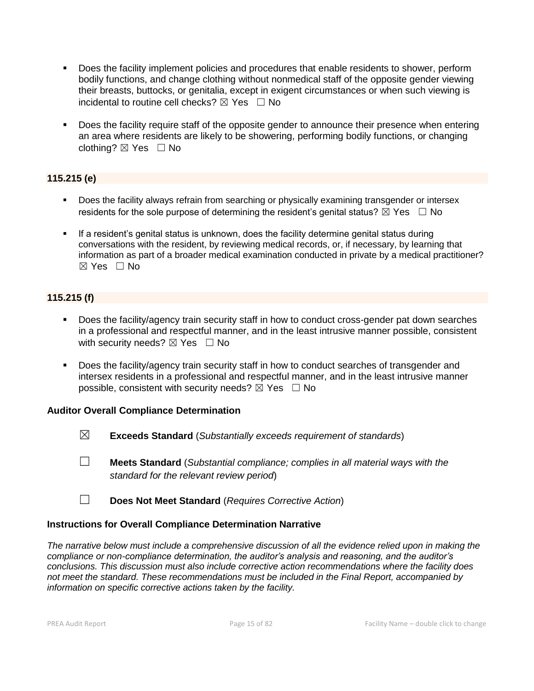- Does the facility implement policies and procedures that enable residents to shower, perform bodily functions, and change clothing without nonmedical staff of the opposite gender viewing their breasts, buttocks, or genitalia, except in exigent circumstances or when such viewing is incidental to routine cell checks?  $\boxtimes$  Yes  $\Box$  No
- Does the facility require staff of the opposite gender to announce their presence when entering an area where residents are likely to be showering, performing bodily functions, or changing clothing?  $\boxtimes$  Yes  $\Box$  No

# **115.215 (e)**

- **•** Does the facility always refrain from searching or physically examining transgender or intersex residents for the sole purpose of determining the resident's genital status?  $\boxtimes$  Yes  $\Box$  No
- **•** If a resident's genital status is unknown, does the facility determine genital status during conversations with the resident, by reviewing medical records, or, if necessary, by learning that information as part of a broader medical examination conducted in private by a medical practitioner?  $\boxtimes$  Yes  $\Box$  No

## **115.215 (f)**

- Does the facility/agency train security staff in how to conduct cross-gender pat down searches in a professional and respectful manner, and in the least intrusive manner possible, consistent with security needs?  $\boxtimes$  Yes  $\Box$  No
- Does the facility/agency train security staff in how to conduct searches of transgender and intersex residents in a professional and respectful manner, and in the least intrusive manner possible, consistent with security needs?  $\boxtimes$  Yes  $\Box$  No

#### **Auditor Overall Compliance Determination**

- ☒ **Exceeds Standard** (*Substantially exceeds requirement of standards*)
- ☐ **Meets Standard** (*Substantial compliance; complies in all material ways with the standard for the relevant review period*)
- ☐ **Does Not Meet Standard** (*Requires Corrective Action*)

#### **Instructions for Overall Compliance Determination Narrative**

*The narrative below must include a comprehensive discussion of all the evidence relied upon in making the compliance or non-compliance determination, the auditor's analysis and reasoning, and the auditor's conclusions. This discussion must also include corrective action recommendations where the facility does not meet the standard. These recommendations must be included in the Final Report, accompanied by information on specific corrective actions taken by the facility.*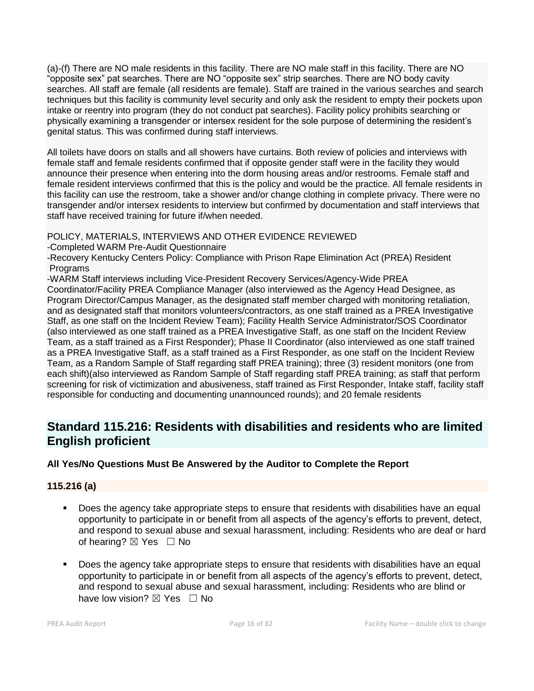(a)-(f) There are NO male residents in this facility. There are NO male staff in this facility. There are NO "opposite sex" pat searches. There are NO "opposite sex" strip searches. There are NO body cavity searches. All staff are female (all residents are female). Staff are trained in the various searches and search techniques but this facility is community level security and only ask the resident to empty their pockets upon intake or reentry into program (they do not conduct pat searches). Facility policy prohibits searching or physically examining a transgender or intersex resident for the sole purpose of determining the resident's genital status. This was confirmed during staff interviews.

All toilets have doors on stalls and all showers have curtains. Both review of policies and interviews with female staff and female residents confirmed that if opposite gender staff were in the facility they would announce their presence when entering into the dorm housing areas and/or restrooms. Female staff and female resident interviews confirmed that this is the policy and would be the practice. All female residents in this facility can use the restroom, take a shower and/or change clothing in complete privacy. There were no transgender and/or intersex residents to interview but confirmed by documentation and staff interviews that staff have received training for future if/when needed.

### POLICY, MATERIALS, INTERVIEWS AND OTHER EVIDENCE REVIEWED

-Completed WARM Pre-Audit Questionnaire

-Recovery Kentucky Centers Policy: Compliance with Prison Rape Elimination Act (PREA) Resident Programs

-WARM Staff interviews including Vice-President Recovery Services/Agency-Wide PREA

Coordinator/Facility PREA Compliance Manager (also interviewed as the Agency Head Designee, as Program Director/Campus Manager, as the designated staff member charged with monitoring retaliation, and as designated staff that monitors volunteers/contractors, as one staff trained as a PREA Investigative Staff, as one staff on the Incident Review Team); Facility Health Service Administrator/SOS Coordinator (also interviewed as one staff trained as a PREA Investigative Staff, as one staff on the Incident Review Team, as a staff trained as a First Responder); Phase II Coordinator (also interviewed as one staff trained as a PREA Investigative Staff, as a staff trained as a First Responder, as one staff on the Incident Review Team, as a Random Sample of Staff regarding staff PREA training); three (3) resident monitors (one from each shift)(also interviewed as Random Sample of Staff regarding staff PREA training; as staff that perform screening for risk of victimization and abusiveness, staff trained as First Responder, Intake staff, facility staff responsible for conducting and documenting unannounced rounds); and 20 female residents

# **Standard 115.216: Residents with disabilities and residents who are limited English proficient**

# **All Yes/No Questions Must Be Answered by the Auditor to Complete the Report**

### **115.216 (a)**

- Does the agency take appropriate steps to ensure that residents with disabilities have an equal opportunity to participate in or benefit from all aspects of the agency's efforts to prevent, detect, and respond to sexual abuse and sexual harassment, including: Residents who are deaf or hard of hearing? ⊠ Yes □ No
- Does the agency take appropriate steps to ensure that residents with disabilities have an equal opportunity to participate in or benefit from all aspects of the agency's efforts to prevent, detect, and respond to sexual abuse and sexual harassment, including: Residents who are blind or have low vision?  $\boxtimes$  Yes  $\Box$  No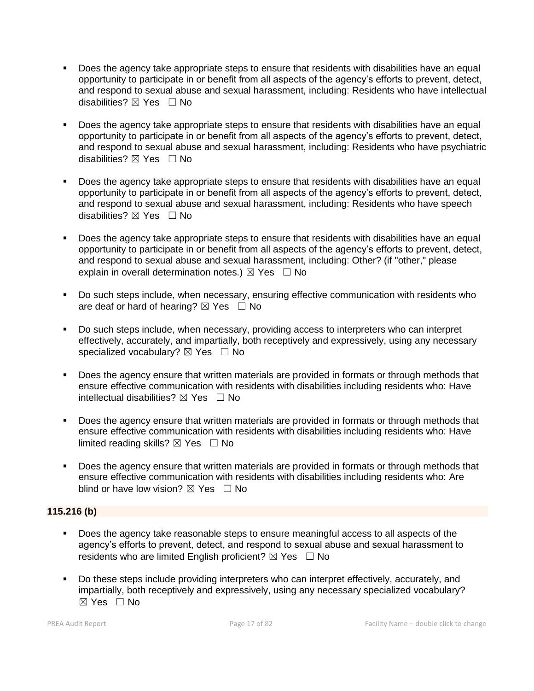- Does the agency take appropriate steps to ensure that residents with disabilities have an equal opportunity to participate in or benefit from all aspects of the agency's efforts to prevent, detect, and respond to sexual abuse and sexual harassment, including: Residents who have intellectual disabilities? ⊠ Yes □ No
- Does the agency take appropriate steps to ensure that residents with disabilities have an equal opportunity to participate in or benefit from all aspects of the agency's efforts to prevent, detect, and respond to sexual abuse and sexual harassment, including: Residents who have psychiatric disabilities? ⊠ Yes □ No
- Does the agency take appropriate steps to ensure that residents with disabilities have an equal opportunity to participate in or benefit from all aspects of the agency's efforts to prevent, detect, and respond to sexual abuse and sexual harassment, including: Residents who have speech disabilities? ⊠ Yes □ No
- Does the agency take appropriate steps to ensure that residents with disabilities have an equal opportunity to participate in or benefit from all aspects of the agency's efforts to prevent, detect, and respond to sexual abuse and sexual harassment, including: Other? (if "other," please explain in overall determination notes.)  $\boxtimes$  Yes  $\Box$  No
- Do such steps include, when necessary, ensuring effective communication with residents who are deaf or hard of hearing?  $\boxtimes$  Yes  $\Box$  No
- Do such steps include, when necessary, providing access to interpreters who can interpret effectively, accurately, and impartially, both receptively and expressively, using any necessary specialized vocabulary?  $\boxtimes$  Yes  $\Box$  No
- **•** Does the agency ensure that written materials are provided in formats or through methods that ensure effective communication with residents with disabilities including residents who: Have intellectual disabilities?  $\boxtimes$  Yes  $\Box$  No
- **•** Does the agency ensure that written materials are provided in formats or through methods that ensure effective communication with residents with disabilities including residents who: Have limited reading skills?  $\boxtimes$  Yes  $\Box$  No
- Does the agency ensure that written materials are provided in formats or through methods that ensure effective communication with residents with disabilities including residents who: Are blind or have low vision?  $\boxtimes$  Yes  $\Box$  No

### **115.216 (b)**

- Does the agency take reasonable steps to ensure meaningful access to all aspects of the agency's efforts to prevent, detect, and respond to sexual abuse and sexual harassment to residents who are limited English proficient?  $\boxtimes$  Yes  $\Box$  No
- Do these steps include providing interpreters who can interpret effectively, accurately, and impartially, both receptively and expressively, using any necessary specialized vocabulary?  $\boxtimes$  Yes  $\Box$  No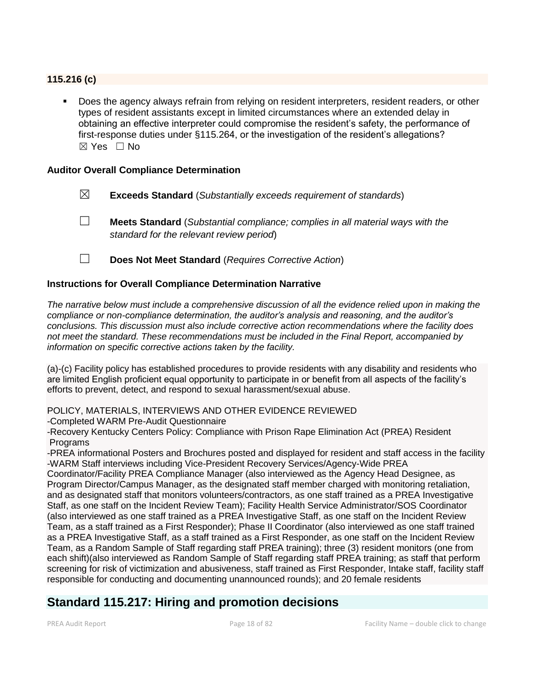### **115.216 (c)**

Does the agency always refrain from relying on resident interpreters, resident readers, or other types of resident assistants except in limited circumstances where an extended delay in obtaining an effective interpreter could compromise the resident's safety, the performance of first-response duties under §115.264, or the investigation of the resident's allegations?  $\boxtimes$  Yes  $\Box$  No

#### **Auditor Overall Compliance Determination**

- ☒ **Exceeds Standard** (*Substantially exceeds requirement of standards*)
- ☐ **Meets Standard** (*Substantial compliance; complies in all material ways with the standard for the relevant review period*)
- ☐ **Does Not Meet Standard** (*Requires Corrective Action*)

#### **Instructions for Overall Compliance Determination Narrative**

*The narrative below must include a comprehensive discussion of all the evidence relied upon in making the compliance or non-compliance determination, the auditor's analysis and reasoning, and the auditor's conclusions. This discussion must also include corrective action recommendations where the facility does not meet the standard. These recommendations must be included in the Final Report, accompanied by information on specific corrective actions taken by the facility.*

(a)-(c) Facility policy has established procedures to provide residents with any disability and residents who are limited English proficient equal opportunity to participate in or benefit from all aspects of the facility's efforts to prevent, detect, and respond to sexual harassment/sexual abuse.

POLICY, MATERIALS, INTERVIEWS AND OTHER EVIDENCE REVIEWED

-Completed WARM Pre-Audit Questionnaire

-Recovery Kentucky Centers Policy: Compliance with Prison Rape Elimination Act (PREA) Resident Programs

-PREA informational Posters and Brochures posted and displayed for resident and staff access in the facility -WARM Staff interviews including Vice-President Recovery Services/Agency-Wide PREA

Coordinator/Facility PREA Compliance Manager (also interviewed as the Agency Head Designee, as Program Director/Campus Manager, as the designated staff member charged with monitoring retaliation, and as designated staff that monitors volunteers/contractors, as one staff trained as a PREA Investigative Staff, as one staff on the Incident Review Team); Facility Health Service Administrator/SOS Coordinator (also interviewed as one staff trained as a PREA Investigative Staff, as one staff on the Incident Review Team, as a staff trained as a First Responder); Phase II Coordinator (also interviewed as one staff trained as a PREA Investigative Staff, as a staff trained as a First Responder, as one staff on the Incident Review Team, as a Random Sample of Staff regarding staff PREA training); three (3) resident monitors (one from each shift)(also interviewed as Random Sample of Staff regarding staff PREA training; as staff that perform screening for risk of victimization and abusiveness, staff trained as First Responder, Intake staff, facility staff responsible for conducting and documenting unannounced rounds); and 20 female residents

# **Standard 115.217: Hiring and promotion decisions**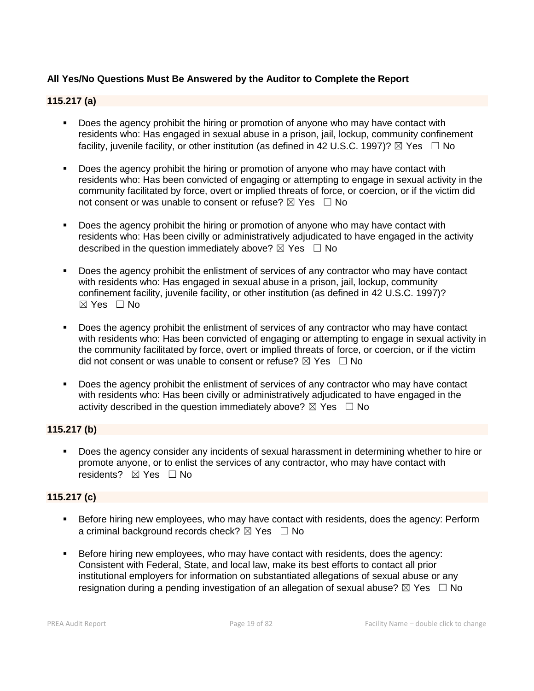## **All Yes/No Questions Must Be Answered by the Auditor to Complete the Report**

### **115.217 (a)**

- **•** Does the agency prohibit the hiring or promotion of anyone who may have contact with residents who: Has engaged in sexual abuse in a prison, jail, lockup, community confinement facility, juvenile facility, or other institution (as defined in 42 U.S.C. 1997)?  $\boxtimes$  Yes  $\Box$  No
- Does the agency prohibit the hiring or promotion of anyone who may have contact with residents who: Has been convicted of engaging or attempting to engage in sexual activity in the community facilitated by force, overt or implied threats of force, or coercion, or if the victim did not consent or was unable to consent or refuse?  $\boxtimes$  Yes  $\Box$  No
- Does the agency prohibit the hiring or promotion of anyone who may have contact with residents who: Has been civilly or administratively adjudicated to have engaged in the activity described in the question immediately above?  $\boxtimes$  Yes  $\Box$  No
- Does the agency prohibit the enlistment of services of any contractor who may have contact with residents who: Has engaged in sexual abuse in a prison, jail, lockup, community confinement facility, juvenile facility, or other institution (as defined in 42 U.S.C. 1997)?  $\boxtimes$  Yes  $\Box$  No
- Does the agency prohibit the enlistment of services of any contractor who may have contact with residents who: Has been convicted of engaging or attempting to engage in sexual activity in the community facilitated by force, overt or implied threats of force, or coercion, or if the victim did not consent or was unable to consent or refuse?  $\boxtimes$  Yes  $\Box$  No
- Does the agency prohibit the enlistment of services of any contractor who may have contact with residents who: Has been civilly or administratively adjudicated to have engaged in the activity described in the question immediately above?  $\boxtimes$  Yes  $\Box$  No

### **115.217 (b)**

▪ Does the agency consider any incidents of sexual harassment in determining whether to hire or promote anyone, or to enlist the services of any contractor, who may have contact with residents? **⊠ Yes** □ No

### **115.217 (c)**

- **EXEL Before hiring new employees, who may have contact with residents, does the agency: Perform** a criminal background records check?  $\boxtimes$  Yes  $\Box$  No
- **EXEL Before hiring new employees, who may have contact with residents, does the agency:** Consistent with Federal, State, and local law, make its best efforts to contact all prior institutional employers for information on substantiated allegations of sexual abuse or any resignation during a pending investigation of an allegation of sexual abuse?  $\boxtimes$  Yes  $\Box$  No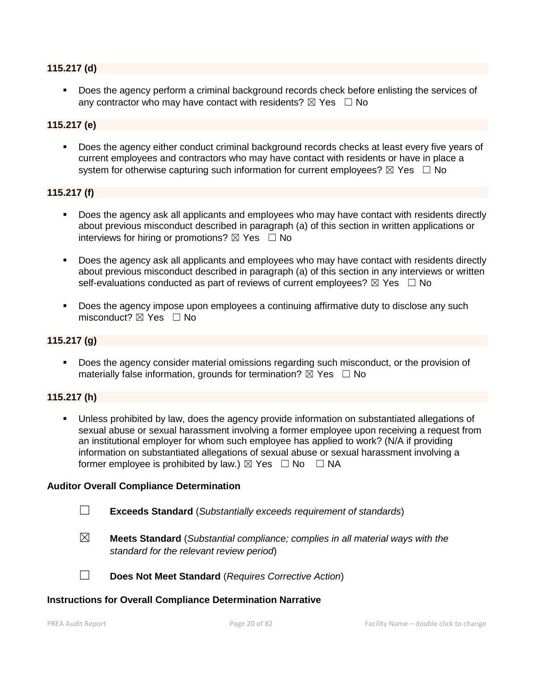#### **115.217 (d)**

■ Does the agency perform a criminal background records check before enlisting the services of any contractor who may have contact with residents?  $\boxtimes$  Yes  $\Box$  No

#### **115.217 (e)**

▪ Does the agency either conduct criminal background records checks at least every five years of current employees and contractors who may have contact with residents or have in place a system for otherwise capturing such information for current employees?  $\boxtimes$  Yes  $\Box$  No

#### **115.217 (f)**

- Does the agency ask all applicants and employees who may have contact with residents directly about previous misconduct described in paragraph (a) of this section in written applications or interviews for hiring or promotions?  $\boxtimes$  Yes  $\Box$  No
- Does the agency ask all applicants and employees who may have contact with residents directly about previous misconduct described in paragraph (a) of this section in any interviews or written self-evaluations conducted as part of reviews of current employees?  $\boxtimes$  Yes  $\Box$  No
- Does the agency impose upon employees a continuing affirmative duty to disclose any such misconduct?  $\boxtimes$  Yes  $\Box$  No

#### **115.217 (g)**

**•** Does the agency consider material omissions regarding such misconduct, or the provision of materially false information, grounds for termination?  $\boxtimes$  Yes  $\Box$  No

#### **115.217 (h)**

▪ Unless prohibited by law, does the agency provide information on substantiated allegations of sexual abuse or sexual harassment involving a former employee upon receiving a request from an institutional employer for whom such employee has applied to work? (N/A if providing information on substantiated allegations of sexual abuse or sexual harassment involving a former employee is prohibited by law.)  $\boxtimes$  Yes  $\Box$  No  $\Box$  NA

#### **Auditor Overall Compliance Determination**

- ☐ **Exceeds Standard** (*Substantially exceeds requirement of standards*)
- ☒ **Meets Standard** (*Substantial compliance; complies in all material ways with the standard for the relevant review period*)
- ☐ **Does Not Meet Standard** (*Requires Corrective Action*)

#### **Instructions for Overall Compliance Determination Narrative**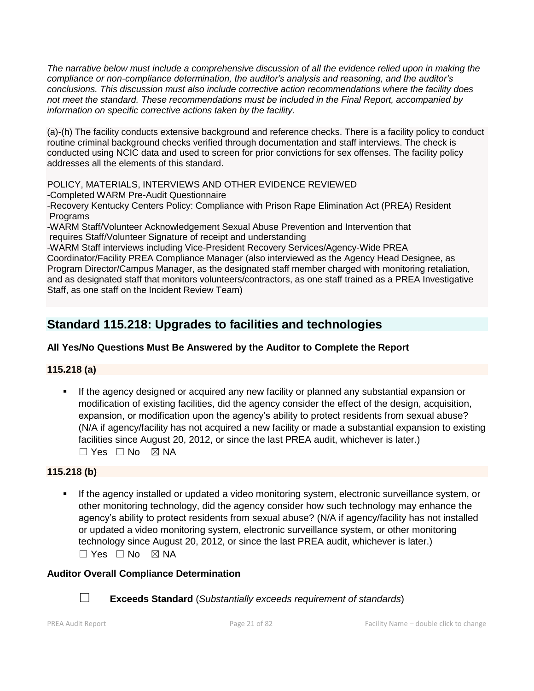*The narrative below must include a comprehensive discussion of all the evidence relied upon in making the compliance or non-compliance determination, the auditor's analysis and reasoning, and the auditor's conclusions. This discussion must also include corrective action recommendations where the facility does not meet the standard. These recommendations must be included in the Final Report, accompanied by information on specific corrective actions taken by the facility.*

(a)-(h) The facility conducts extensive background and reference checks. There is a facility policy to conduct routine criminal background checks verified through documentation and staff interviews. The check is conducted using NCIC data and used to screen for prior convictions for sex offenses. The facility policy addresses all the elements of this standard.

POLICY, MATERIALS, INTERVIEWS AND OTHER EVIDENCE REVIEWED

-Completed WARM Pre-Audit Questionnaire

-Recovery Kentucky Centers Policy: Compliance with Prison Rape Elimination Act (PREA) Resident Programs

-WARM Staff/Volunteer Acknowledgement Sexual Abuse Prevention and Intervention that requires Staff/Volunteer Signature of receipt and understanding

-WARM Staff interviews including Vice-President Recovery Services/Agency-Wide PREA Coordinator/Facility PREA Compliance Manager (also interviewed as the Agency Head Designee, as Program Director/Campus Manager, as the designated staff member charged with monitoring retaliation, and as designated staff that monitors volunteers/contractors, as one staff trained as a PREA Investigative Staff, as one staff on the Incident Review Team)

# **Standard 115.218: Upgrades to facilities and technologies**

# **All Yes/No Questions Must Be Answered by the Auditor to Complete the Report**

# **115.218 (a)**

**■** If the agency designed or acquired any new facility or planned any substantial expansion or modification of existing facilities, did the agency consider the effect of the design, acquisition, expansion, or modification upon the agency's ability to protect residents from sexual abuse? (N/A if agency/facility has not acquired a new facility or made a substantial expansion to existing facilities since August 20, 2012, or since the last PREA audit, whichever is later.)  $\square$  Yes  $\square$  No  $\square$  NA

# **115.218 (b)**

If the agency installed or updated a video monitoring system, electronic surveillance system, or other monitoring technology, did the agency consider how such technology may enhance the agency's ability to protect residents from sexual abuse? (N/A if agency/facility has not installed or updated a video monitoring system, electronic surveillance system, or other monitoring technology since August 20, 2012, or since the last PREA audit, whichever is later.)  $\square$  Yes  $\square$  No  $\square$  NA

# **Auditor Overall Compliance Determination**



☐ **Exceeds Standard** (*Substantially exceeds requirement of standards*)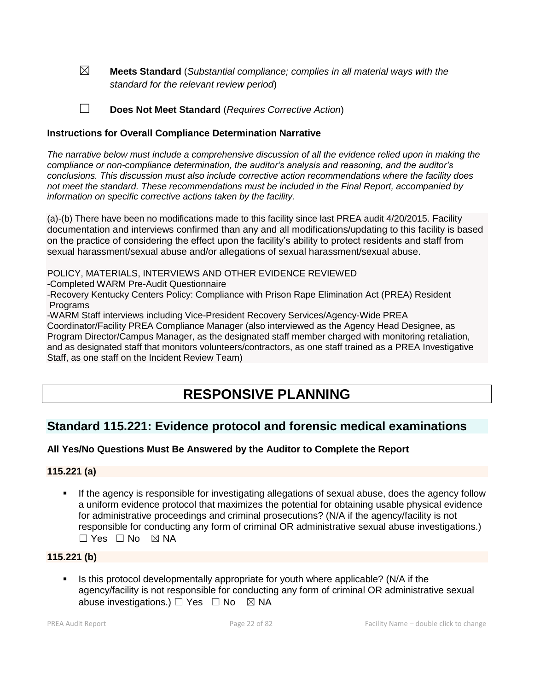☒ **Meets Standard** (*Substantial compliance; complies in all material ways with the standard for the relevant review period*)

☐ **Does Not Meet Standard** (*Requires Corrective Action*)

#### **Instructions for Overall Compliance Determination Narrative**

*The narrative below must include a comprehensive discussion of all the evidence relied upon in making the compliance or non-compliance determination, the auditor's analysis and reasoning, and the auditor's conclusions. This discussion must also include corrective action recommendations where the facility does not meet the standard. These recommendations must be included in the Final Report, accompanied by information on specific corrective actions taken by the facility.*

(a)-(b) There have been no modifications made to this facility since last PREA audit 4/20/2015. Facility documentation and interviews confirmed than any and all modifications/updating to this facility is based on the practice of considering the effect upon the facility's ability to protect residents and staff from sexual harassment/sexual abuse and/or allegations of sexual harassment/sexual abuse.

POLICY, MATERIALS, INTERVIEWS AND OTHER EVIDENCE REVIEWED

-Completed WARM Pre-Audit Questionnaire

-Recovery Kentucky Centers Policy: Compliance with Prison Rape Elimination Act (PREA) Resident **Programs** 

-WARM Staff interviews including Vice-President Recovery Services/Agency-Wide PREA

Coordinator/Facility PREA Compliance Manager (also interviewed as the Agency Head Designee, as Program Director/Campus Manager, as the designated staff member charged with monitoring retaliation, and as designated staff that monitors volunteers/contractors, as one staff trained as a PREA Investigative Staff, as one staff on the Incident Review Team)

# **RESPONSIVE PLANNING**

# **Standard 115.221: Evidence protocol and forensic medical examinations**

### **All Yes/No Questions Must Be Answered by the Auditor to Complete the Report**

#### **115.221 (a)**

**.** If the agency is responsible for investigating allegations of sexual abuse, does the agency follow a uniform evidence protocol that maximizes the potential for obtaining usable physical evidence for administrative proceedings and criminal prosecutions? (N/A if the agency/facility is not responsible for conducting any form of criminal OR administrative sexual abuse investigations.) ☐ Yes ☐ No ☒ NA

#### **115.221 (b)**

Is this protocol developmentally appropriate for youth where applicable? (N/A if the agency/facility is not responsible for conducting any form of criminal OR administrative sexual abuse investigations.)  $\Box$  Yes  $\Box$  No  $\boxtimes$  NA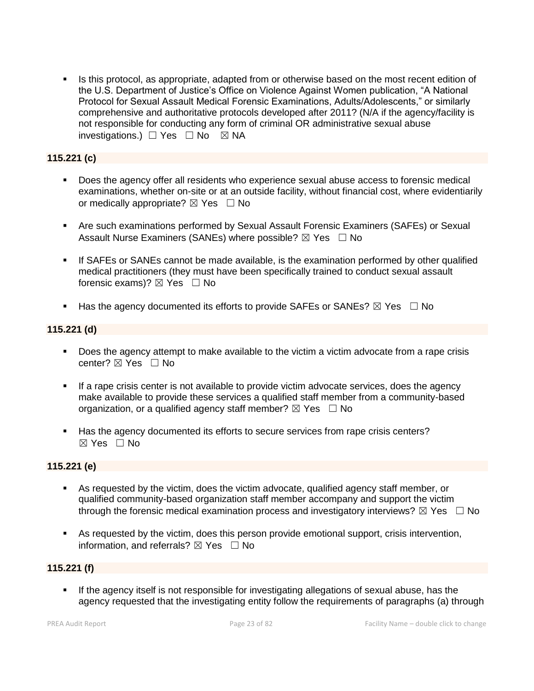Is this protocol, as appropriate, adapted from or otherwise based on the most recent edition of the U.S. Department of Justice's Office on Violence Against Women publication, "A National Protocol for Sexual Assault Medical Forensic Examinations, Adults/Adolescents," or similarly comprehensive and authoritative protocols developed after 2011? (N/A if the agency/facility is not responsible for conducting any form of criminal OR administrative sexual abuse investigations.) ☐ Yes ☐ No ☒ NA

# **115.221 (c)**

- Does the agency offer all residents who experience sexual abuse access to forensic medical examinations, whether on-site or at an outside facility, without financial cost, where evidentiarily or medically appropriate?  $\boxtimes$  Yes  $\Box$  No
- **EXT** Are such examinations performed by Sexual Assault Forensic Examiners (SAFEs) or Sexual Assault Nurse Examiners (SANEs) where possible?  $\boxtimes$  Yes  $\Box$  No
- **.** If SAFEs or SANEs cannot be made available, is the examination performed by other qualified medical practitioners (they must have been specifically trained to conduct sexual assault forensic exams)?  $\boxtimes$  Yes  $\Box$  No
- **■** Has the agency documented its efforts to provide SAFEs or SANEs?  $\boxtimes$  Yes  $\Box$  No

## **115.221 (d)**

- Does the agency attempt to make available to the victim a victim advocate from a rape crisis center?  $\boxtimes$  Yes  $\Box$  No
- **.** If a rape crisis center is not available to provide victim advocate services, does the agency make available to provide these services a qualified staff member from a community-based organization, or a qualified agency staff member?  $\boxtimes$  Yes  $\Box$  No
- Has the agency documented its efforts to secure services from rape crisis centers? ☒ Yes ☐ No

### **115.221 (e)**

- As requested by the victim, does the victim advocate, qualified agency staff member, or qualified community-based organization staff member accompany and support the victim through the forensic medical examination process and investigatory interviews?  $\boxtimes$  Yes  $\Box$  No
- **EXECT** As requested by the victim, does this person provide emotional support, crisis intervention, information, and referrals?  $\boxtimes$  Yes  $\Box$  No

### **115.221 (f)**

If the agency itself is not responsible for investigating allegations of sexual abuse, has the agency requested that the investigating entity follow the requirements of paragraphs (a) through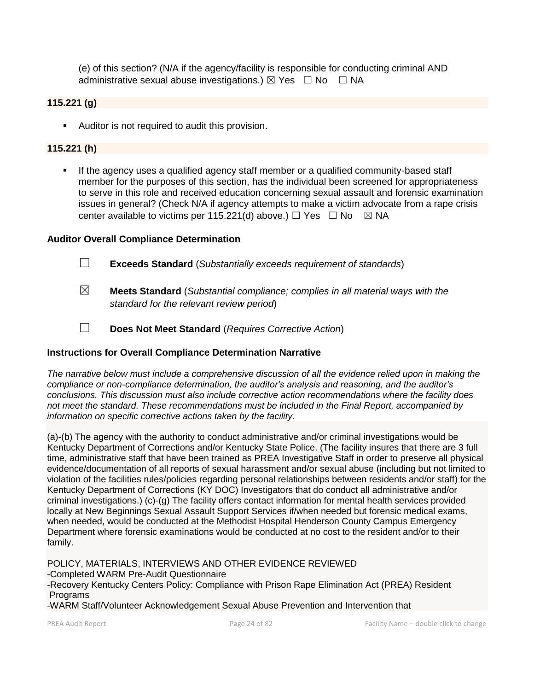(e) of this section? (N/A if the agency/facility is responsible for conducting criminal AND administrative sexual abuse investigations.)  $\boxtimes$  Yes  $\Box$  No  $\Box$  NA

### **115.221 (g)**

■ Auditor is not required to audit this provision.

#### **115.221 (h)**

**■** If the agency uses a qualified agency staff member or a qualified community-based staff member for the purposes of this section, has the individual been screened for appropriateness to serve in this role and received education concerning sexual assault and forensic examination issues in general? (Check N/A if agency attempts to make a victim advocate from a rape crisis center available to victims per 115.221(d) above.)  $\Box$  Yes  $\Box$  No  $\boxtimes$  NA

#### **Auditor Overall Compliance Determination**

- ☐ **Exceeds Standard** (*Substantially exceeds requirement of standards*)
- ☒ **Meets Standard** (*Substantial compliance; complies in all material ways with the standard for the relevant review period*)
- ☐ **Does Not Meet Standard** (*Requires Corrective Action*)

#### **Instructions for Overall Compliance Determination Narrative**

*The narrative below must include a comprehensive discussion of all the evidence relied upon in making the compliance or non-compliance determination, the auditor's analysis and reasoning, and the auditor's conclusions. This discussion must also include corrective action recommendations where the facility does not meet the standard. These recommendations must be included in the Final Report, accompanied by information on specific corrective actions taken by the facility.*

(a)-(b) The agency with the authority to conduct administrative and/or criminal investigations would be Kentucky Department of Corrections and/or Kentucky State Police. (The facility insures that there are 3 full time, administrative staff that have been trained as PREA Investigative Staff in order to preserve all physical evidence/documentation of all reports of sexual harassment and/or sexual abuse (including but not limited to violation of the facilities rules/policies regarding personal relationships between residents and/or staff) for the Kentucky Department of Corrections (KY DOC) Investigators that do conduct all administrative and/or criminal investigations.) (c)-(g) The facility offers contact information for mental health services provided locally at New Beginnings Sexual Assault Support Services if/when needed but forensic medical exams, when needed, would be conducted at the Methodist Hospital Henderson County Campus Emergency Department where forensic examinations would be conducted at no cost to the resident and/or to their family.

POLICY, MATERIALS, INTERVIEWS AND OTHER EVIDENCE REVIEWED -Completed WARM Pre-Audit Questionnaire -Recovery Kentucky Centers Policy: Compliance with Prison Rape Elimination Act (PREA) Resident Programs -WARM Staff/Volunteer Acknowledgement Sexual Abuse Prevention and Intervention that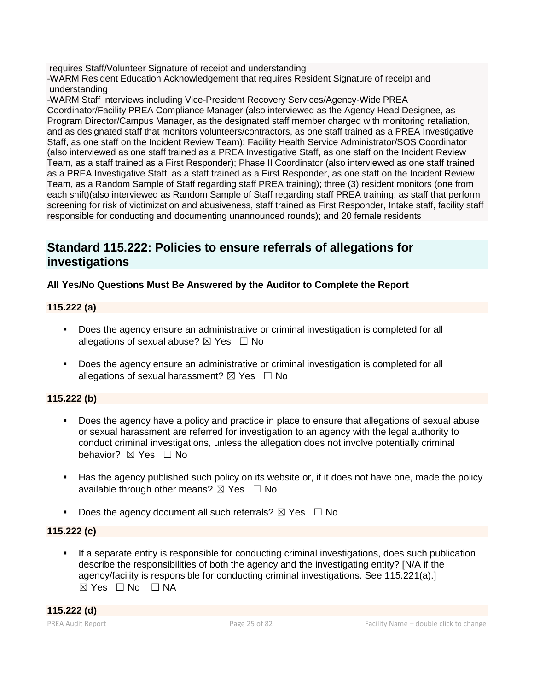requires Staff/Volunteer Signature of receipt and understanding

-WARM Resident Education Acknowledgement that requires Resident Signature of receipt and understanding

-WARM Staff interviews including Vice-President Recovery Services/Agency-Wide PREA Coordinator/Facility PREA Compliance Manager (also interviewed as the Agency Head Designee, as Program Director/Campus Manager, as the designated staff member charged with monitoring retaliation, and as designated staff that monitors volunteers/contractors, as one staff trained as a PREA Investigative Staff, as one staff on the Incident Review Team); Facility Health Service Administrator/SOS Coordinator (also interviewed as one staff trained as a PREA Investigative Staff, as one staff on the Incident Review Team, as a staff trained as a First Responder); Phase II Coordinator (also interviewed as one staff trained as a PREA Investigative Staff, as a staff trained as a First Responder, as one staff on the Incident Review Team, as a Random Sample of Staff regarding staff PREA training); three (3) resident monitors (one from each shift)(also interviewed as Random Sample of Staff regarding staff PREA training; as staff that perform screening for risk of victimization and abusiveness, staff trained as First Responder, Intake staff, facility staff responsible for conducting and documenting unannounced rounds); and 20 female residents

# **Standard 115.222: Policies to ensure referrals of allegations for investigations**

# **All Yes/No Questions Must Be Answered by the Auditor to Complete the Report**

# **115.222 (a)**

- Does the agency ensure an administrative or criminal investigation is completed for all allegations of sexual abuse?  $\boxtimes$  Yes  $\Box$  No
- Does the agency ensure an administrative or criminal investigation is completed for all allegations of sexual harassment?  $\boxtimes$  Yes  $\Box$  No

# **115.222 (b)**

- Does the agency have a policy and practice in place to ensure that allegations of sexual abuse or sexual harassment are referred for investigation to an agency with the legal authority to conduct criminal investigations, unless the allegation does not involve potentially criminal behavior? **⊠** Yes □ No
- Has the agency published such policy on its website or, if it does not have one, made the policy available through other means?  $\boxtimes$  Yes  $\Box$  No
- Does the agency document all such referrals?  $\boxtimes$  Yes  $\Box$  No

### **115.222 (c)**

**•** If a separate entity is responsible for conducting criminal investigations, does such publication describe the responsibilities of both the agency and the investigating entity? [N/A if the agency/facility is responsible for conducting criminal investigations. See 115.221(a).]  $\boxtimes$  Yes  $\Box$  No  $\Box$  NA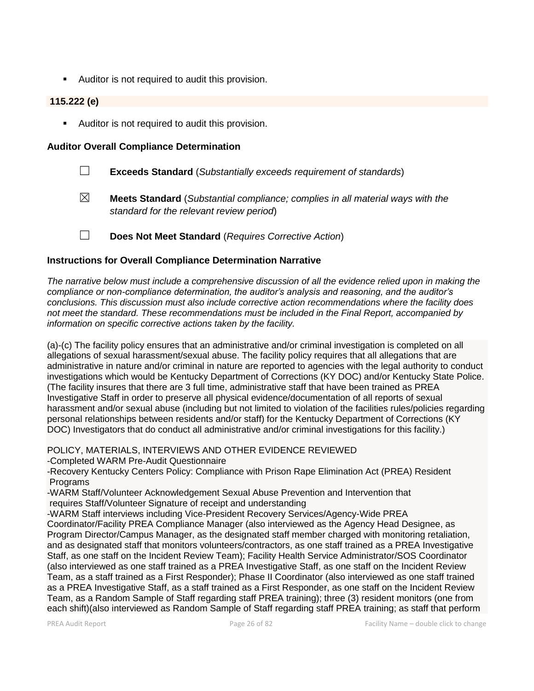■ Auditor is not required to audit this provision.

### **115.222 (e)**

■ Auditor is not required to audit this provision.

#### **Auditor Overall Compliance Determination**

- ☐ **Exceeds Standard** (*Substantially exceeds requirement of standards*)
- ☒ **Meets Standard** (*Substantial compliance; complies in all material ways with the standard for the relevant review period*)
- ☐ **Does Not Meet Standard** (*Requires Corrective Action*)

#### **Instructions for Overall Compliance Determination Narrative**

*The narrative below must include a comprehensive discussion of all the evidence relied upon in making the compliance or non-compliance determination, the auditor's analysis and reasoning, and the auditor's conclusions. This discussion must also include corrective action recommendations where the facility does not meet the standard. These recommendations must be included in the Final Report, accompanied by information on specific corrective actions taken by the facility.*

(a)-(c) The facility policy ensures that an administrative and/or criminal investigation is completed on all allegations of sexual harassment/sexual abuse. The facility policy requires that all allegations that are administrative in nature and/or criminal in nature are reported to agencies with the legal authority to conduct investigations which would be Kentucky Department of Corrections (KY DOC) and/or Kentucky State Police. (The facility insures that there are 3 full time, administrative staff that have been trained as PREA Investigative Staff in order to preserve all physical evidence/documentation of all reports of sexual harassment and/or sexual abuse (including but not limited to violation of the facilities rules/policies regarding personal relationships between residents and/or staff) for the Kentucky Department of Corrections (KY DOC) Investigators that do conduct all administrative and/or criminal investigations for this facility.)

POLICY, MATERIALS, INTERVIEWS AND OTHER EVIDENCE REVIEWED

-Completed WARM Pre-Audit Questionnaire

-Recovery Kentucky Centers Policy: Compliance with Prison Rape Elimination Act (PREA) Resident Programs

-WARM Staff/Volunteer Acknowledgement Sexual Abuse Prevention and Intervention that requires Staff/Volunteer Signature of receipt and understanding

-WARM Staff interviews including Vice-President Recovery Services/Agency-Wide PREA

Coordinator/Facility PREA Compliance Manager (also interviewed as the Agency Head Designee, as Program Director/Campus Manager, as the designated staff member charged with monitoring retaliation, and as designated staff that monitors volunteers/contractors, as one staff trained as a PREA Investigative Staff, as one staff on the Incident Review Team); Facility Health Service Administrator/SOS Coordinator (also interviewed as one staff trained as a PREA Investigative Staff, as one staff on the Incident Review Team, as a staff trained as a First Responder); Phase II Coordinator (also interviewed as one staff trained as a PREA Investigative Staff, as a staff trained as a First Responder, as one staff on the Incident Review Team, as a Random Sample of Staff regarding staff PREA training); three (3) resident monitors (one from each shift)(also interviewed as Random Sample of Staff regarding staff PREA training; as staff that perform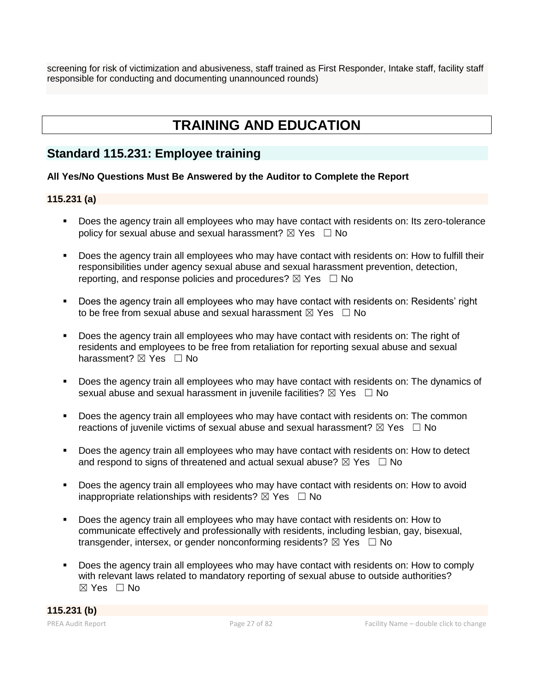screening for risk of victimization and abusiveness, staff trained as First Responder, Intake staff, facility staff responsible for conducting and documenting unannounced rounds)

# **TRAINING AND EDUCATION**

# **Standard 115.231: Employee training**

## **All Yes/No Questions Must Be Answered by the Auditor to Complete the Report**

## **115.231 (a)**

- Does the agency train all employees who may have contact with residents on: Its zero-tolerance policy for sexual abuse and sexual harassment?  $\boxtimes$  Yes  $\Box$  No
- Does the agency train all employees who may have contact with residents on: How to fulfill their responsibilities under agency sexual abuse and sexual harassment prevention, detection, reporting, and response policies and procedures?  $\boxtimes$  Yes  $\Box$  No
- Does the agency train all employees who may have contact with residents on: Residents' right to be free from sexual abuse and sexual harassment  $\boxtimes$  Yes  $\Box$  No
- Does the agency train all employees who may have contact with residents on: The right of residents and employees to be free from retaliation for reporting sexual abuse and sexual harassment? ⊠ Yes □ No
- Does the agency train all employees who may have contact with residents on: The dynamics of sexual abuse and sexual harassment in juvenile facilities?  $\boxtimes$  Yes  $\Box$  No
- Does the agency train all employees who may have contact with residents on: The common reactions of juvenile victims of sexual abuse and sexual harassment?  $\boxtimes$  Yes  $\Box$  No
- Does the agency train all employees who may have contact with residents on: How to detect and respond to signs of threatened and actual sexual abuse?  $\boxtimes$  Yes  $\Box$  No
- Does the agency train all employees who may have contact with residents on: How to avoid inappropriate relationships with residents?  $\boxtimes$  Yes  $\Box$  No
- Does the agency train all employees who may have contact with residents on: How to communicate effectively and professionally with residents, including lesbian, gay, bisexual, transgender, intersex, or gender nonconforming residents?  $\boxtimes$  Yes  $\Box$  No
- Does the agency train all employees who may have contact with residents on: How to comply with relevant laws related to mandatory reporting of sexual abuse to outside authorities?  $\boxtimes$  Yes  $\Box$  No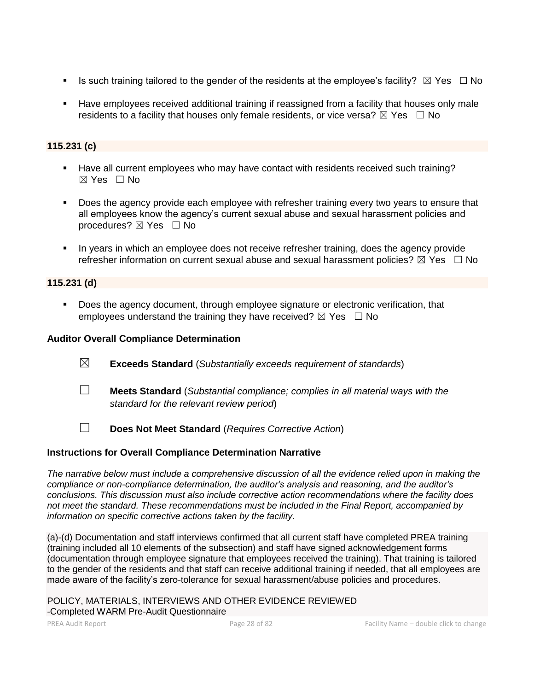- **■** Is such training tailored to the gender of the residents at the employee's facility?  $\boxtimes$  Yes  $\Box$  No
- Have employees received additional training if reassigned from a facility that houses only male residents to a facility that houses only female residents, or vice versa?  $\boxtimes$  Yes  $\Box$  No

# **115.231 (c)**

- Have all current employees who may have contact with residents received such training?  $\boxtimes$  Yes  $\Box$  No
- **•** Does the agency provide each employee with refresher training every two years to ensure that all employees know the agency's current sexual abuse and sexual harassment policies and procedures?  $\boxtimes$  Yes  $\Box$  No
- In years in which an employee does not receive refresher training, does the agency provide refresher information on current sexual abuse and sexual harassment policies?  $\boxtimes$  Yes  $\Box$  No

### **115.231 (d)**

▪ Does the agency document, through employee signature or electronic verification, that employees understand the training they have received?  $\boxtimes$  Yes  $\Box$  No

#### **Auditor Overall Compliance Determination**

- ☒ **Exceeds Standard** (*Substantially exceeds requirement of standards*)
- ☐ **Meets Standard** (*Substantial compliance; complies in all material ways with the standard for the relevant review period*)
- ☐ **Does Not Meet Standard** (*Requires Corrective Action*)

#### **Instructions for Overall Compliance Determination Narrative**

*The narrative below must include a comprehensive discussion of all the evidence relied upon in making the compliance or non-compliance determination, the auditor's analysis and reasoning, and the auditor's conclusions. This discussion must also include corrective action recommendations where the facility does not meet the standard. These recommendations must be included in the Final Report, accompanied by information on specific corrective actions taken by the facility.*

(a)-(d) Documentation and staff interviews confirmed that all current staff have completed PREA training (training included all 10 elements of the subsection) and staff have signed acknowledgement forms (documentation through employee signature that employees received the training). That training is tailored to the gender of the residents and that staff can receive additional training if needed, that all employees are made aware of the facility's zero-tolerance for sexual harassment/abuse policies and procedures.

POLICY, MATERIALS, INTERVIEWS AND OTHER EVIDENCE REVIEWED -Completed WARM Pre-Audit Questionnaire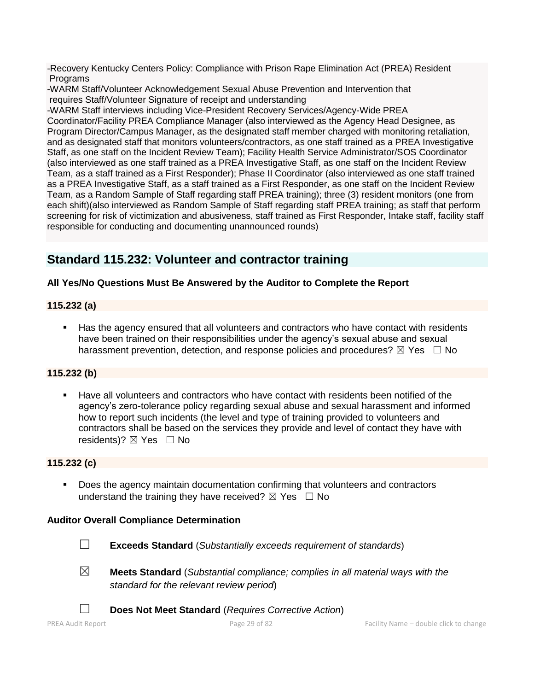-Recovery Kentucky Centers Policy: Compliance with Prison Rape Elimination Act (PREA) Resident **Programs** 

-WARM Staff/Volunteer Acknowledgement Sexual Abuse Prevention and Intervention that requires Staff/Volunteer Signature of receipt and understanding

-WARM Staff interviews including Vice-President Recovery Services/Agency-Wide PREA Coordinator/Facility PREA Compliance Manager (also interviewed as the Agency Head Designee, as Program Director/Campus Manager, as the designated staff member charged with monitoring retaliation, and as designated staff that monitors volunteers/contractors, as one staff trained as a PREA Investigative Staff, as one staff on the Incident Review Team); Facility Health Service Administrator/SOS Coordinator (also interviewed as one staff trained as a PREA Investigative Staff, as one staff on the Incident Review Team, as a staff trained as a First Responder); Phase II Coordinator (also interviewed as one staff trained as a PREA Investigative Staff, as a staff trained as a First Responder, as one staff on the Incident Review Team, as a Random Sample of Staff regarding staff PREA training); three (3) resident monitors (one from each shift)(also interviewed as Random Sample of Staff regarding staff PREA training; as staff that perform screening for risk of victimization and abusiveness, staff trained as First Responder, Intake staff, facility staff responsible for conducting and documenting unannounced rounds)

# **Standard 115.232: Volunteer and contractor training**

# **All Yes/No Questions Must Be Answered by the Auditor to Complete the Report**

### **115.232 (a)**

■ Has the agency ensured that all volunteers and contractors who have contact with residents have been trained on their responsibilities under the agency's sexual abuse and sexual harassment prevention, detection, and response policies and procedures?  $\boxtimes$  Yes  $\Box$  No

### **115.232 (b)**

Have all volunteers and contractors who have contact with residents been notified of the agency's zero-tolerance policy regarding sexual abuse and sexual harassment and informed how to report such incidents (the level and type of training provided to volunteers and contractors shall be based on the services they provide and level of contact they have with residents)?  $\boxtimes$  Yes  $\Box$  No

#### **115.232 (c)**

■ Does the agency maintain documentation confirming that volunteers and contractors understand the training they have received?  $\boxtimes$  Yes  $\Box$  No

### **Auditor Overall Compliance Determination**

- 
- ☐ **Exceeds Standard** (*Substantially exceeds requirement of standards*)
- ☒ **Meets Standard** (*Substantial compliance; complies in all material ways with the standard for the relevant review period*)
	- ☐ **Does Not Meet Standard** (*Requires Corrective Action*)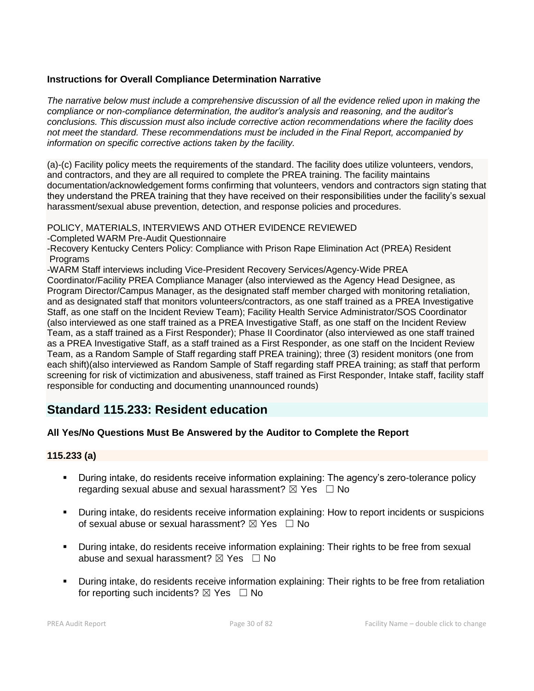### **Instructions for Overall Compliance Determination Narrative**

*The narrative below must include a comprehensive discussion of all the evidence relied upon in making the compliance or non-compliance determination, the auditor's analysis and reasoning, and the auditor's conclusions. This discussion must also include corrective action recommendations where the facility does not meet the standard. These recommendations must be included in the Final Report, accompanied by information on specific corrective actions taken by the facility.*

(a)-(c) Facility policy meets the requirements of the standard. The facility does utilize volunteers, vendors, and contractors, and they are all required to complete the PREA training. The facility maintains documentation/acknowledgement forms confirming that volunteers, vendors and contractors sign stating that they understand the PREA training that they have received on their responsibilities under the facility's sexual harassment/sexual abuse prevention, detection, and response policies and procedures.

POLICY, MATERIALS, INTERVIEWS AND OTHER EVIDENCE REVIEWED

-Completed WARM Pre-Audit Questionnaire

-Recovery Kentucky Centers Policy: Compliance with Prison Rape Elimination Act (PREA) Resident Programs

-WARM Staff interviews including Vice-President Recovery Services/Agency-Wide PREA Coordinator/Facility PREA Compliance Manager (also interviewed as the Agency Head Designee, as Program Director/Campus Manager, as the designated staff member charged with monitoring retaliation, and as designated staff that monitors volunteers/contractors, as one staff trained as a PREA Investigative Staff, as one staff on the Incident Review Team); Facility Health Service Administrator/SOS Coordinator (also interviewed as one staff trained as a PREA Investigative Staff, as one staff on the Incident Review Team, as a staff trained as a First Responder); Phase II Coordinator (also interviewed as one staff trained as a PREA Investigative Staff, as a staff trained as a First Responder, as one staff on the Incident Review Team, as a Random Sample of Staff regarding staff PREA training); three (3) resident monitors (one from each shift)(also interviewed as Random Sample of Staff regarding staff PREA training; as staff that perform screening for risk of victimization and abusiveness, staff trained as First Responder, Intake staff, facility staff responsible for conducting and documenting unannounced rounds)

# **Standard 115.233: Resident education**

### **All Yes/No Questions Must Be Answered by the Auditor to Complete the Report**

### **115.233 (a)**

- During intake, do residents receive information explaining: The agency's zero-tolerance policy regarding sexual abuse and sexual harassment?  $\boxtimes$  Yes  $\Box$  No
- During intake, do residents receive information explaining: How to report incidents or suspicions of sexual abuse or sexual harassment?  $\boxtimes$  Yes  $\Box$  No
- During intake, do residents receive information explaining: Their rights to be free from sexual abuse and sexual harassment?  $\boxtimes$  Yes  $\Box$  No
- During intake, do residents receive information explaining: Their rights to be free from retaliation for reporting such incidents?  $\boxtimes$  Yes  $\Box$  No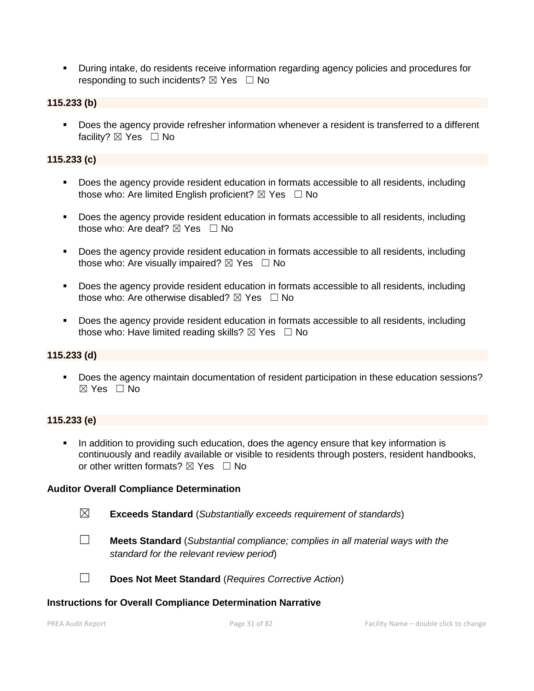▪ During intake, do residents receive information regarding agency policies and procedures for responding to such incidents?  $\boxtimes$  Yes  $\Box$  No

#### **115.233 (b)**

■ Does the agency provide refresher information whenever a resident is transferred to a different facility? ⊠ Yes □ No

### **115.233 (c)**

- Does the agency provide resident education in formats accessible to all residents, including those who: Are limited English proficient?  $\boxtimes$  Yes  $\Box$  No
- Does the agency provide resident education in formats accessible to all residents, including those who: Are deaf?  $\boxtimes$  Yes  $\Box$  No
- Does the agency provide resident education in formats accessible to all residents, including those who: Are visually impaired?  $\boxtimes$  Yes  $\Box$  No
- Does the agency provide resident education in formats accessible to all residents, including those who: Are otherwise disabled?  $\boxtimes$  Yes  $\Box$  No
- Does the agency provide resident education in formats accessible to all residents, including those who: Have limited reading skills?  $\boxtimes$  Yes  $\Box$  No

### **115.233 (d)**

■ Does the agency maintain documentation of resident participation in these education sessions? ☒ Yes ☐ No

### **115.233 (e)**

**•** In addition to providing such education, does the agency ensure that key information is continuously and readily available or visible to residents through posters, resident handbooks, or other written formats?  $\boxtimes$  Yes  $\Box$  No

#### **Auditor Overall Compliance Determination**

- ☒ **Exceeds Standard** (*Substantially exceeds requirement of standards*)
- ☐ **Meets Standard** (*Substantial compliance; complies in all material ways with the standard for the relevant review period*)
- ☐ **Does Not Meet Standard** (*Requires Corrective Action*)

#### **Instructions for Overall Compliance Determination Narrative**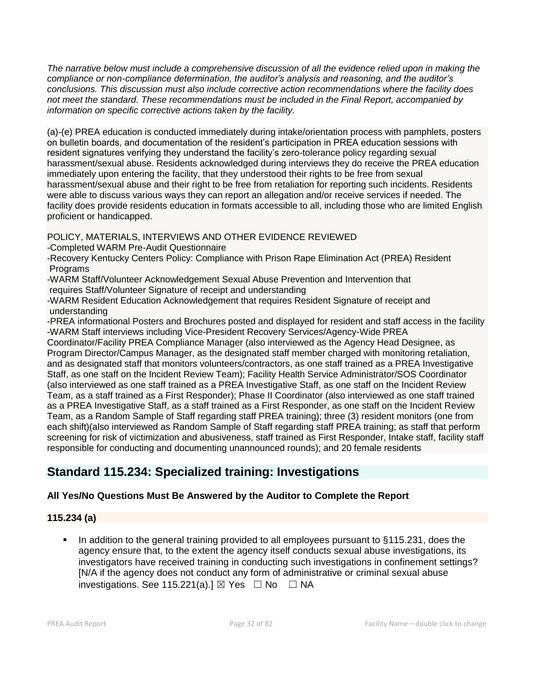*The narrative below must include a comprehensive discussion of all the evidence relied upon in making the compliance or non-compliance determination, the auditor's analysis and reasoning, and the auditor's conclusions. This discussion must also include corrective action recommendations where the facility does not meet the standard. These recommendations must be included in the Final Report, accompanied by information on specific corrective actions taken by the facility.*

(a)-(e) PREA education is conducted immediately during intake/orientation process with pamphlets, posters on bulletin boards, and documentation of the resident's participation in PREA education sessions with resident signatures verifying they understand the facility's zero-tolerance policy regarding sexual harassment/sexual abuse. Residents acknowledged during interviews they do receive the PREA education immediately upon entering the facility, that they understood their rights to be free from sexual harassment/sexual abuse and their right to be free from retaliation for reporting such incidents. Residents were able to discuss various ways they can report an allegation and/or receive services if needed. The facility does provide residents education in formats accessible to all, including those who are limited English proficient or handicapped.

POLICY, MATERIALS, INTERVIEWS AND OTHER EVIDENCE REVIEWED

-Completed WARM Pre-Audit Questionnaire

-Recovery Kentucky Centers Policy: Compliance with Prison Rape Elimination Act (PREA) Resident Programs

-WARM Staff/Volunteer Acknowledgement Sexual Abuse Prevention and Intervention that requires Staff/Volunteer Signature of receipt and understanding

-WARM Resident Education Acknowledgement that requires Resident Signature of receipt and understanding

-PREA informational Posters and Brochures posted and displayed for resident and staff access in the facility -WARM Staff interviews including Vice-President Recovery Services/Agency-Wide PREA

Coordinator/Facility PREA Compliance Manager (also interviewed as the Agency Head Designee, as Program Director/Campus Manager, as the designated staff member charged with monitoring retaliation, and as designated staff that monitors volunteers/contractors, as one staff trained as a PREA Investigative Staff, as one staff on the Incident Review Team); Facility Health Service Administrator/SOS Coordinator (also interviewed as one staff trained as a PREA Investigative Staff, as one staff on the Incident Review Team, as a staff trained as a First Responder); Phase II Coordinator (also interviewed as one staff trained as a PREA Investigative Staff, as a staff trained as a First Responder, as one staff on the Incident Review Team, as a Random Sample of Staff regarding staff PREA training); three (3) resident monitors (one from each shift)(also interviewed as Random Sample of Staff regarding staff PREA training; as staff that perform screening for risk of victimization and abusiveness, staff trained as First Responder, Intake staff, facility staff responsible for conducting and documenting unannounced rounds); and 20 female residents

# **Standard 115.234: Specialized training: Investigations**

# **All Yes/No Questions Must Be Answered by the Auditor to Complete the Report**

# **115.234 (a)**

■ In addition to the general training provided to all employees pursuant to §115.231, does the agency ensure that, to the extent the agency itself conducts sexual abuse investigations, its investigators have received training in conducting such investigations in confinement settings? [N/A if the agency does not conduct any form of administrative or criminal sexual abuse investigations. See 115.221(a).]  $\boxtimes$  Yes  $\Box$  No  $\Box$  NA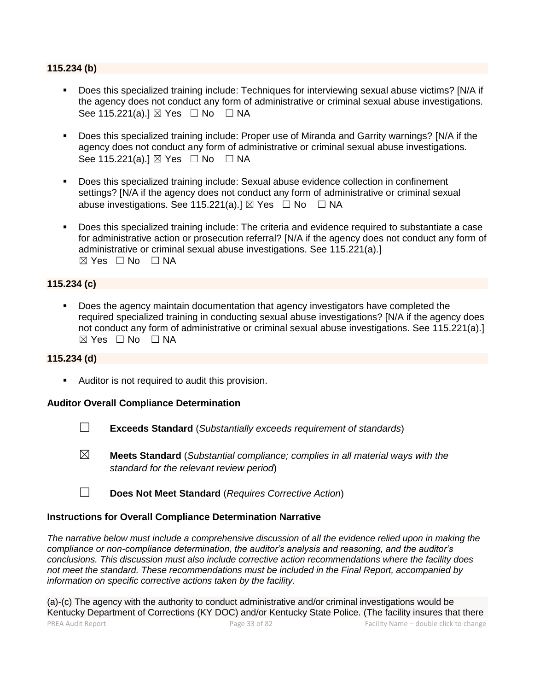#### **115.234 (b)**

- Does this specialized training include: Techniques for interviewing sexual abuse victims? [N/A if the agency does not conduct any form of administrative or criminal sexual abuse investigations. See 115.221(a).] ⊠ Yes □ No □ NA
- Does this specialized training include: Proper use of Miranda and Garrity warnings? [N/A if the agency does not conduct any form of administrative or criminal sexual abuse investigations. See 115.221(a).] ⊠ Yes □ No □ NA
- Does this specialized training include: Sexual abuse evidence collection in confinement settings? [N/A if the agency does not conduct any form of administrative or criminal sexual abuse investigations. See 115.221(a).]  $\boxtimes$  Yes  $\Box$  No  $\Box$  NA
- Does this specialized training include: The criteria and evidence required to substantiate a case for administrative action or prosecution referral? [N/A if the agency does not conduct any form of administrative or criminal sexual abuse investigations. See 115.221(a).]  $\boxtimes$  Yes  $\Box$  No  $\Box$  NA

#### **115.234 (c)**

■ Does the agency maintain documentation that agency investigators have completed the required specialized training in conducting sexual abuse investigations? [N/A if the agency does not conduct any form of administrative or criminal sexual abuse investigations. See 115.221(a).]  $\boxtimes$  Yes  $\Box$  No  $\Box$  NA

#### **115.234 (d)**

■ Auditor is not required to audit this provision.

#### **Auditor Overall Compliance Determination**

- ☐ **Exceeds Standard** (*Substantially exceeds requirement of standards*)
- ☒ **Meets Standard** (*Substantial compliance; complies in all material ways with the standard for the relevant review period*)
- ☐ **Does Not Meet Standard** (*Requires Corrective Action*)

#### **Instructions for Overall Compliance Determination Narrative**

*The narrative below must include a comprehensive discussion of all the evidence relied upon in making the compliance or non-compliance determination, the auditor's analysis and reasoning, and the auditor's conclusions. This discussion must also include corrective action recommendations where the facility does not meet the standard. These recommendations must be included in the Final Report, accompanied by information on specific corrective actions taken by the facility.*

PREA Audit Report Page 33 of 82 Facility Name – double click to change (a)-(c) The agency with the authority to conduct administrative and/or criminal investigations would be Kentucky Department of Corrections (KY DOC) and/or Kentucky State Police. (The facility insures that there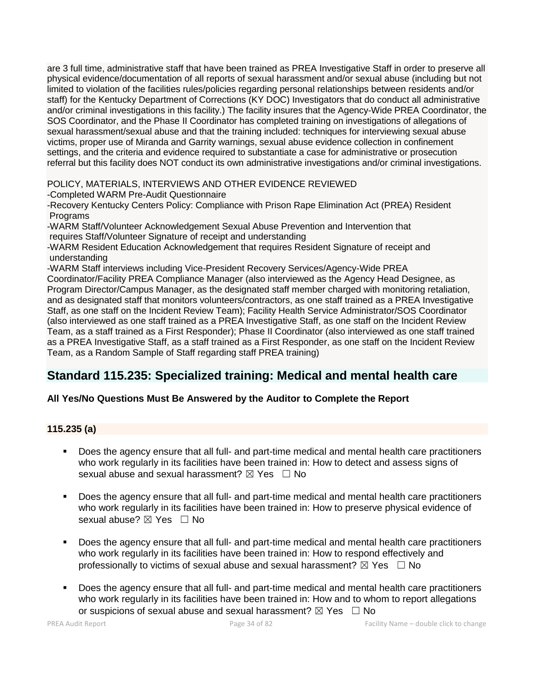are 3 full time, administrative staff that have been trained as PREA Investigative Staff in order to preserve all physical evidence/documentation of all reports of sexual harassment and/or sexual abuse (including but not limited to violation of the facilities rules/policies regarding personal relationships between residents and/or staff) for the Kentucky Department of Corrections (KY DOC) Investigators that do conduct all administrative and/or criminal investigations in this facility.) The facility insures that the Agency-Wide PREA Coordinator, the SOS Coordinator, and the Phase II Coordinator has completed training on investigations of allegations of sexual harassment/sexual abuse and that the training included: techniques for interviewing sexual abuse victims, proper use of Miranda and Garrity warnings, sexual abuse evidence collection in confinement settings, and the criteria and evidence required to substantiate a case for administrative or prosecution referral but this facility does NOT conduct its own administrative investigations and/or criminal investigations.

### POLICY, MATERIALS, INTERVIEWS AND OTHER EVIDENCE REVIEWED

-Completed WARM Pre-Audit Questionnaire

-Recovery Kentucky Centers Policy: Compliance with Prison Rape Elimination Act (PREA) Resident Programs

-WARM Staff/Volunteer Acknowledgement Sexual Abuse Prevention and Intervention that requires Staff/Volunteer Signature of receipt and understanding

-WARM Resident Education Acknowledgement that requires Resident Signature of receipt and understanding

-WARM Staff interviews including Vice-President Recovery Services/Agency-Wide PREA Coordinator/Facility PREA Compliance Manager (also interviewed as the Agency Head Designee, as Program Director/Campus Manager, as the designated staff member charged with monitoring retaliation, and as designated staff that monitors volunteers/contractors, as one staff trained as a PREA Investigative Staff, as one staff on the Incident Review Team); Facility Health Service Administrator/SOS Coordinator (also interviewed as one staff trained as a PREA Investigative Staff, as one staff on the Incident Review Team, as a staff trained as a First Responder); Phase II Coordinator (also interviewed as one staff trained as a PREA Investigative Staff, as a staff trained as a First Responder, as one staff on the Incident Review Team, as a Random Sample of Staff regarding staff PREA training)

# **Standard 115.235: Specialized training: Medical and mental health care**

# **All Yes/No Questions Must Be Answered by the Auditor to Complete the Report**

# **115.235 (a)**

- Does the agency ensure that all full- and part-time medical and mental health care practitioners who work regularly in its facilities have been trained in: How to detect and assess signs of sexual abuse and sexual harassment?  $\boxtimes$  Yes  $\Box$  No
- Does the agency ensure that all full- and part-time medical and mental health care practitioners who work regularly in its facilities have been trained in: How to preserve physical evidence of sexual abuse? ⊠ Yes □ No
- Does the agency ensure that all full- and part-time medical and mental health care practitioners who work regularly in its facilities have been trained in: How to respond effectively and professionally to victims of sexual abuse and sexual harassment?  $\boxtimes$  Yes  $\Box$  No
- Does the agency ensure that all full- and part-time medical and mental health care practitioners who work regularly in its facilities have been trained in: How and to whom to report allegations or suspicions of sexual abuse and sexual harassment?  $\boxtimes$  Yes  $\Box$  No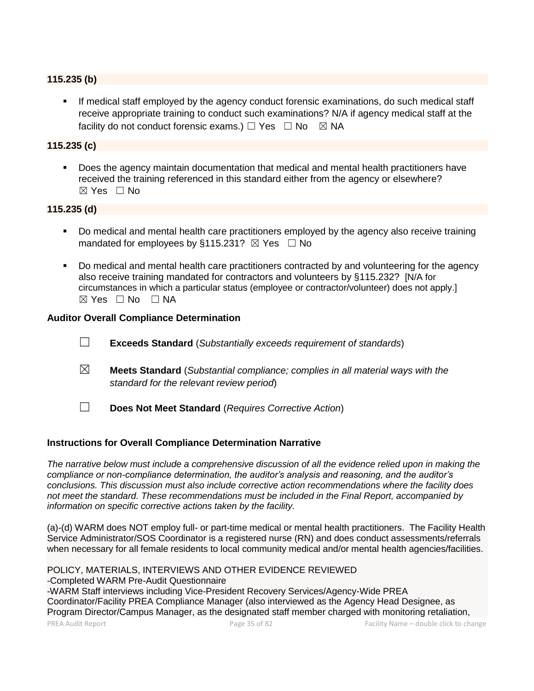#### **115.235 (b)**

**■** If medical staff employed by the agency conduct forensic examinations, do such medical staff receive appropriate training to conduct such examinations? N/A if agency medical staff at the facility do not conduct forensic exams.)  $\Box$  Yes  $\Box$  No  $\boxtimes$  NA

#### **115.235 (c)**

▪ Does the agency maintain documentation that medical and mental health practitioners have received the training referenced in this standard either from the agency or elsewhere? ☒ Yes ☐ No

#### **115.235 (d)**

- Do medical and mental health care practitioners employed by the agency also receive training mandated for employees by §115.231?  $\boxtimes$  Yes  $\Box$  No
- Do medical and mental health care practitioners contracted by and volunteering for the agency also receive training mandated for contractors and volunteers by §115.232? [N/A for circumstances in which a particular status (employee or contractor/volunteer) does not apply.]  $\boxtimes$  Yes  $\Box$  No  $\Box$  NA

#### **Auditor Overall Compliance Determination**

- ☐ **Exceeds Standard** (*Substantially exceeds requirement of standards*)
- ☒ **Meets Standard** (*Substantial compliance; complies in all material ways with the standard for the relevant review period*)
- ☐ **Does Not Meet Standard** (*Requires Corrective Action*)

#### **Instructions for Overall Compliance Determination Narrative**

*The narrative below must include a comprehensive discussion of all the evidence relied upon in making the compliance or non-compliance determination, the auditor's analysis and reasoning, and the auditor's conclusions. This discussion must also include corrective action recommendations where the facility does not meet the standard. These recommendations must be included in the Final Report, accompanied by information on specific corrective actions taken by the facility.*

(a)-(d) WARM does NOT employ full- or part-time medical or mental health practitioners. The Facility Health Service Administrator/SOS Coordinator is a registered nurse (RN) and does conduct assessments/referrals when necessary for all female residents to local community medical and/or mental health agencies/facilities.

PREA Audit Report Page 35 of 82 Facility Name – double click to change POLICY, MATERIALS, INTERVIEWS AND OTHER EVIDENCE REVIEWED -Completed WARM Pre-Audit Questionnaire -WARM Staff interviews including Vice-President Recovery Services/Agency-Wide PREA Coordinator/Facility PREA Compliance Manager (also interviewed as the Agency Head Designee, as Program Director/Campus Manager, as the designated staff member charged with monitoring retaliation,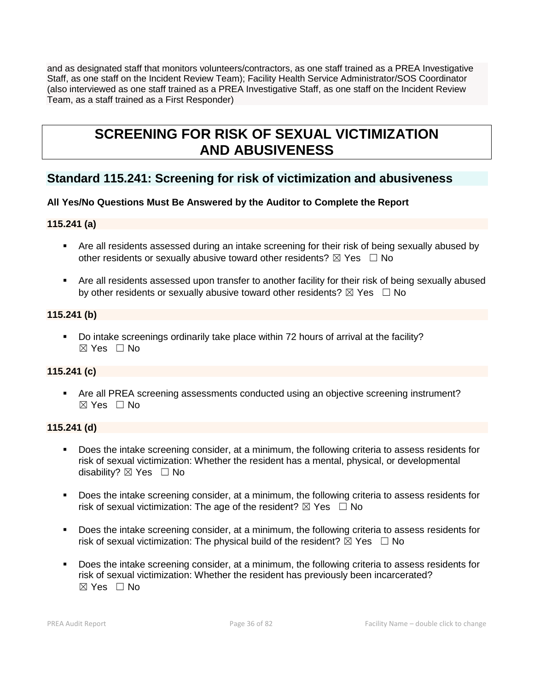and as designated staff that monitors volunteers/contractors, as one staff trained as a PREA Investigative Staff, as one staff on the Incident Review Team); Facility Health Service Administrator/SOS Coordinator (also interviewed as one staff trained as a PREA Investigative Staff, as one staff on the Incident Review Team, as a staff trained as a First Responder)

# **SCREENING FOR RISK OF SEXUAL VICTIMIZATION AND ABUSIVENESS**

# **Standard 115.241: Screening for risk of victimization and abusiveness**

# **All Yes/No Questions Must Be Answered by the Auditor to Complete the Report**

### **115.241 (a)**

- Are all residents assessed during an intake screening for their risk of being sexually abused by other residents or sexually abusive toward other residents?  $\boxtimes$  Yes  $\Box$  No
- Are all residents assessed upon transfer to another facility for their risk of being sexually abused by other residents or sexually abusive toward other residents?  $\boxtimes$  Yes  $\Box$  No

#### **115.241 (b)**

▪ Do intake screenings ordinarily take place within 72 hours of arrival at the facility?  $\boxtimes$  Yes  $\Box$  No

### **115.241 (c)**

■ Are all PREA screening assessments conducted using an objective screening instrument? ☒ Yes ☐ No

#### **115.241 (d)**

- Does the intake screening consider, at a minimum, the following criteria to assess residents for risk of sexual victimization: Whether the resident has a mental, physical, or developmental disability?  $\boxtimes$  Yes  $\Box$  No
- Does the intake screening consider, at a minimum, the following criteria to assess residents for risk of sexual victimization: The age of the resident?  $\boxtimes$  Yes  $\Box$  No
- Does the intake screening consider, at a minimum, the following criteria to assess residents for risk of sexual victimization: The physical build of the resident?  $\boxtimes$  Yes  $\Box$  No
- Does the intake screening consider, at a minimum, the following criteria to assess residents for risk of sexual victimization: Whether the resident has previously been incarcerated? ☒ Yes ☐ No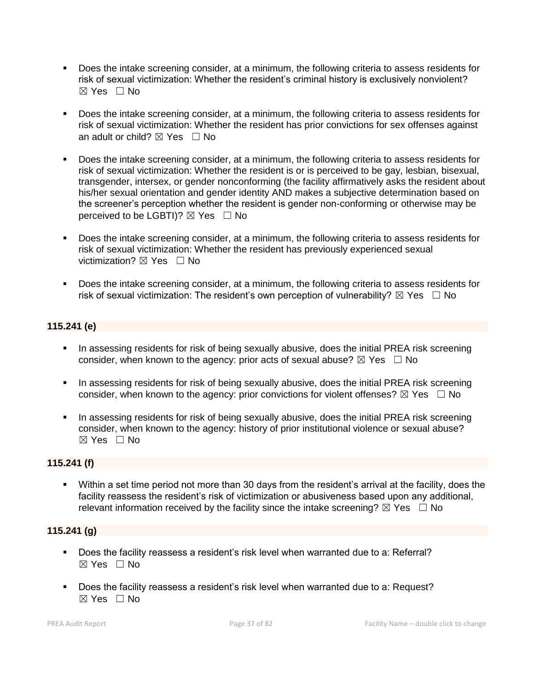- Does the intake screening consider, at a minimum, the following criteria to assess residents for risk of sexual victimization: Whether the resident's criminal history is exclusively nonviolent? ☒ Yes ☐ No
- Does the intake screening consider, at a minimum, the following criteria to assess residents for risk of sexual victimization: Whether the resident has prior convictions for sex offenses against an adult or child?  $\boxtimes$  Yes  $\Box$  No
- Does the intake screening consider, at a minimum, the following criteria to assess residents for risk of sexual victimization: Whether the resident is or is perceived to be gay, lesbian, bisexual, transgender, intersex, or gender nonconforming (the facility affirmatively asks the resident about his/her sexual orientation and gender identity AND makes a subjective determination based on the screener's perception whether the resident is gender non-conforming or otherwise may be perceived to be LGBTI)?  $\boxtimes$  Yes  $\Box$  No
- Does the intake screening consider, at a minimum, the following criteria to assess residents for risk of sexual victimization: Whether the resident has previously experienced sexual victimization?  $\nabla$  Yes  $\Box$  No
- Does the intake screening consider, at a minimum, the following criteria to assess residents for risk of sexual victimization: The resident's own perception of vulnerability?  $\boxtimes$  Yes  $\Box$  No

# **115.241 (e)**

- **•** In assessing residents for risk of being sexually abusive, does the initial PREA risk screening consider, when known to the agency: prior acts of sexual abuse?  $\boxtimes$  Yes  $\Box$  No
- **•** In assessing residents for risk of being sexually abusive, does the initial PREA risk screening consider, when known to the agency: prior convictions for violent offenses?  $\boxtimes$  Yes  $\Box$  No
- **•** In assessing residents for risk of being sexually abusive, does the initial PREA risk screening consider, when known to the agency: history of prior institutional violence or sexual abuse?  $\boxtimes$  Yes  $\Box$  No

# **115.241 (f)**

▪ Within a set time period not more than 30 days from the resident's arrival at the facility, does the facility reassess the resident's risk of victimization or abusiveness based upon any additional, relevant information received by the facility since the intake screening?  $\boxtimes$  Yes  $\Box$  No

# **115.241 (g)**

- Does the facility reassess a resident's risk level when warranted due to a: Referral?  $\boxtimes$  Yes  $\Box$  No
- Does the facility reassess a resident's risk level when warranted due to a: Request?  $\boxtimes$  Yes  $\Box$  No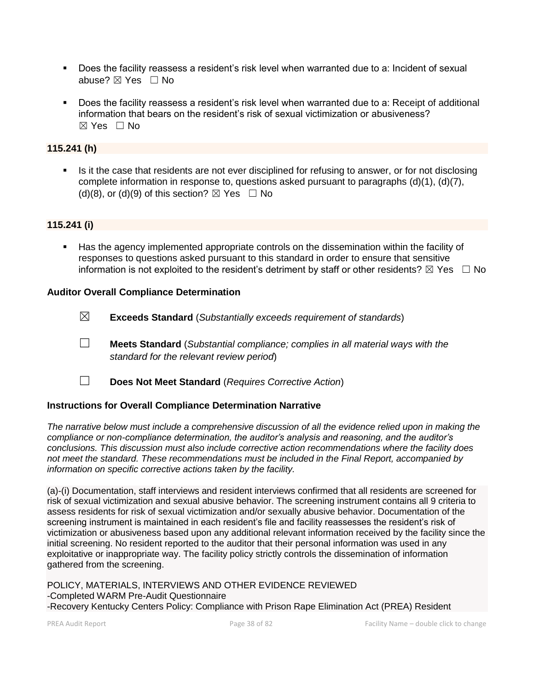- Does the facility reassess a resident's risk level when warranted due to a: Incident of sexual abuse? ⊠ Yes □ No
- Does the facility reassess a resident's risk level when warranted due to a: Receipt of additional information that bears on the resident's risk of sexual victimization or abusiveness?  $\boxtimes$  Yes  $\Box$  No

# **115.241 (h)**

**EXECT** Is it the case that residents are not ever disciplined for refusing to answer, or for not disclosing complete information in response to, questions asked pursuant to paragraphs (d)(1), (d)(7), (d)(8), or (d)(9) of this section?  $\boxtimes$  Yes  $\Box$  No

# **115.241 (i)**

Has the agency implemented appropriate controls on the dissemination within the facility of responses to questions asked pursuant to this standard in order to ensure that sensitive information is not exploited to the resident's detriment by staff or other residents?  $\boxtimes$  Yes  $\Box$  No

#### **Auditor Overall Compliance Determination**

- ☒ **Exceeds Standard** (*Substantially exceeds requirement of standards*)
- ☐ **Meets Standard** (*Substantial compliance; complies in all material ways with the standard for the relevant review period*)
- ☐ **Does Not Meet Standard** (*Requires Corrective Action*)

# **Instructions for Overall Compliance Determination Narrative**

*The narrative below must include a comprehensive discussion of all the evidence relied upon in making the compliance or non-compliance determination, the auditor's analysis and reasoning, and the auditor's conclusions. This discussion must also include corrective action recommendations where the facility does not meet the standard. These recommendations must be included in the Final Report, accompanied by information on specific corrective actions taken by the facility.*

(a)-(i) Documentation, staff interviews and resident interviews confirmed that all residents are screened for risk of sexual victimization and sexual abusive behavior. The screening instrument contains all 9 criteria to assess residents for risk of sexual victimization and/or sexually abusive behavior. Documentation of the screening instrument is maintained in each resident's file and facility reassesses the resident's risk of victimization or abusiveness based upon any additional relevant information received by the facility since the initial screening. No resident reported to the auditor that their personal information was used in any exploitative or inappropriate way. The facility policy strictly controls the dissemination of information gathered from the screening.

POLICY, MATERIALS, INTERVIEWS AND OTHER EVIDENCE REVIEWED -Completed WARM Pre-Audit Questionnaire -Recovery Kentucky Centers Policy: Compliance with Prison Rape Elimination Act (PREA) Resident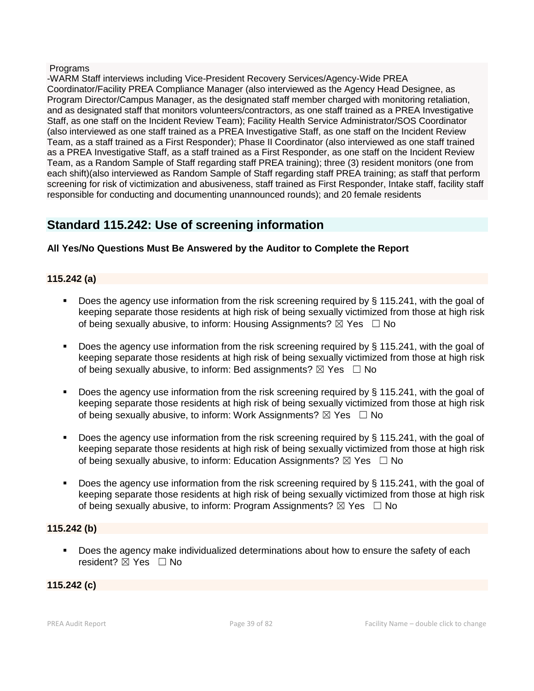#### Programs

-WARM Staff interviews including Vice-President Recovery Services/Agency-Wide PREA Coordinator/Facility PREA Compliance Manager (also interviewed as the Agency Head Designee, as Program Director/Campus Manager, as the designated staff member charged with monitoring retaliation, and as designated staff that monitors volunteers/contractors, as one staff trained as a PREA Investigative Staff, as one staff on the Incident Review Team); Facility Health Service Administrator/SOS Coordinator (also interviewed as one staff trained as a PREA Investigative Staff, as one staff on the Incident Review Team, as a staff trained as a First Responder); Phase II Coordinator (also interviewed as one staff trained as a PREA Investigative Staff, as a staff trained as a First Responder, as one staff on the Incident Review Team, as a Random Sample of Staff regarding staff PREA training); three (3) resident monitors (one from each shift)(also interviewed as Random Sample of Staff regarding staff PREA training; as staff that perform screening for risk of victimization and abusiveness, staff trained as First Responder, Intake staff, facility staff responsible for conducting and documenting unannounced rounds); and 20 female residents

# **Standard 115.242: Use of screening information**

# **All Yes/No Questions Must Be Answered by the Auditor to Complete the Report**

# **115.242 (a)**

- Does the agency use information from the risk screening required by § 115.241, with the goal of keeping separate those residents at high risk of being sexually victimized from those at high risk of being sexually abusive, to inform: Housing Assignments?  $\boxtimes$  Yes  $\Box$  No
- Does the agency use information from the risk screening required by  $\S$  115.241, with the goal of keeping separate those residents at high risk of being sexually victimized from those at high risk of being sexually abusive, to inform: Bed assignments?  $\boxtimes$  Yes  $\Box$  No
- Does the agency use information from the risk screening required by  $\S$  115.241, with the goal of keeping separate those residents at high risk of being sexually victimized from those at high risk of being sexually abusive, to inform: Work Assignments?  $\boxtimes$  Yes  $\Box$  No
- Does the agency use information from the risk screening required by  $\S$  115.241, with the goal of keeping separate those residents at high risk of being sexually victimized from those at high risk of being sexually abusive, to inform: Education Assignments?  $\boxtimes$  Yes  $\Box$  No
- Does the agency use information from the risk screening required by  $\S$  115.241, with the goal of keeping separate those residents at high risk of being sexually victimized from those at high risk of being sexually abusive, to inform: Program Assignments?  $\boxtimes$  Yes  $\Box$  No

#### **115.242 (b)**

Does the agency make individualized determinations about how to ensure the safety of each resident? **⊠** Yes □ No

#### **115.242 (c)**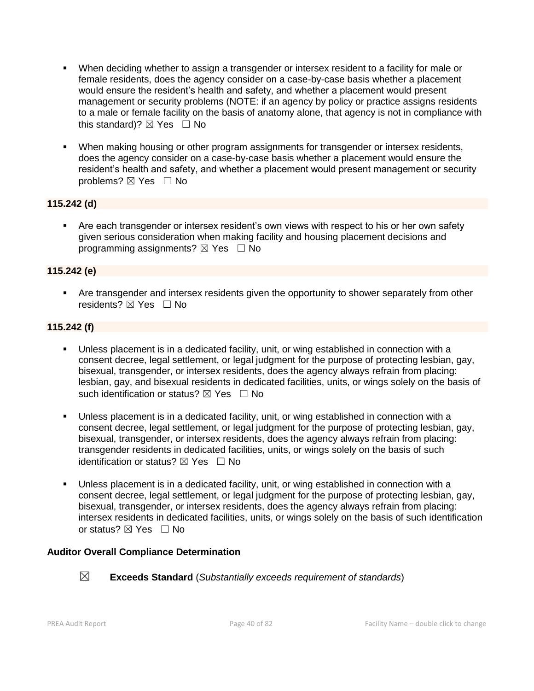- **•** When deciding whether to assign a transgender or intersex resident to a facility for male or female residents, does the agency consider on a case-by-case basis whether a placement would ensure the resident's health and safety, and whether a placement would present management or security problems (NOTE: if an agency by policy or practice assigns residents to a male or female facility on the basis of anatomy alone, that agency is not in compliance with this standard)?  $\boxtimes$  Yes  $\Box$  No
- **When making housing or other program assignments for transgender or intersex residents,** does the agency consider on a case-by-case basis whether a placement would ensure the resident's health and safety, and whether a placement would present management or security problems? ⊠ Yes □ No

# **115.242 (d)**

■ Are each transgender or intersex resident's own views with respect to his or her own safety given serious consideration when making facility and housing placement decisions and programming assignments?  $\boxtimes$  Yes  $\Box$  No

#### **115.242 (e)**

**•** Are transgender and intersex residents given the opportunity to shower separately from other residents? ⊠ Yes □ No

#### **115.242 (f)**

- Unless placement is in a dedicated facility, unit, or wing established in connection with a consent decree, legal settlement, or legal judgment for the purpose of protecting lesbian, gay, bisexual, transgender, or intersex residents, does the agency always refrain from placing: lesbian, gay, and bisexual residents in dedicated facilities, units, or wings solely on the basis of such identification or status?  $\boxtimes$  Yes  $\Box$  No
- Unless placement is in a dedicated facility, unit, or wing established in connection with a consent decree, legal settlement, or legal judgment for the purpose of protecting lesbian, gay, bisexual, transgender, or intersex residents, does the agency always refrain from placing: transgender residents in dedicated facilities, units, or wings solely on the basis of such identification or status?  $\boxtimes$  Yes  $\Box$  No
- Unless placement is in a dedicated facility, unit, or wing established in connection with a consent decree, legal settlement, or legal judgment for the purpose of protecting lesbian, gay, bisexual, transgender, or intersex residents, does the agency always refrain from placing: intersex residents in dedicated facilities, units, or wings solely on the basis of such identification or status? ⊠ Yes □ No

#### **Auditor Overall Compliance Determination**



☒ **Exceeds Standard** (*Substantially exceeds requirement of standards*)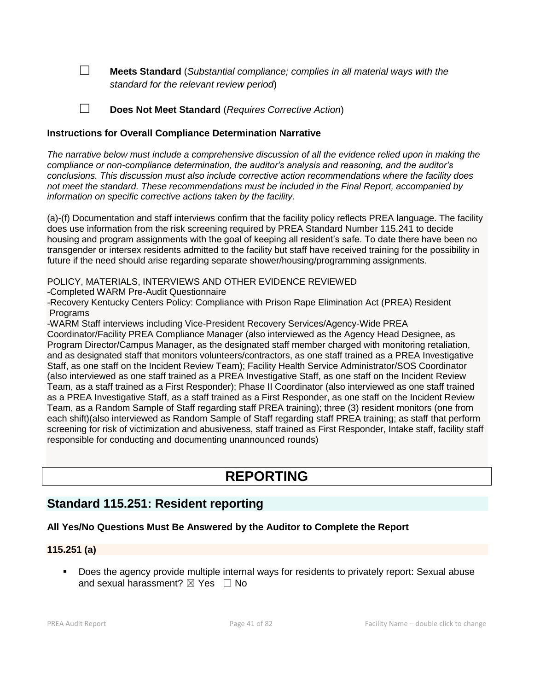☐ **Meets Standard** (*Substantial compliance; complies in all material ways with the standard for the relevant review period*)

☐ **Does Not Meet Standard** (*Requires Corrective Action*)

### **Instructions for Overall Compliance Determination Narrative**

*The narrative below must include a comprehensive discussion of all the evidence relied upon in making the compliance or non-compliance determination, the auditor's analysis and reasoning, and the auditor's conclusions. This discussion must also include corrective action recommendations where the facility does not meet the standard. These recommendations must be included in the Final Report, accompanied by information on specific corrective actions taken by the facility.*

(a)-(f) Documentation and staff interviews confirm that the facility policy reflects PREA language. The facility does use information from the risk screening required by PREA Standard Number 115.241 to decide housing and program assignments with the goal of keeping all resident's safe. To date there have been no transgender or intersex residents admitted to the facility but staff have received training for the possibility in future if the need should arise regarding separate shower/housing/programming assignments.

POLICY, MATERIALS, INTERVIEWS AND OTHER EVIDENCE REVIEWED

-Completed WARM Pre-Audit Questionnaire

-Recovery Kentucky Centers Policy: Compliance with Prison Rape Elimination Act (PREA) Resident **Programs** 

-WARM Staff interviews including Vice-President Recovery Services/Agency-Wide PREA

Coordinator/Facility PREA Compliance Manager (also interviewed as the Agency Head Designee, as Program Director/Campus Manager, as the designated staff member charged with monitoring retaliation, and as designated staff that monitors volunteers/contractors, as one staff trained as a PREA Investigative Staff, as one staff on the Incident Review Team); Facility Health Service Administrator/SOS Coordinator (also interviewed as one staff trained as a PREA Investigative Staff, as one staff on the Incident Review Team, as a staff trained as a First Responder); Phase II Coordinator (also interviewed as one staff trained as a PREA Investigative Staff, as a staff trained as a First Responder, as one staff on the Incident Review Team, as a Random Sample of Staff regarding staff PREA training); three (3) resident monitors (one from each shift)(also interviewed as Random Sample of Staff regarding staff PREA training; as staff that perform screening for risk of victimization and abusiveness, staff trained as First Responder, Intake staff, facility staff responsible for conducting and documenting unannounced rounds)

# **REPORTING**

# **Standard 115.251: Resident reporting**

# **All Yes/No Questions Must Be Answered by the Auditor to Complete the Report**

#### **115.251 (a)**

▪ Does the agency provide multiple internal ways for residents to privately report: Sexual abuse and sexual harassment?  $\boxtimes$  Yes  $\Box$  No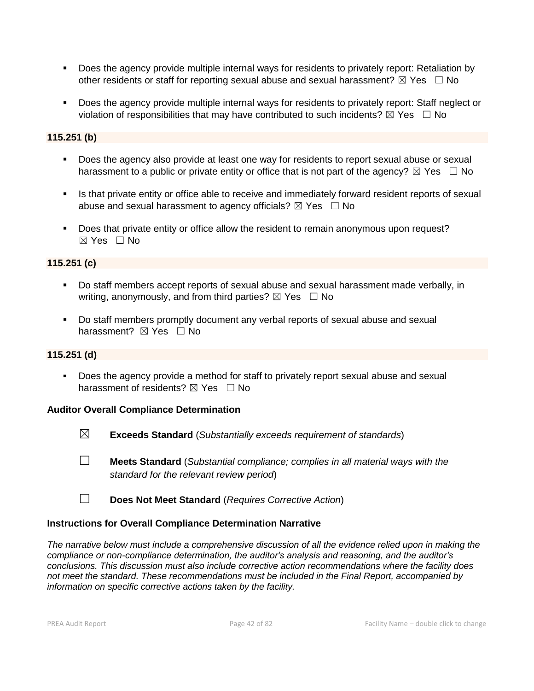- Does the agency provide multiple internal ways for residents to privately report: Retaliation by other residents or staff for reporting sexual abuse and sexual harassment?  $\boxtimes$  Yes  $\Box$  No
- Does the agency provide multiple internal ways for residents to privately report: Staff neglect or violation of responsibilities that may have contributed to such incidents?  $\boxtimes$  Yes  $\Box$  No

# **115.251 (b)**

- Does the agency also provide at least one way for residents to report sexual abuse or sexual harassment to a public or private entity or office that is not part of the agency?  $\boxtimes$  Yes  $\Box$  No
- **.** Is that private entity or office able to receive and immediately forward resident reports of sexual abuse and sexual harassment to agency officials?  $\boxtimes$  Yes  $\Box$  No
- Does that private entity or office allow the resident to remain anonymous upon request? ☒ Yes ☐ No

# **115.251 (c)**

- Do staff members accept reports of sexual abuse and sexual harassment made verbally, in writing, anonymously, and from third parties?  $\boxtimes$  Yes  $\Box$  No
- Do staff members promptly document any verbal reports of sexual abuse and sexual harassment? **⊠** Yes □ No

# **115.251 (d)**

Does the agency provide a method for staff to privately report sexual abuse and sexual harassment of residents?  $\boxtimes$  Yes  $\Box$  No

# **Auditor Overall Compliance Determination**

- ☒ **Exceeds Standard** (*Substantially exceeds requirement of standards*)
- ☐ **Meets Standard** (*Substantial compliance; complies in all material ways with the standard for the relevant review period*)
- ☐ **Does Not Meet Standard** (*Requires Corrective Action*)

# **Instructions for Overall Compliance Determination Narrative**

*The narrative below must include a comprehensive discussion of all the evidence relied upon in making the compliance or non-compliance determination, the auditor's analysis and reasoning, and the auditor's conclusions. This discussion must also include corrective action recommendations where the facility does not meet the standard. These recommendations must be included in the Final Report, accompanied by information on specific corrective actions taken by the facility.*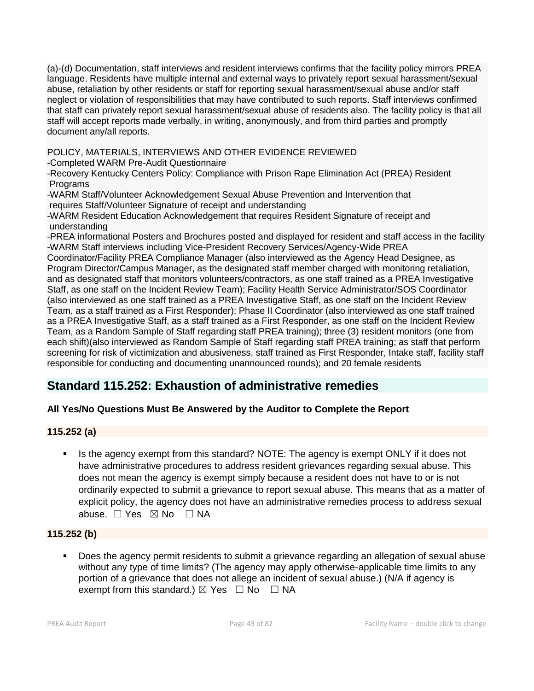(a)-(d) Documentation, staff interviews and resident interviews confirms that the facility policy mirrors PREA language. Residents have multiple internal and external ways to privately report sexual harassment/sexual abuse, retaliation by other residents or staff for reporting sexual harassment/sexual abuse and/or staff neglect or violation of responsibilities that may have contributed to such reports. Staff interviews confirmed that staff can privately report sexual harassment/sexual abuse of residents also. The facility policy is that all staff will accept reports made verbally, in writing, anonymously, and from third parties and promptly document any/all reports.

POLICY, MATERIALS, INTERVIEWS AND OTHER EVIDENCE REVIEWED

-Completed WARM Pre-Audit Questionnaire

-Recovery Kentucky Centers Policy: Compliance with Prison Rape Elimination Act (PREA) Resident **Programs** 

-WARM Staff/Volunteer Acknowledgement Sexual Abuse Prevention and Intervention that requires Staff/Volunteer Signature of receipt and understanding

-WARM Resident Education Acknowledgement that requires Resident Signature of receipt and understanding

-PREA informational Posters and Brochures posted and displayed for resident and staff access in the facility -WARM Staff interviews including Vice-President Recovery Services/Agency-Wide PREA

Coordinator/Facility PREA Compliance Manager (also interviewed as the Agency Head Designee, as Program Director/Campus Manager, as the designated staff member charged with monitoring retaliation, and as designated staff that monitors volunteers/contractors, as one staff trained as a PREA Investigative Staff, as one staff on the Incident Review Team); Facility Health Service Administrator/SOS Coordinator (also interviewed as one staff trained as a PREA Investigative Staff, as one staff on the Incident Review Team, as a staff trained as a First Responder); Phase II Coordinator (also interviewed as one staff trained as a PREA Investigative Staff, as a staff trained as a First Responder, as one staff on the Incident Review Team, as a Random Sample of Staff regarding staff PREA training); three (3) resident monitors (one from each shift)(also interviewed as Random Sample of Staff regarding staff PREA training; as staff that perform screening for risk of victimization and abusiveness, staff trained as First Responder, Intake staff, facility staff responsible for conducting and documenting unannounced rounds); and 20 female residents

# **Standard 115.252: Exhaustion of administrative remedies**

# **All Yes/No Questions Must Be Answered by the Auditor to Complete the Report**

# **115.252 (a)**

▪ Is the agency exempt from this standard? NOTE: The agency is exempt ONLY if it does not have administrative procedures to address resident grievances regarding sexual abuse. This does not mean the agency is exempt simply because a resident does not have to or is not ordinarily expected to submit a grievance to report sexual abuse. This means that as a matter of explicit policy, the agency does not have an administrative remedies process to address sexual abuse. □ Yes ⊠ No □ NA

# **115.252 (b)**

Does the agency permit residents to submit a grievance regarding an allegation of sexual abuse without any type of time limits? (The agency may apply otherwise-applicable time limits to any portion of a grievance that does not allege an incident of sexual abuse.) (N/A if agency is exempt from this standard.)  $\boxtimes$  Yes  $\Box$  No  $\Box$  NA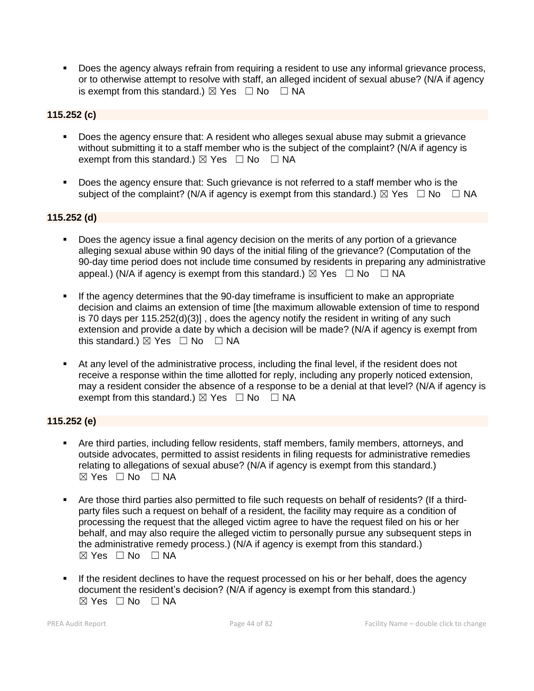▪ Does the agency always refrain from requiring a resident to use any informal grievance process, or to otherwise attempt to resolve with staff, an alleged incident of sexual abuse? (N/A if agency is exempt from this standard.)  $\boxtimes$  Yes  $\Box$  No  $\Box$  NA

# **115.252 (c)**

- Does the agency ensure that: A resident who alleges sexual abuse may submit a grievance without submitting it to a staff member who is the subject of the complaint? (N/A if agency is exempt from this standard.)  $\boxtimes$  Yes  $\Box$  No  $\Box$  NA
- Does the agency ensure that: Such grievance is not referred to a staff member who is the subject of the complaint? (N/A if agency is exempt from this standard.)  $\boxtimes$  Yes  $\Box$  No  $\Box$  NA

# **115.252 (d)**

- Does the agency issue a final agency decision on the merits of any portion of a grievance alleging sexual abuse within 90 days of the initial filing of the grievance? (Computation of the 90-day time period does not include time consumed by residents in preparing any administrative appeal.) (N/A if agency is exempt from this standard.)  $\boxtimes$  Yes  $\Box$  No  $\Box$  NA
- If the agency determines that the 90-day timeframe is insufficient to make an appropriate decision and claims an extension of time [the maximum allowable extension of time to respond is 70 days per 115.252(d)(3)] , does the agency notify the resident in writing of any such extension and provide a date by which a decision will be made? (N/A if agency is exempt from this standard.)  $\boxtimes$  Yes  $\Box$  No  $\Box$  NA
- At any level of the administrative process, including the final level, if the resident does not receive a response within the time allotted for reply, including any properly noticed extension, may a resident consider the absence of a response to be a denial at that level? (N/A if agency is exempt from this standard.)  $\boxtimes$  Yes  $\Box$  No  $\Box$  NA

# **115.252 (e)**

- Are third parties, including fellow residents, staff members, family members, attorneys, and outside advocates, permitted to assist residents in filing requests for administrative remedies relating to allegations of sexual abuse? (N/A if agency is exempt from this standard.) ☒ Yes ☐ No ☐ NA
- Are those third parties also permitted to file such requests on behalf of residents? (If a thirdparty files such a request on behalf of a resident, the facility may require as a condition of processing the request that the alleged victim agree to have the request filed on his or her behalf, and may also require the alleged victim to personally pursue any subsequent steps in the administrative remedy process.) (N/A if agency is exempt from this standard.)  $\boxtimes$  Yes  $\Box$  No  $\Box$  NA
- **.** If the resident declines to have the request processed on his or her behalf, does the agency document the resident's decision? (N/A if agency is exempt from this standard.)  $\boxtimes$  Yes  $\Box$  No  $\Box$  NA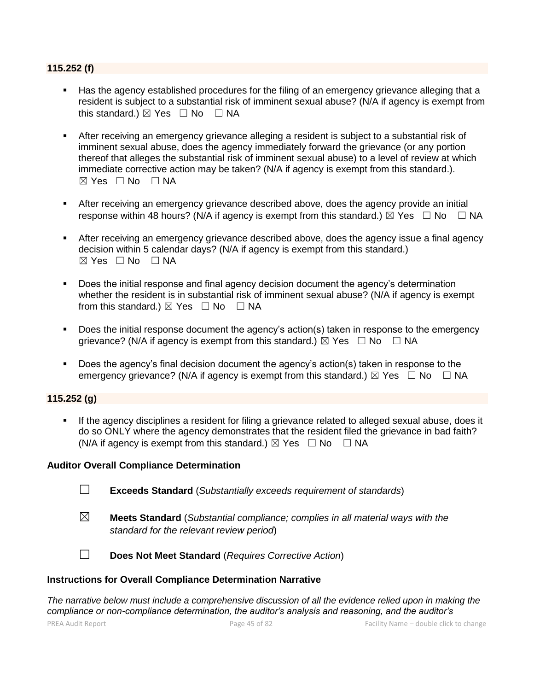#### **115.252 (f)**

- Has the agency established procedures for the filing of an emergency grievance alleging that a resident is subject to a substantial risk of imminent sexual abuse? (N/A if agency is exempt from this standard.)  $\boxtimes$  Yes  $\Box$  No  $\Box$  NA
- **EXECT** After receiving an emergency grievance alleging a resident is subject to a substantial risk of imminent sexual abuse, does the agency immediately forward the grievance (or any portion thereof that alleges the substantial risk of imminent sexual abuse) to a level of review at which immediate corrective action may be taken? (N/A if agency is exempt from this standard.).  $\boxtimes$  Yes  $\Box$  No  $\Box$  NA
- **EXECT** After receiving an emergency grievance described above, does the agency provide an initial response within 48 hours? (N/A if agency is exempt from this standard.)  $\boxtimes$  Yes  $\Box$  No  $\Box$  NA
- **EXECT** After receiving an emergency grievance described above, does the agency issue a final agency decision within 5 calendar days? (N/A if agency is exempt from this standard.)  $\boxtimes$  Yes  $\Box$  No  $\Box$  NA
- Does the initial response and final agency decision document the agency's determination whether the resident is in substantial risk of imminent sexual abuse? (N/A if agency is exempt from this standard.)  $\boxtimes$  Yes  $\Box$  No  $\Box$  NA
- Does the initial response document the agency's action(s) taken in response to the emergency grievance? (N/A if agency is exempt from this standard.)  $\boxtimes$  Yes  $\Box$  No  $\Box$  NA
- Does the agency's final decision document the agency's action(s) taken in response to the emergency grievance? (N/A if agency is exempt from this standard.)  $\boxtimes$  Yes  $\Box$  No  $\Box$  NA

# **115.252 (g)**

**.** If the agency disciplines a resident for filing a grievance related to alleged sexual abuse, does it do so ONLY where the agency demonstrates that the resident filed the grievance in bad faith? (N/A if agency is exempt from this standard.)  $\boxtimes$  Yes  $\Box$  No  $\Box$  NA

#### **Auditor Overall Compliance Determination**

- ☐ **Exceeds Standard** (*Substantially exceeds requirement of standards*)
- ☒ **Meets Standard** (*Substantial compliance; complies in all material ways with the standard for the relevant review period*)

☐ **Does Not Meet Standard** (*Requires Corrective Action*)

#### **Instructions for Overall Compliance Determination Narrative**

*The narrative below must include a comprehensive discussion of all the evidence relied upon in making the compliance or non-compliance determination, the auditor's analysis and reasoning, and the auditor's*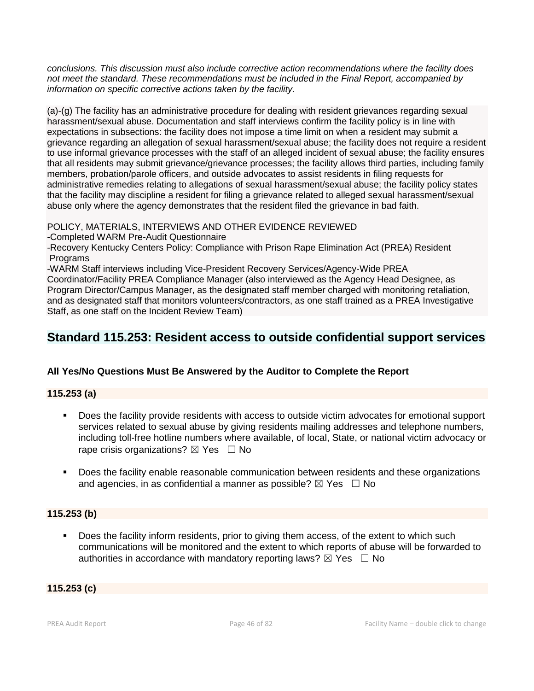*conclusions. This discussion must also include corrective action recommendations where the facility does not meet the standard. These recommendations must be included in the Final Report, accompanied by information on specific corrective actions taken by the facility.*

(a)-(g) The facility has an administrative procedure for dealing with resident grievances regarding sexual harassment/sexual abuse. Documentation and staff interviews confirm the facility policy is in line with expectations in subsections: the facility does not impose a time limit on when a resident may submit a grievance regarding an allegation of sexual harassment/sexual abuse; the facility does not require a resident to use informal grievance processes with the staff of an alleged incident of sexual abuse; the facility ensures that all residents may submit grievance/grievance processes; the facility allows third parties, including family members, probation/parole officers, and outside advocates to assist residents in filing requests for administrative remedies relating to allegations of sexual harassment/sexual abuse; the facility policy states that the facility may discipline a resident for filing a grievance related to alleged sexual harassment/sexual abuse only where the agency demonstrates that the resident filed the grievance in bad faith.

POLICY, MATERIALS, INTERVIEWS AND OTHER EVIDENCE REVIEWED

-Completed WARM Pre-Audit Questionnaire

-Recovery Kentucky Centers Policy: Compliance with Prison Rape Elimination Act (PREA) Resident Programs

-WARM Staff interviews including Vice-President Recovery Services/Agency-Wide PREA Coordinator/Facility PREA Compliance Manager (also interviewed as the Agency Head Designee, as Program Director/Campus Manager, as the designated staff member charged with monitoring retaliation, and as designated staff that monitors volunteers/contractors, as one staff trained as a PREA Investigative Staff, as one staff on the Incident Review Team)

# **Standard 115.253: Resident access to outside confidential support services**

# **All Yes/No Questions Must Be Answered by the Auditor to Complete the Report**

# **115.253 (a)**

- Does the facility provide residents with access to outside victim advocates for emotional support services related to sexual abuse by giving residents mailing addresses and telephone numbers, including toll-free hotline numbers where available, of local, State, or national victim advocacy or rape crisis organizations?  $\boxtimes$  Yes  $\Box$  No
- **•** Does the facility enable reasonable communication between residents and these organizations and agencies, in as confidential a manner as possible?  $\boxtimes$  Yes  $\Box$  No

# **115.253 (b)**

**•** Does the facility inform residents, prior to giving them access, of the extent to which such communications will be monitored and the extent to which reports of abuse will be forwarded to authorities in accordance with mandatory reporting laws?  $\boxtimes$  Yes  $\Box$  No

# **115.253 (c)**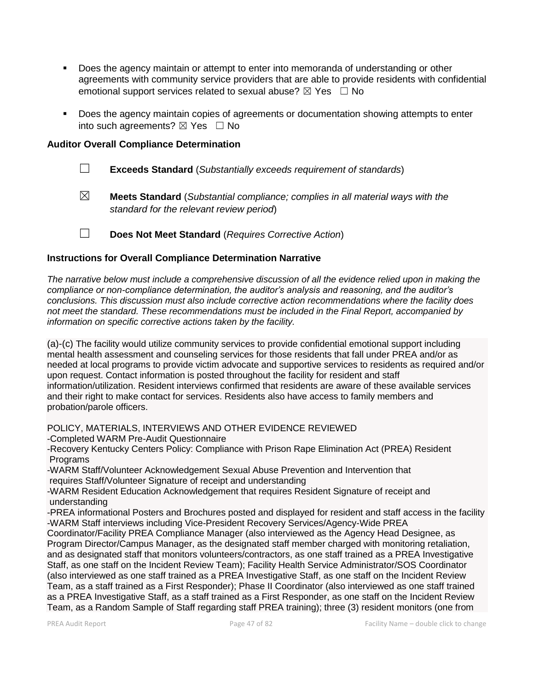- **•** Does the agency maintain or attempt to enter into memoranda of understanding or other agreements with community service providers that are able to provide residents with confidential emotional support services related to sexual abuse?  $\boxtimes$  Yes  $\Box$  No
- Does the agency maintain copies of agreements or documentation showing attempts to enter into such agreements?  $\boxtimes$  Yes  $\Box$  No

### **Auditor Overall Compliance Determination**

- ☐ **Exceeds Standard** (*Substantially exceeds requirement of standards*)
- ☒ **Meets Standard** (*Substantial compliance; complies in all material ways with the standard for the relevant review period*)

☐ **Does Not Meet Standard** (*Requires Corrective Action*)

#### **Instructions for Overall Compliance Determination Narrative**

*The narrative below must include a comprehensive discussion of all the evidence relied upon in making the compliance or non-compliance determination, the auditor's analysis and reasoning, and the auditor's conclusions. This discussion must also include corrective action recommendations where the facility does not meet the standard. These recommendations must be included in the Final Report, accompanied by information on specific corrective actions taken by the facility.*

(a)-(c) The facility would utilize community services to provide confidential emotional support including mental health assessment and counseling services for those residents that fall under PREA and/or as needed at local programs to provide victim advocate and supportive services to residents as required and/or upon request. Contact information is posted throughout the facility for resident and staff information/utilization. Resident interviews confirmed that residents are aware of these available services and their right to make contact for services. Residents also have access to family members and probation/parole officers.

POLICY, MATERIALS, INTERVIEWS AND OTHER EVIDENCE REVIEWED

-Completed WARM Pre-Audit Questionnaire

-Recovery Kentucky Centers Policy: Compliance with Prison Rape Elimination Act (PREA) Resident Programs

-WARM Staff/Volunteer Acknowledgement Sexual Abuse Prevention and Intervention that requires Staff/Volunteer Signature of receipt and understanding

-WARM Resident Education Acknowledgement that requires Resident Signature of receipt and understanding

-PREA informational Posters and Brochures posted and displayed for resident and staff access in the facility -WARM Staff interviews including Vice-President Recovery Services/Agency-Wide PREA

Coordinator/Facility PREA Compliance Manager (also interviewed as the Agency Head Designee, as Program Director/Campus Manager, as the designated staff member charged with monitoring retaliation, and as designated staff that monitors volunteers/contractors, as one staff trained as a PREA Investigative Staff, as one staff on the Incident Review Team); Facility Health Service Administrator/SOS Coordinator (also interviewed as one staff trained as a PREA Investigative Staff, as one staff on the Incident Review Team, as a staff trained as a First Responder); Phase II Coordinator (also interviewed as one staff trained as a PREA Investigative Staff, as a staff trained as a First Responder, as one staff on the Incident Review Team, as a Random Sample of Staff regarding staff PREA training); three (3) resident monitors (one from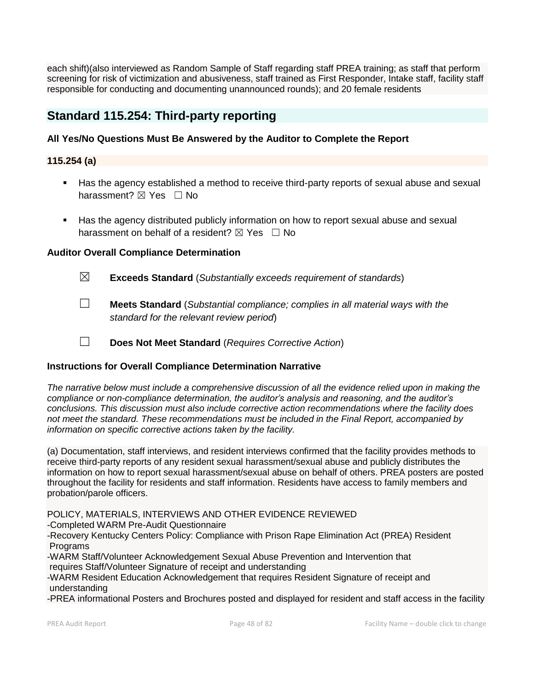each shift)(also interviewed as Random Sample of Staff regarding staff PREA training; as staff that perform screening for risk of victimization and abusiveness, staff trained as First Responder, Intake staff, facility staff responsible for conducting and documenting unannounced rounds); and 20 female residents

# **Standard 115.254: Third-party reporting**

# **All Yes/No Questions Must Be Answered by the Auditor to Complete the Report**

# **115.254 (a)**

- Has the agency established a method to receive third-party reports of sexual abuse and sexual harassment?  $\boxtimes$  Yes  $\Box$  No
- Has the agency distributed publicly information on how to report sexual abuse and sexual harassment on behalf of a resident?  $\boxtimes$  Yes  $\Box$  No

# **Auditor Overall Compliance Determination**

- 
- ☒ **Exceeds Standard** (*Substantially exceeds requirement of standards*)
- ☐ **Meets Standard** (*Substantial compliance; complies in all material ways with the standard for the relevant review period*)
- ☐ **Does Not Meet Standard** (*Requires Corrective Action*)

# **Instructions for Overall Compliance Determination Narrative**

*The narrative below must include a comprehensive discussion of all the evidence relied upon in making the compliance or non-compliance determination, the auditor's analysis and reasoning, and the auditor's conclusions. This discussion must also include corrective action recommendations where the facility does not meet the standard. These recommendations must be included in the Final Report, accompanied by information on specific corrective actions taken by the facility.*

(a) Documentation, staff interviews, and resident interviews confirmed that the facility provides methods to receive third-party reports of any resident sexual harassment/sexual abuse and publicly distributes the information on how to report sexual harassment/sexual abuse on behalf of others. PREA posters are posted throughout the facility for residents and staff information. Residents have access to family members and probation/parole officers.

POLICY, MATERIALS, INTERVIEWS AND OTHER EVIDENCE REVIEWED

-Completed WARM Pre-Audit Questionnaire

-Recovery Kentucky Centers Policy: Compliance with Prison Rape Elimination Act (PREA) Resident **Programs** 

-WARM Staff/Volunteer Acknowledgement Sexual Abuse Prevention and Intervention that requires Staff/Volunteer Signature of receipt and understanding

-WARM Resident Education Acknowledgement that requires Resident Signature of receipt and understanding

-PREA informational Posters and Brochures posted and displayed for resident and staff access in the facility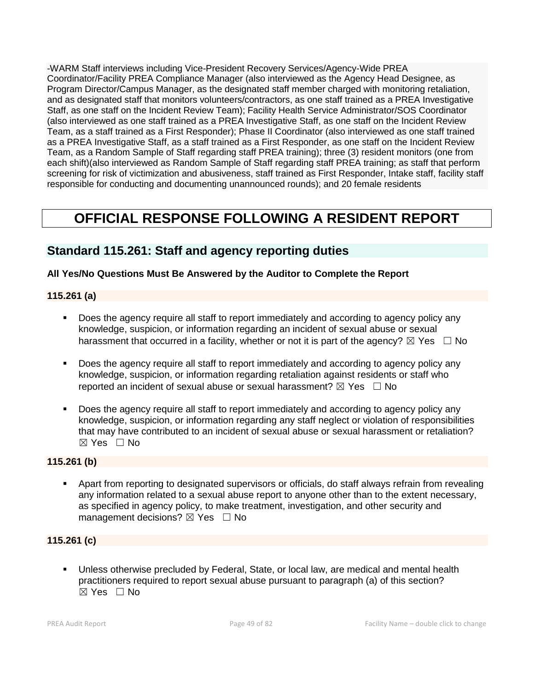-WARM Staff interviews including Vice-President Recovery Services/Agency-Wide PREA Coordinator/Facility PREA Compliance Manager (also interviewed as the Agency Head Designee, as Program Director/Campus Manager, as the designated staff member charged with monitoring retaliation, and as designated staff that monitors volunteers/contractors, as one staff trained as a PREA Investigative Staff, as one staff on the Incident Review Team); Facility Health Service Administrator/SOS Coordinator (also interviewed as one staff trained as a PREA Investigative Staff, as one staff on the Incident Review Team, as a staff trained as a First Responder); Phase II Coordinator (also interviewed as one staff trained as a PREA Investigative Staff, as a staff trained as a First Responder, as one staff on the Incident Review Team, as a Random Sample of Staff regarding staff PREA training); three (3) resident monitors (one from each shift)(also interviewed as Random Sample of Staff regarding staff PREA training; as staff that perform screening for risk of victimization and abusiveness, staff trained as First Responder, Intake staff, facility staff responsible for conducting and documenting unannounced rounds); and 20 female residents

# **OFFICIAL RESPONSE FOLLOWING A RESIDENT REPORT**

# **Standard 115.261: Staff and agency reporting duties**

# **All Yes/No Questions Must Be Answered by the Auditor to Complete the Report**

# **115.261 (a)**

- Does the agency require all staff to report immediately and according to agency policy any knowledge, suspicion, or information regarding an incident of sexual abuse or sexual harassment that occurred in a facility, whether or not it is part of the agency?  $\boxtimes$  Yes  $\Box$  No
- Does the agency require all staff to report immediately and according to agency policy any knowledge, suspicion, or information regarding retaliation against residents or staff who reported an incident of sexual abuse or sexual harassment?  $\boxtimes$  Yes  $\Box$  No
- Does the agency require all staff to report immediately and according to agency policy any knowledge, suspicion, or information regarding any staff neglect or violation of responsibilities that may have contributed to an incident of sexual abuse or sexual harassment or retaliation? ☒ Yes ☐ No

# **115.261 (b)**

**•** Apart from reporting to designated supervisors or officials, do staff always refrain from revealing any information related to a sexual abuse report to anyone other than to the extent necessary, as specified in agency policy, to make treatment, investigation, and other security and management decisions?  $\boxtimes$  Yes  $\Box$  No

# **115.261 (c)**

Unless otherwise precluded by Federal, State, or local law, are medical and mental health practitioners required to report sexual abuse pursuant to paragraph (a) of this section?  $\boxtimes$  Yes  $\Box$  No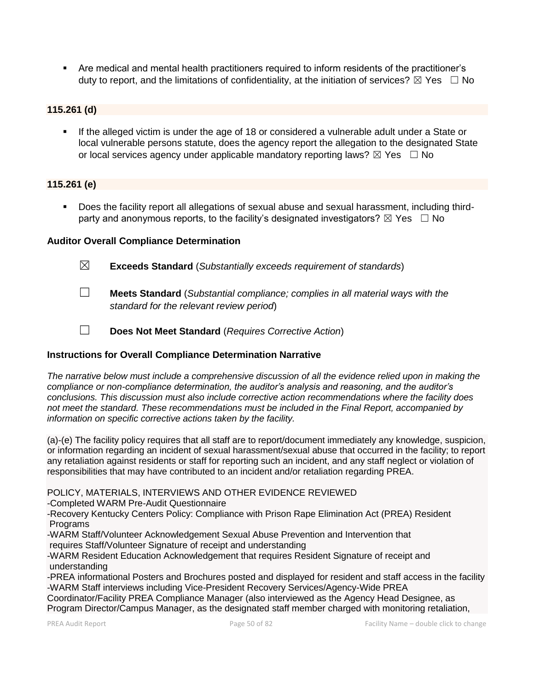▪ Are medical and mental health practitioners required to inform residents of the practitioner's duty to report, and the limitations of confidentiality, at the initiation of services?  $\boxtimes$  Yes  $\Box$  No

# **115.261 (d)**

**.** If the alleged victim is under the age of 18 or considered a vulnerable adult under a State or local vulnerable persons statute, does the agency report the allegation to the designated State or local services agency under applicable mandatory reporting laws?  $\boxtimes$  Yes  $\Box$  No

# **115.261 (e)**

▪ Does the facility report all allegations of sexual abuse and sexual harassment, including thirdparty and anonymous reports, to the facility's designated investigators?  $\boxtimes$  Yes  $\Box$  No

#### **Auditor Overall Compliance Determination**

- ☒ **Exceeds Standard** (*Substantially exceeds requirement of standards*)
- ☐ **Meets Standard** (*Substantial compliance; complies in all material ways with the standard for the relevant review period*)
- ☐ **Does Not Meet Standard** (*Requires Corrective Action*)

# **Instructions for Overall Compliance Determination Narrative**

*The narrative below must include a comprehensive discussion of all the evidence relied upon in making the compliance or non-compliance determination, the auditor's analysis and reasoning, and the auditor's conclusions. This discussion must also include corrective action recommendations where the facility does not meet the standard. These recommendations must be included in the Final Report, accompanied by information on specific corrective actions taken by the facility.*

(a)-(e) The facility policy requires that all staff are to report/document immediately any knowledge, suspicion, or information regarding an incident of sexual harassment/sexual abuse that occurred in the facility; to report any retaliation against residents or staff for reporting such an incident, and any staff neglect or violation of responsibilities that may have contributed to an incident and/or retaliation regarding PREA.

POLICY, MATERIALS, INTERVIEWS AND OTHER EVIDENCE REVIEWED

-Completed WARM Pre-Audit Questionnaire

-Recovery Kentucky Centers Policy: Compliance with Prison Rape Elimination Act (PREA) Resident **Programs** 

-WARM Staff/Volunteer Acknowledgement Sexual Abuse Prevention and Intervention that

requires Staff/Volunteer Signature of receipt and understanding

-WARM Resident Education Acknowledgement that requires Resident Signature of receipt and understanding

-PREA informational Posters and Brochures posted and displayed for resident and staff access in the facility -WARM Staff interviews including Vice-President Recovery Services/Agency-Wide PREA

Coordinator/Facility PREA Compliance Manager (also interviewed as the Agency Head Designee, as Program Director/Campus Manager, as the designated staff member charged with monitoring retaliation,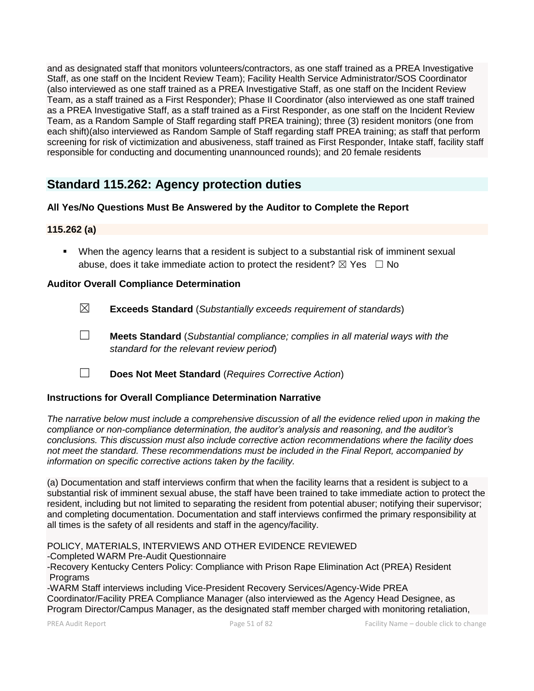and as designated staff that monitors volunteers/contractors, as one staff trained as a PREA Investigative Staff, as one staff on the Incident Review Team); Facility Health Service Administrator/SOS Coordinator (also interviewed as one staff trained as a PREA Investigative Staff, as one staff on the Incident Review Team, as a staff trained as a First Responder); Phase II Coordinator (also interviewed as one staff trained as a PREA Investigative Staff, as a staff trained as a First Responder, as one staff on the Incident Review Team, as a Random Sample of Staff regarding staff PREA training); three (3) resident monitors (one from each shift)(also interviewed as Random Sample of Staff regarding staff PREA training; as staff that perform screening for risk of victimization and abusiveness, staff trained as First Responder, Intake staff, facility staff responsible for conducting and documenting unannounced rounds); and 20 female residents

# **Standard 115.262: Agency protection duties**

# **All Yes/No Questions Must Be Answered by the Auditor to Complete the Report**

# **115.262 (a)**

▪ When the agency learns that a resident is subject to a substantial risk of imminent sexual abuse, does it take immediate action to protect the resident?  $\boxtimes$  Yes  $\Box$  No

# **Auditor Overall Compliance Determination**

- ☒ **Exceeds Standard** (*Substantially exceeds requirement of standards*)
- ☐ **Meets Standard** (*Substantial compliance; complies in all material ways with the standard for the relevant review period*)
- ☐ **Does Not Meet Standard** (*Requires Corrective Action*)

# **Instructions for Overall Compliance Determination Narrative**

*The narrative below must include a comprehensive discussion of all the evidence relied upon in making the compliance or non-compliance determination, the auditor's analysis and reasoning, and the auditor's conclusions. This discussion must also include corrective action recommendations where the facility does not meet the standard. These recommendations must be included in the Final Report, accompanied by information on specific corrective actions taken by the facility.*

(a) Documentation and staff interviews confirm that when the facility learns that a resident is subject to a substantial risk of imminent sexual abuse, the staff have been trained to take immediate action to protect the resident, including but not limited to separating the resident from potential abuser; notifying their supervisor; and completing documentation. Documentation and staff interviews confirmed the primary responsibility at all times is the safety of all residents and staff in the agency/facility.

POLICY, MATERIALS, INTERVIEWS AND OTHER EVIDENCE REVIEWED -Completed WARM Pre-Audit Questionnaire -Recovery Kentucky Centers Policy: Compliance with Prison Rape Elimination Act (PREA) Resident Programs

-WARM Staff interviews including Vice-President Recovery Services/Agency-Wide PREA Coordinator/Facility PREA Compliance Manager (also interviewed as the Agency Head Designee, as Program Director/Campus Manager, as the designated staff member charged with monitoring retaliation,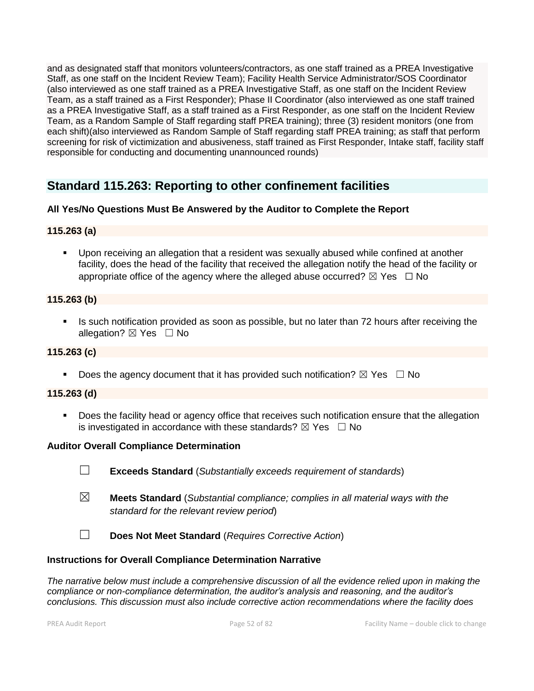and as designated staff that monitors volunteers/contractors, as one staff trained as a PREA Investigative Staff, as one staff on the Incident Review Team); Facility Health Service Administrator/SOS Coordinator (also interviewed as one staff trained as a PREA Investigative Staff, as one staff on the Incident Review Team, as a staff trained as a First Responder); Phase II Coordinator (also interviewed as one staff trained as a PREA Investigative Staff, as a staff trained as a First Responder, as one staff on the Incident Review Team, as a Random Sample of Staff regarding staff PREA training); three (3) resident monitors (one from each shift)(also interviewed as Random Sample of Staff regarding staff PREA training; as staff that perform screening for risk of victimization and abusiveness, staff trained as First Responder, Intake staff, facility staff responsible for conducting and documenting unannounced rounds)

# **Standard 115.263: Reporting to other confinement facilities**

# **All Yes/No Questions Must Be Answered by the Auditor to Complete the Report**

# **115.263 (a)**

▪ Upon receiving an allegation that a resident was sexually abused while confined at another facility, does the head of the facility that received the allegation notify the head of the facility or appropriate office of the agency where the alleged abuse occurred?  $\boxtimes$  Yes  $\Box$  No

# **115.263 (b)**

Is such notification provided as soon as possible, but no later than 72 hours after receiving the allegation?  $\boxtimes$  Yes  $\Box$  No

# **115.263 (c)**

**•** Does the agency document that it has provided such notification?  $\boxtimes$  Yes  $\Box$  No

# **115.263 (d)**

■ Does the facility head or agency office that receives such notification ensure that the allegation is investigated in accordance with these standards?  $\boxtimes$  Yes  $\Box$  No

# **Auditor Overall Compliance Determination**

- ☐ **Exceeds Standard** (*Substantially exceeds requirement of standards*)
- ☒ **Meets Standard** (*Substantial compliance; complies in all material ways with the standard for the relevant review period*)
- ☐ **Does Not Meet Standard** (*Requires Corrective Action*)

# **Instructions for Overall Compliance Determination Narrative**

*The narrative below must include a comprehensive discussion of all the evidence relied upon in making the compliance or non-compliance determination, the auditor's analysis and reasoning, and the auditor's conclusions. This discussion must also include corrective action recommendations where the facility does*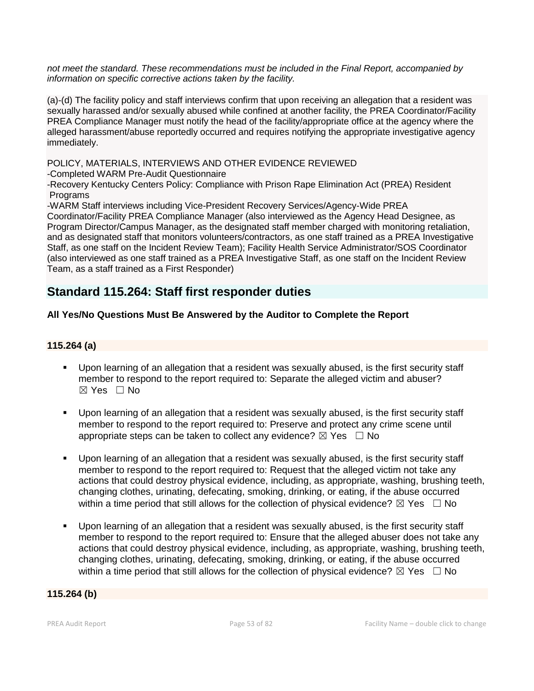*not meet the standard. These recommendations must be included in the Final Report, accompanied by information on specific corrective actions taken by the facility.*

(a)-(d) The facility policy and staff interviews confirm that upon receiving an allegation that a resident was sexually harassed and/or sexually abused while confined at another facility, the PREA Coordinator/Facility PREA Compliance Manager must notify the head of the facility/appropriate office at the agency where the alleged harassment/abuse reportedly occurred and requires notifying the appropriate investigative agency immediately.

POLICY, MATERIALS, INTERVIEWS AND OTHER EVIDENCE REVIEWED

-Completed WARM Pre-Audit Questionnaire

-Recovery Kentucky Centers Policy: Compliance with Prison Rape Elimination Act (PREA) Resident **Programs** 

-WARM Staff interviews including Vice-President Recovery Services/Agency-Wide PREA

Coordinator/Facility PREA Compliance Manager (also interviewed as the Agency Head Designee, as Program Director/Campus Manager, as the designated staff member charged with monitoring retaliation, and as designated staff that monitors volunteers/contractors, as one staff trained as a PREA Investigative Staff, as one staff on the Incident Review Team); Facility Health Service Administrator/SOS Coordinator (also interviewed as one staff trained as a PREA Investigative Staff, as one staff on the Incident Review Team, as a staff trained as a First Responder)

# **Standard 115.264: Staff first responder duties**

# **All Yes/No Questions Must Be Answered by the Auditor to Complete the Report**

# **115.264 (a)**

- Upon learning of an allegation that a resident was sexually abused, is the first security staff member to respond to the report required to: Separate the alleged victim and abuser?  $\boxtimes$  Yes  $\Box$  No
- Upon learning of an allegation that a resident was sexually abused, is the first security staff member to respond to the report required to: Preserve and protect any crime scene until appropriate steps can be taken to collect any evidence?  $\boxtimes$  Yes  $\Box$  No
- Upon learning of an allegation that a resident was sexually abused, is the first security staff member to respond to the report required to: Request that the alleged victim not take any actions that could destroy physical evidence, including, as appropriate, washing, brushing teeth, changing clothes, urinating, defecating, smoking, drinking, or eating, if the abuse occurred within a time period that still allows for the collection of physical evidence?  $\boxtimes$  Yes  $\Box$  No
- Upon learning of an allegation that a resident was sexually abused, is the first security staff member to respond to the report required to: Ensure that the alleged abuser does not take any actions that could destroy physical evidence, including, as appropriate, washing, brushing teeth, changing clothes, urinating, defecating, smoking, drinking, or eating, if the abuse occurred within a time period that still allows for the collection of physical evidence?  $\boxtimes$  Yes  $\Box$  No

#### **115.264 (b)**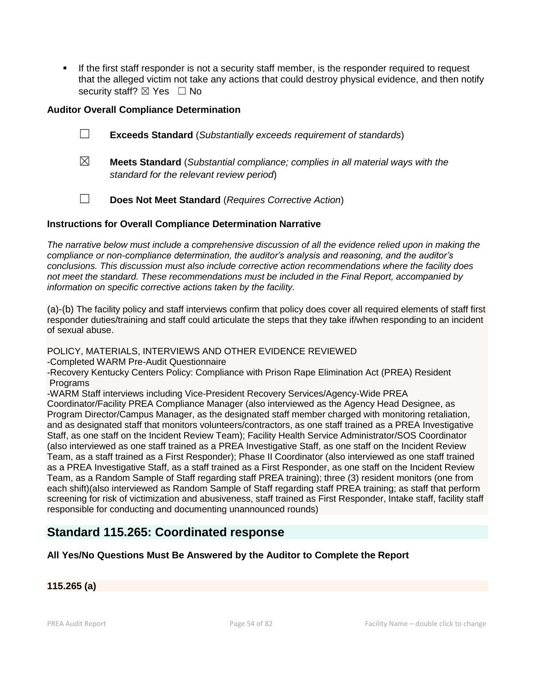**.** If the first staff responder is not a security staff member, is the responder required to request that the alleged victim not take any actions that could destroy physical evidence, and then notify security staff?  $\boxtimes$  Yes  $\Box$  No

# **Auditor Overall Compliance Determination**

- ☐ **Exceeds Standard** (*Substantially exceeds requirement of standards*)
- ☒ **Meets Standard** (*Substantial compliance; complies in all material ways with the standard for the relevant review period*)
- ☐ **Does Not Meet Standard** (*Requires Corrective Action*)

# **Instructions for Overall Compliance Determination Narrative**

*The narrative below must include a comprehensive discussion of all the evidence relied upon in making the compliance or non-compliance determination, the auditor's analysis and reasoning, and the auditor's conclusions. This discussion must also include corrective action recommendations where the facility does not meet the standard. These recommendations must be included in the Final Report, accompanied by information on specific corrective actions taken by the facility.*

(a)-(b) The facility policy and staff interviews confirm that policy does cover all required elements of staff first responder duties/training and staff could articulate the steps that they take if/when responding to an incident of sexual abuse.

POLICY, MATERIALS, INTERVIEWS AND OTHER EVIDENCE REVIEWED

-Completed WARM Pre-Audit Questionnaire

-Recovery Kentucky Centers Policy: Compliance with Prison Rape Elimination Act (PREA) Resident **Programs** 

-WARM Staff interviews including Vice-President Recovery Services/Agency-Wide PREA

Coordinator/Facility PREA Compliance Manager (also interviewed as the Agency Head Designee, as Program Director/Campus Manager, as the designated staff member charged with monitoring retaliation, and as designated staff that monitors volunteers/contractors, as one staff trained as a PREA Investigative Staff, as one staff on the Incident Review Team); Facility Health Service Administrator/SOS Coordinator (also interviewed as one staff trained as a PREA Investigative Staff, as one staff on the Incident Review Team, as a staff trained as a First Responder); Phase II Coordinator (also interviewed as one staff trained as a PREA Investigative Staff, as a staff trained as a First Responder, as one staff on the Incident Review Team, as a Random Sample of Staff regarding staff PREA training); three (3) resident monitors (one from each shift)(also interviewed as Random Sample of Staff regarding staff PREA training; as staff that perform screening for risk of victimization and abusiveness, staff trained as First Responder, Intake staff, facility staff responsible for conducting and documenting unannounced rounds)

# **Standard 115.265: Coordinated response**

# **All Yes/No Questions Must Be Answered by the Auditor to Complete the Report**

# **115.265 (a)**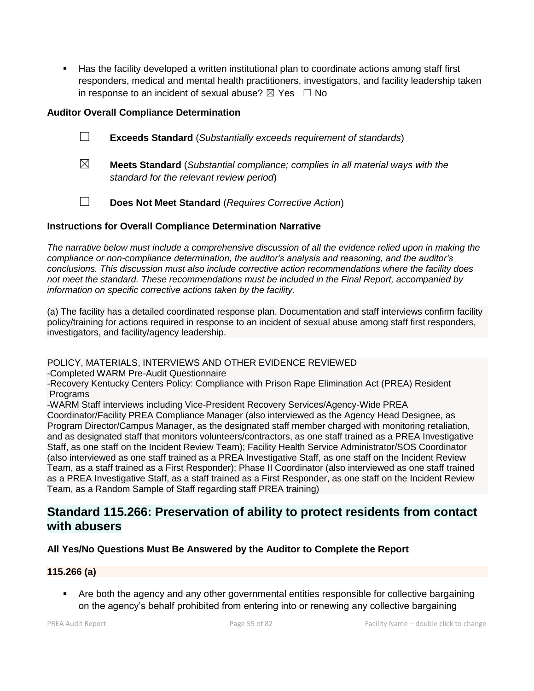■ Has the facility developed a written institutional plan to coordinate actions among staff first responders, medical and mental health practitioners, investigators, and facility leadership taken in response to an incident of sexual abuse?  $\boxtimes$  Yes  $\Box$  No

# **Auditor Overall Compliance Determination**

- ☐ **Exceeds Standard** (*Substantially exceeds requirement of standards*)
- ☒ **Meets Standard** (*Substantial compliance; complies in all material ways with the standard for the relevant review period*)
- ☐ **Does Not Meet Standard** (*Requires Corrective Action*)

# **Instructions for Overall Compliance Determination Narrative**

*The narrative below must include a comprehensive discussion of all the evidence relied upon in making the compliance or non-compliance determination, the auditor's analysis and reasoning, and the auditor's conclusions. This discussion must also include corrective action recommendations where the facility does not meet the standard. These recommendations must be included in the Final Report, accompanied by information on specific corrective actions taken by the facility.*

(a) The facility has a detailed coordinated response plan. Documentation and staff interviews confirm facility policy/training for actions required in response to an incident of sexual abuse among staff first responders, investigators, and facility/agency leadership.

# POLICY, MATERIALS, INTERVIEWS AND OTHER EVIDENCE REVIEWED

-Completed WARM Pre-Audit Questionnaire

-Recovery Kentucky Centers Policy: Compliance with Prison Rape Elimination Act (PREA) Resident Programs

-WARM Staff interviews including Vice-President Recovery Services/Agency-Wide PREA

Coordinator/Facility PREA Compliance Manager (also interviewed as the Agency Head Designee, as Program Director/Campus Manager, as the designated staff member charged with monitoring retaliation, and as designated staff that monitors volunteers/contractors, as one staff trained as a PREA Investigative Staff, as one staff on the Incident Review Team); Facility Health Service Administrator/SOS Coordinator (also interviewed as one staff trained as a PREA Investigative Staff, as one staff on the Incident Review Team, as a staff trained as a First Responder); Phase II Coordinator (also interviewed as one staff trained as a PREA Investigative Staff, as a staff trained as a First Responder, as one staff on the Incident Review Team, as a Random Sample of Staff regarding staff PREA training)

# **Standard 115.266: Preservation of ability to protect residents from contact with abusers**

# **All Yes/No Questions Must Be Answered by the Auditor to Complete the Report**

# **115.266 (a)**

■ Are both the agency and any other governmental entities responsible for collective bargaining on the agency's behalf prohibited from entering into or renewing any collective bargaining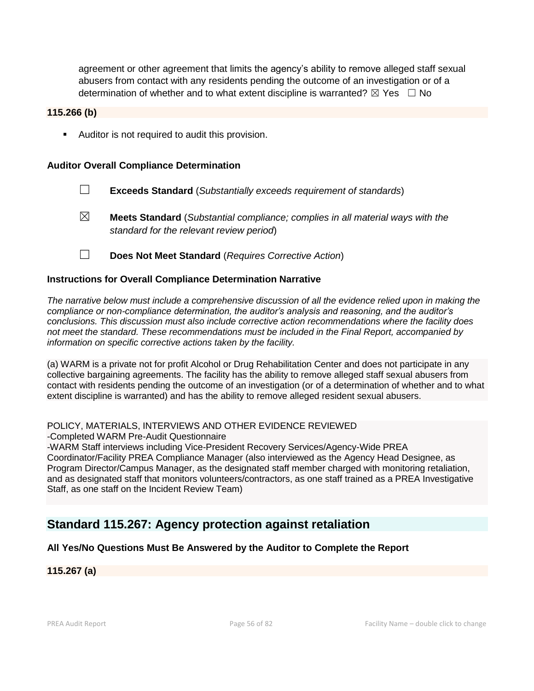agreement or other agreement that limits the agency's ability to remove alleged staff sexual abusers from contact with any residents pending the outcome of an investigation or of a determination of whether and to what extent discipline is warranted?  $\boxtimes$  Yes  $\Box$  No

#### **115.266 (b)**

■ Auditor is not required to audit this provision.

#### **Auditor Overall Compliance Determination**

- ☐ **Exceeds Standard** (*Substantially exceeds requirement of standards*)
- ☒ **Meets Standard** (*Substantial compliance; complies in all material ways with the standard for the relevant review period*)
- ☐ **Does Not Meet Standard** (*Requires Corrective Action*)

#### **Instructions for Overall Compliance Determination Narrative**

*The narrative below must include a comprehensive discussion of all the evidence relied upon in making the compliance or non-compliance determination, the auditor's analysis and reasoning, and the auditor's conclusions. This discussion must also include corrective action recommendations where the facility does not meet the standard. These recommendations must be included in the Final Report, accompanied by information on specific corrective actions taken by the facility.*

(a) WARM is a private not for profit Alcohol or Drug Rehabilitation Center and does not participate in any collective bargaining agreements. The facility has the ability to remove alleged staff sexual abusers from contact with residents pending the outcome of an investigation (or of a determination of whether and to what extent discipline is warranted) and has the ability to remove alleged resident sexual abusers.

#### POLICY, MATERIALS, INTERVIEWS AND OTHER EVIDENCE REVIEWED

-Completed WARM Pre-Audit Questionnaire

-WARM Staff interviews including Vice-President Recovery Services/Agency-Wide PREA Coordinator/Facility PREA Compliance Manager (also interviewed as the Agency Head Designee, as Program Director/Campus Manager, as the designated staff member charged with monitoring retaliation, and as designated staff that monitors volunteers/contractors, as one staff trained as a PREA Investigative Staff, as one staff on the Incident Review Team)

# **Standard 115.267: Agency protection against retaliation**

#### **All Yes/No Questions Must Be Answered by the Auditor to Complete the Report**

**115.267 (a)**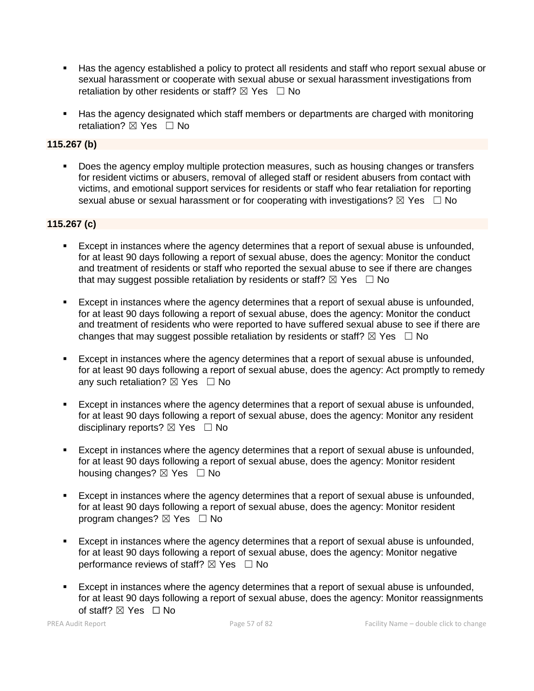- Has the agency established a policy to protect all residents and staff who report sexual abuse or sexual harassment or cooperate with sexual abuse or sexual harassment investigations from retaliation by other residents or staff?  $\boxtimes$  Yes  $\Box$  No
- Has the agency designated which staff members or departments are charged with monitoring retaliation?  $\boxtimes$  Yes  $\Box$  No

# **115.267 (b)**

■ Does the agency employ multiple protection measures, such as housing changes or transfers for resident victims or abusers, removal of alleged staff or resident abusers from contact with victims, and emotional support services for residents or staff who fear retaliation for reporting sexual abuse or sexual harassment or for cooperating with investigations?  $\boxtimes$  Yes  $\Box$  No

#### **115.267 (c)**

- Except in instances where the agency determines that a report of sexual abuse is unfounded, for at least 90 days following a report of sexual abuse, does the agency: Monitor the conduct and treatment of residents or staff who reported the sexual abuse to see if there are changes that may suggest possible retaliation by residents or staff?  $\boxtimes$  Yes  $\Box$  No
- Except in instances where the agency determines that a report of sexual abuse is unfounded, for at least 90 days following a report of sexual abuse, does the agency: Monitor the conduct and treatment of residents who were reported to have suffered sexual abuse to see if there are changes that may suggest possible retaliation by residents or staff?  $\boxtimes$  Yes  $\Box$  No
- Except in instances where the agency determines that a report of sexual abuse is unfounded, for at least 90 days following a report of sexual abuse, does the agency: Act promptly to remedy any such retaliation?  $\boxtimes$  Yes  $\Box$  No
- Except in instances where the agency determines that a report of sexual abuse is unfounded, for at least 90 days following a report of sexual abuse, does the agency: Monitor any resident disciplinary reports? ⊠ Yes □ No
- Except in instances where the agency determines that a report of sexual abuse is unfounded, for at least 90 days following a report of sexual abuse, does the agency: Monitor resident housing changes?  $\boxtimes$  Yes  $\Box$  No
- Except in instances where the agency determines that a report of sexual abuse is unfounded, for at least 90 days following a report of sexual abuse, does the agency: Monitor resident program changes?  $\boxtimes$  Yes  $\Box$  No
- **Except in instances where the agency determines that a report of sexual abuse is unfounded,** for at least 90 days following a report of sexual abuse, does the agency: Monitor negative performance reviews of staff?  $\boxtimes$  Yes  $\Box$  No
- Except in instances where the agency determines that a report of sexual abuse is unfounded, for at least 90 days following a report of sexual abuse, does the agency: Monitor reassignments of staff? ⊠ Yes □ No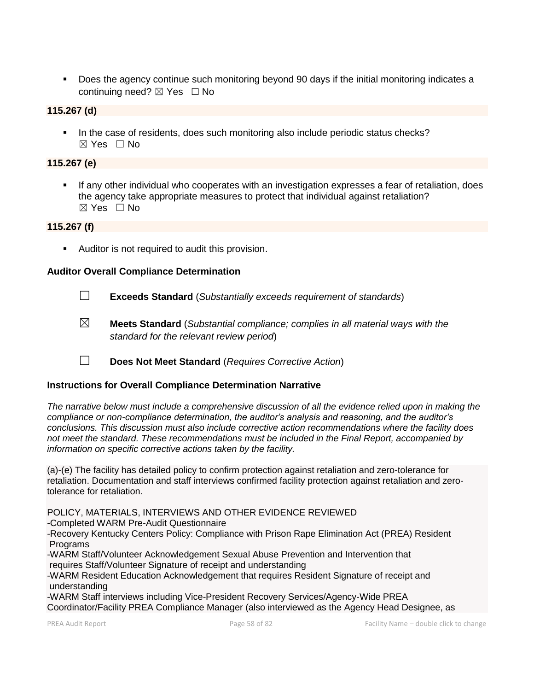■ Does the agency continue such monitoring beyond 90 days if the initial monitoring indicates a continuing need?  $\boxtimes$  Yes  $\Box$  No

#### **115.267 (d)**

**.** In the case of residents, does such monitoring also include periodic status checks? ☒ Yes ☐ No

# **115.267 (e)**

**.** If any other individual who cooperates with an investigation expresses a fear of retaliation, does the agency take appropriate measures to protect that individual against retaliation?  $\boxtimes$  Yes  $\Box$  No

### **115.267 (f)**

**E** Auditor is not required to audit this provision.

#### **Auditor Overall Compliance Determination**

- ☐ **Exceeds Standard** (*Substantially exceeds requirement of standards*)
- ☒ **Meets Standard** (*Substantial compliance; complies in all material ways with the standard for the relevant review period*)
- ☐ **Does Not Meet Standard** (*Requires Corrective Action*)

#### **Instructions for Overall Compliance Determination Narrative**

*The narrative below must include a comprehensive discussion of all the evidence relied upon in making the compliance or non-compliance determination, the auditor's analysis and reasoning, and the auditor's conclusions. This discussion must also include corrective action recommendations where the facility does not meet the standard. These recommendations must be included in the Final Report, accompanied by information on specific corrective actions taken by the facility.*

(a)-(e) The facility has detailed policy to confirm protection against retaliation and zero-tolerance for retaliation. Documentation and staff interviews confirmed facility protection against retaliation and zerotolerance for retaliation.

POLICY, MATERIALS, INTERVIEWS AND OTHER EVIDENCE REVIEWED

-Completed WARM Pre-Audit Questionnaire

-Recovery Kentucky Centers Policy: Compliance with Prison Rape Elimination Act (PREA) Resident **Programs** 

-WARM Staff/Volunteer Acknowledgement Sexual Abuse Prevention and Intervention that requires Staff/Volunteer Signature of receipt and understanding

-WARM Resident Education Acknowledgement that requires Resident Signature of receipt and understanding

-WARM Staff interviews including Vice-President Recovery Services/Agency-Wide PREA Coordinator/Facility PREA Compliance Manager (also interviewed as the Agency Head Designee, as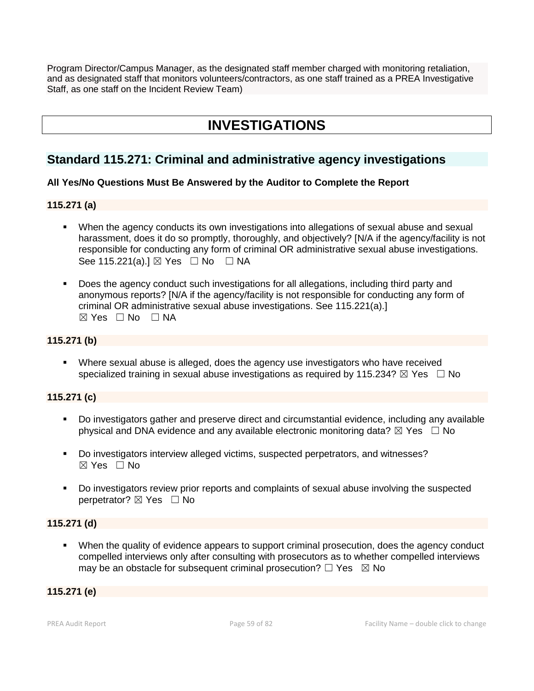Program Director/Campus Manager, as the designated staff member charged with monitoring retaliation, and as designated staff that monitors volunteers/contractors, as one staff trained as a PREA Investigative Staff, as one staff on the Incident Review Team)

# **INVESTIGATIONS**

# **Standard 115.271: Criminal and administrative agency investigations**

# **All Yes/No Questions Must Be Answered by the Auditor to Complete the Report**

# **115.271 (a)**

- When the agency conducts its own investigations into allegations of sexual abuse and sexual harassment, does it do so promptly, thoroughly, and objectively? [N/A if the agency/facility is not responsible for conducting any form of criminal OR administrative sexual abuse investigations. See 115.221(a).]  $\boxtimes$  Yes  $\Box$  No  $\Box$  NA
- Does the agency conduct such investigations for all allegations, including third party and anonymous reports? [N/A if the agency/facility is not responsible for conducting any form of criminal OR administrative sexual abuse investigations. See 115.221(a).]  $⊠ Yes ⊡ No ⊡ NA$

#### **115.271 (b)**

**EXECT** Where sexual abuse is alleged, does the agency use investigators who have received specialized training in sexual abuse investigations as required by 115.234?  $\boxtimes$  Yes  $\Box$  No

# **115.271 (c)**

- Do investigators gather and preserve direct and circumstantial evidence, including any available physical and DNA evidence and any available electronic monitoring data?  $\boxtimes$  Yes  $\Box$  No
- Do investigators interview alleged victims, suspected perpetrators, and witnesses?  $\boxtimes$  Yes  $\Box$  No
- Do investigators review prior reports and complaints of sexual abuse involving the suspected perpetrator? ⊠ Yes □ No

#### **115.271 (d)**

**•** When the quality of evidence appears to support criminal prosecution, does the agency conduct compelled interviews only after consulting with prosecutors as to whether compelled interviews may be an obstacle for subsequent criminal prosecution?  $\Box$  Yes  $\boxtimes$  No

# **115.271 (e)**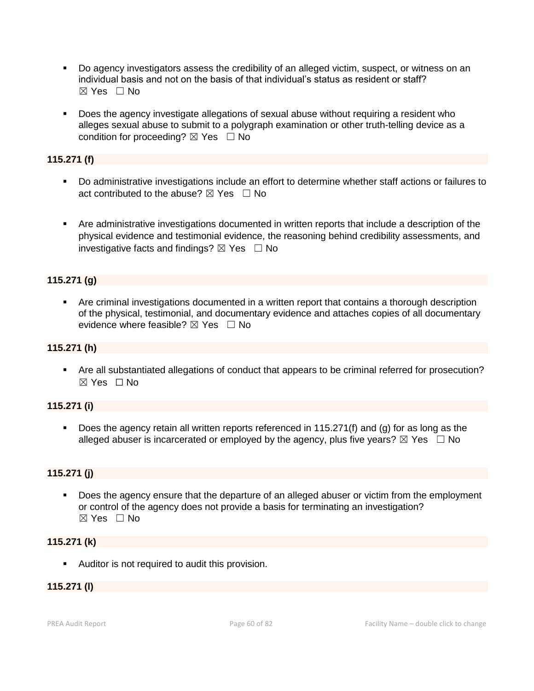- Do agency investigators assess the credibility of an alleged victim, suspect, or witness on an individual basis and not on the basis of that individual's status as resident or staff? ☒ Yes ☐ No
- Does the agency investigate allegations of sexual abuse without requiring a resident who alleges sexual abuse to submit to a polygraph examination or other truth-telling device as a condition for proceeding?  $\boxtimes$  Yes  $\Box$  No

# **115.271 (f)**

- Do administrative investigations include an effort to determine whether staff actions or failures to act contributed to the abuse?  $\boxtimes$  Yes  $\Box$  No
- Are administrative investigations documented in written reports that include a description of the physical evidence and testimonial evidence, the reasoning behind credibility assessments, and investigative facts and findings?  $\boxtimes$  Yes  $\Box$  No

# **115.271 (g)**

**EXT** Are criminal investigations documented in a written report that contains a thorough description of the physical, testimonial, and documentary evidence and attaches copies of all documentary evidence where feasible?  $\boxtimes$  Yes  $\Box$  No

# **115.271 (h)**

▪ Are all substantiated allegations of conduct that appears to be criminal referred for prosecution? ☒ Yes ☐ No

# **115.271 (i)**

**•** Does the agency retain all written reports referenced in 115.271(f) and (g) for as long as the alleged abuser is incarcerated or employed by the agency, plus five years?  $\boxtimes$  Yes  $\Box$  No

# **115.271 (j)**

Does the agency ensure that the departure of an alleged abuser or victim from the employment or control of the agency does not provide a basis for terminating an investigation? ☒ Yes ☐ No

# **115.271 (k)**

■ Auditor is not required to audit this provision.

# **115.271 (l)**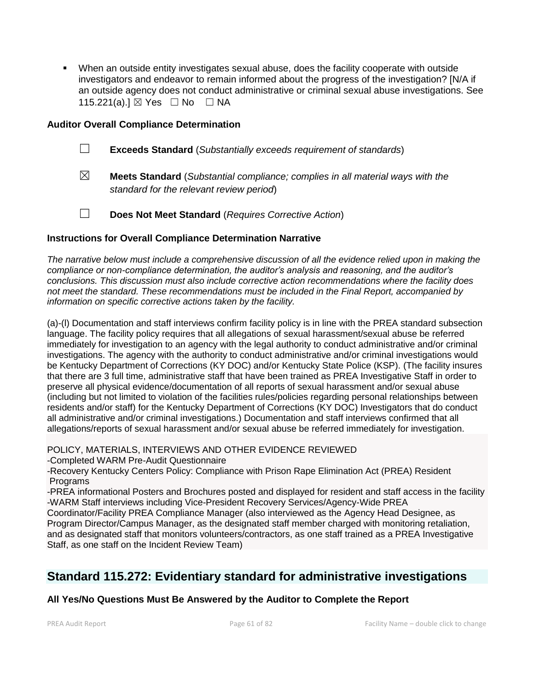▪ When an outside entity investigates sexual abuse, does the facility cooperate with outside investigators and endeavor to remain informed about the progress of the investigation? [N/A if an outside agency does not conduct administrative or criminal sexual abuse investigations. See 115.221(a).] ⊠ Yes □ No □ NA

# **Auditor Overall Compliance Determination**

- ☐ **Exceeds Standard** (*Substantially exceeds requirement of standards*)
- ☒ **Meets Standard** (*Substantial compliance; complies in all material ways with the standard for the relevant review period*)
- ☐ **Does Not Meet Standard** (*Requires Corrective Action*)

#### **Instructions for Overall Compliance Determination Narrative**

*The narrative below must include a comprehensive discussion of all the evidence relied upon in making the compliance or non-compliance determination, the auditor's analysis and reasoning, and the auditor's conclusions. This discussion must also include corrective action recommendations where the facility does not meet the standard. These recommendations must be included in the Final Report, accompanied by information on specific corrective actions taken by the facility.*

(a)-(l) Documentation and staff interviews confirm facility policy is in line with the PREA standard subsection language. The facility policy requires that all allegations of sexual harassment/sexual abuse be referred immediately for investigation to an agency with the legal authority to conduct administrative and/or criminal investigations. The agency with the authority to conduct administrative and/or criminal investigations would be Kentucky Department of Corrections (KY DOC) and/or Kentucky State Police (KSP). (The facility insures that there are 3 full time, administrative staff that have been trained as PREA Investigative Staff in order to preserve all physical evidence/documentation of all reports of sexual harassment and/or sexual abuse (including but not limited to violation of the facilities rules/policies regarding personal relationships between residents and/or staff) for the Kentucky Department of Corrections (KY DOC) Investigators that do conduct all administrative and/or criminal investigations.) Documentation and staff interviews confirmed that all allegations/reports of sexual harassment and/or sexual abuse be referred immediately for investigation.

POLICY, MATERIALS, INTERVIEWS AND OTHER EVIDENCE REVIEWED -Completed WARM Pre-Audit Questionnaire

-Recovery Kentucky Centers Policy: Compliance with Prison Rape Elimination Act (PREA) Resident **Programs** 

-PREA informational Posters and Brochures posted and displayed for resident and staff access in the facility -WARM Staff interviews including Vice-President Recovery Services/Agency-Wide PREA

Coordinator/Facility PREA Compliance Manager (also interviewed as the Agency Head Designee, as Program Director/Campus Manager, as the designated staff member charged with monitoring retaliation, and as designated staff that monitors volunteers/contractors, as one staff trained as a PREA Investigative Staff, as one staff on the Incident Review Team)

# **Standard 115.272: Evidentiary standard for administrative investigations**

# **All Yes/No Questions Must Be Answered by the Auditor to Complete the Report**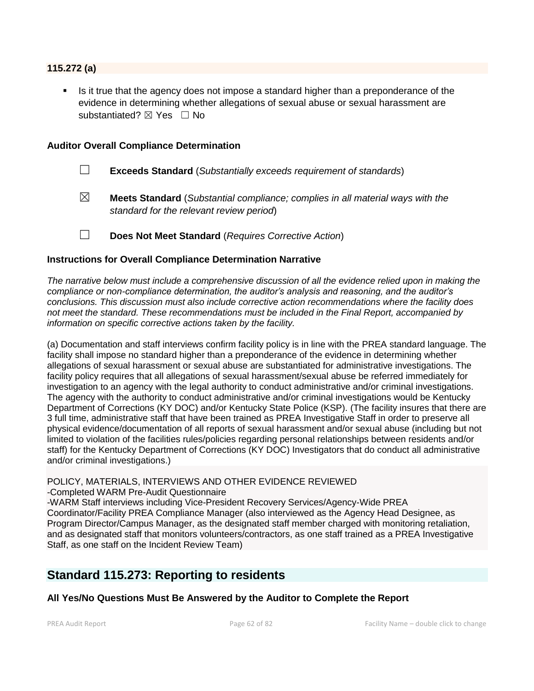#### **115.272 (a)**

Is it true that the agency does not impose a standard higher than a preponderance of the evidence in determining whether allegations of sexual abuse or sexual harassment are substantiated? ⊠ Yes □ No

#### **Auditor Overall Compliance Determination**

- ☐ **Exceeds Standard** (*Substantially exceeds requirement of standards*)
- ☒ **Meets Standard** (*Substantial compliance; complies in all material ways with the standard for the relevant review period*)

☐ **Does Not Meet Standard** (*Requires Corrective Action*)

#### **Instructions for Overall Compliance Determination Narrative**

*The narrative below must include a comprehensive discussion of all the evidence relied upon in making the compliance or non-compliance determination, the auditor's analysis and reasoning, and the auditor's conclusions. This discussion must also include corrective action recommendations where the facility does not meet the standard. These recommendations must be included in the Final Report, accompanied by information on specific corrective actions taken by the facility.*

(a) Documentation and staff interviews confirm facility policy is in line with the PREA standard language. The facility shall impose no standard higher than a preponderance of the evidence in determining whether allegations of sexual harassment or sexual abuse are substantiated for administrative investigations. The facility policy requires that all allegations of sexual harassment/sexual abuse be referred immediately for investigation to an agency with the legal authority to conduct administrative and/or criminal investigations. The agency with the authority to conduct administrative and/or criminal investigations would be Kentucky Department of Corrections (KY DOC) and/or Kentucky State Police (KSP). (The facility insures that there are 3 full time, administrative staff that have been trained as PREA Investigative Staff in order to preserve all physical evidence/documentation of all reports of sexual harassment and/or sexual abuse (including but not limited to violation of the facilities rules/policies regarding personal relationships between residents and/or staff) for the Kentucky Department of Corrections (KY DOC) Investigators that do conduct all administrative and/or criminal investigations.)

#### POLICY, MATERIALS, INTERVIEWS AND OTHER EVIDENCE REVIEWED

-Completed WARM Pre-Audit Questionnaire

-WARM Staff interviews including Vice-President Recovery Services/Agency-Wide PREA Coordinator/Facility PREA Compliance Manager (also interviewed as the Agency Head Designee, as Program Director/Campus Manager, as the designated staff member charged with monitoring retaliation, and as designated staff that monitors volunteers/contractors, as one staff trained as a PREA Investigative Staff, as one staff on the Incident Review Team)

# **Standard 115.273: Reporting to residents**

#### **All Yes/No Questions Must Be Answered by the Auditor to Complete the Report**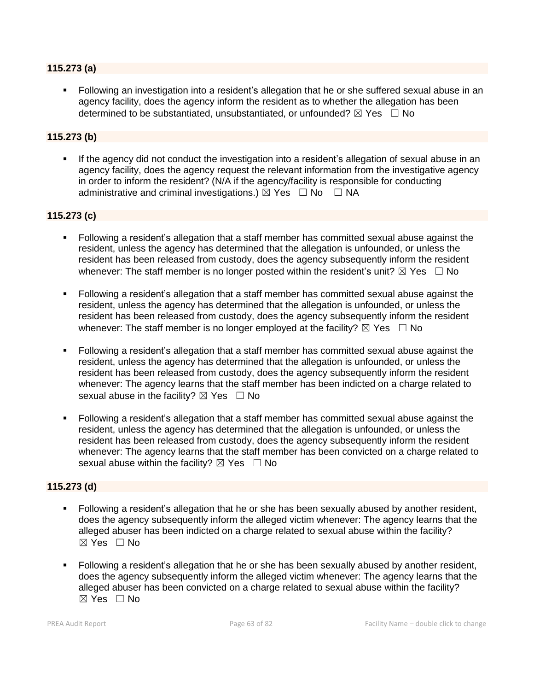#### **115.273 (a)**

Following an investigation into a resident's allegation that he or she suffered sexual abuse in an agency facility, does the agency inform the resident as to whether the allegation has been determined to be substantiated, unsubstantiated, or unfounded?  $\boxtimes$  Yes  $\Box$  No

# **115.273 (b)**

**.** If the agency did not conduct the investigation into a resident's allegation of sexual abuse in an agency facility, does the agency request the relevant information from the investigative agency in order to inform the resident? (N/A if the agency/facility is responsible for conducting administrative and criminal investigations.)  $\boxtimes$  Yes  $\Box$  No  $\Box$  NA

# **115.273 (c)**

- Following a resident's allegation that a staff member has committed sexual abuse against the resident, unless the agency has determined that the allegation is unfounded, or unless the resident has been released from custody, does the agency subsequently inform the resident whenever: The staff member is no longer posted within the resident's unit?  $\boxtimes$  Yes  $\Box$  No
- Following a resident's allegation that a staff member has committed sexual abuse against the resident, unless the agency has determined that the allegation is unfounded, or unless the resident has been released from custody, does the agency subsequently inform the resident whenever: The staff member is no longer employed at the facility?  $\boxtimes$  Yes  $\Box$  No
- Following a resident's allegation that a staff member has committed sexual abuse against the resident, unless the agency has determined that the allegation is unfounded, or unless the resident has been released from custody, does the agency subsequently inform the resident whenever: The agency learns that the staff member has been indicted on a charge related to sexual abuse in the facility?  $\boxtimes$  Yes  $\Box$  No
- Following a resident's allegation that a staff member has committed sexual abuse against the resident, unless the agency has determined that the allegation is unfounded, or unless the resident has been released from custody, does the agency subsequently inform the resident whenever: The agency learns that the staff member has been convicted on a charge related to sexual abuse within the facility?  $\boxtimes$  Yes  $\Box$  No

# **115.273 (d)**

- Following a resident's allegation that he or she has been sexually abused by another resident, does the agency subsequently inform the alleged victim whenever: The agency learns that the alleged abuser has been indicted on a charge related to sexual abuse within the facility? ☒ Yes ☐ No
- **•** Following a resident's allegation that he or she has been sexually abused by another resident, does the agency subsequently inform the alleged victim whenever: The agency learns that the alleged abuser has been convicted on a charge related to sexual abuse within the facility?  $\boxtimes$  Yes  $\Box$  No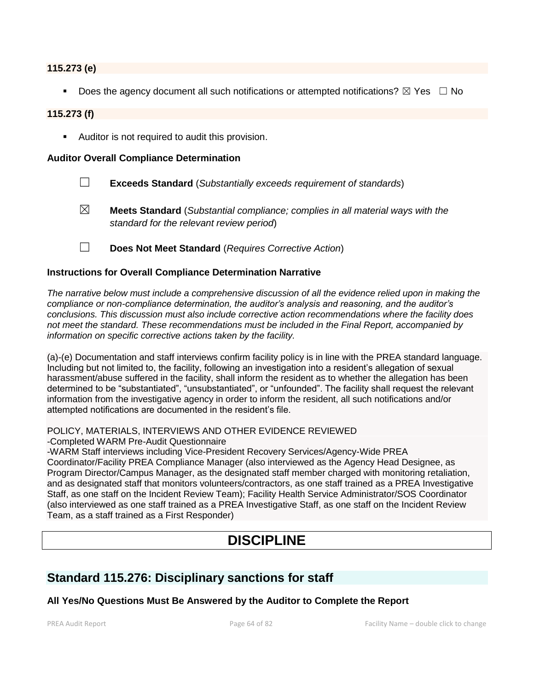#### **115.273 (e)**

**•** Does the agency document all such notifications or attempted notifications?  $\boxtimes$  Yes  $\Box$  No

#### **115.273 (f)**

■ Auditor is not required to audit this provision.

#### **Auditor Overall Compliance Determination**

- ☐ **Exceeds Standard** (*Substantially exceeds requirement of standards*)
- ☒ **Meets Standard** (*Substantial compliance; complies in all material ways with the standard for the relevant review period*)
- ☐ **Does Not Meet Standard** (*Requires Corrective Action*)

#### **Instructions for Overall Compliance Determination Narrative**

*The narrative below must include a comprehensive discussion of all the evidence relied upon in making the compliance or non-compliance determination, the auditor's analysis and reasoning, and the auditor's conclusions. This discussion must also include corrective action recommendations where the facility does not meet the standard. These recommendations must be included in the Final Report, accompanied by information on specific corrective actions taken by the facility.*

(a)-(e) Documentation and staff interviews confirm facility policy is in line with the PREA standard language. Including but not limited to, the facility, following an investigation into a resident's allegation of sexual harassment/abuse suffered in the facility, shall inform the resident as to whether the allegation has been determined to be "substantiated", "unsubstantiated", or "unfounded". The facility shall request the relevant information from the investigative agency in order to inform the resident, all such notifications and/or attempted notifications are documented in the resident's file.

# POLICY, MATERIALS, INTERVIEWS AND OTHER EVIDENCE REVIEWED

-Completed WARM Pre-Audit Questionnaire

-WARM Staff interviews including Vice-President Recovery Services/Agency-Wide PREA Coordinator/Facility PREA Compliance Manager (also interviewed as the Agency Head Designee, as Program Director/Campus Manager, as the designated staff member charged with monitoring retaliation, and as designated staff that monitors volunteers/contractors, as one staff trained as a PREA Investigative Staff, as one staff on the Incident Review Team); Facility Health Service Administrator/SOS Coordinator (also interviewed as one staff trained as a PREA Investigative Staff, as one staff on the Incident Review Team, as a staff trained as a First Responder)

# **DISCIPLINE**

# **Standard 115.276: Disciplinary sanctions for staff**

#### **All Yes/No Questions Must Be Answered by the Auditor to Complete the Report**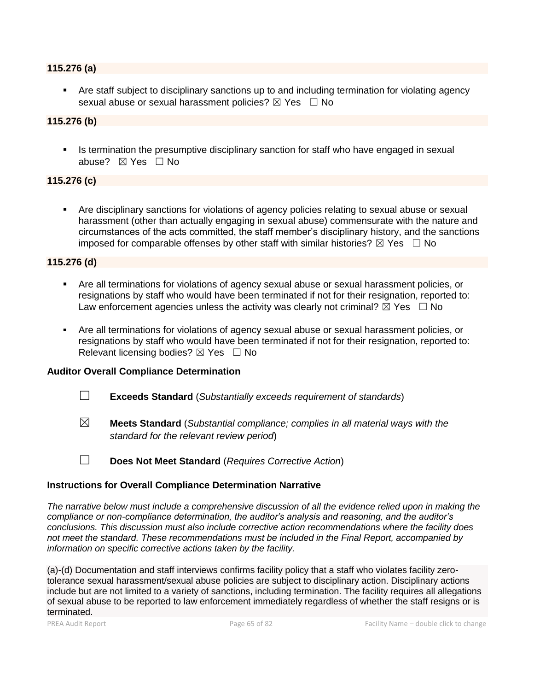#### **115.276 (a)**

Are staff subject to disciplinary sanctions up to and including termination for violating agency sexual abuse or sexual harassment policies?  $\boxtimes$  Yes  $\Box$  No

#### **115.276 (b)**

**•** Is termination the presumptive disciplinary sanction for staff who have engaged in sexual abuse? ☒ Yes ☐ No

#### **115.276 (c)**

Are disciplinary sanctions for violations of agency policies relating to sexual abuse or sexual harassment (other than actually engaging in sexual abuse) commensurate with the nature and circumstances of the acts committed, the staff member's disciplinary history, and the sanctions imposed for comparable offenses by other staff with similar histories?  $\boxtimes$  Yes  $\Box$  No

#### **115.276 (d)**

- Are all terminations for violations of agency sexual abuse or sexual harassment policies, or resignations by staff who would have been terminated if not for their resignation, reported to: Law enforcement agencies unless the activity was clearly not criminal?  $\boxtimes$  Yes  $\Box$  No
- Are all terminations for violations of agency sexual abuse or sexual harassment policies, or resignations by staff who would have been terminated if not for their resignation, reported to: Relevant licensing bodies?  $\boxtimes$  Yes  $\Box$  No

#### **Auditor Overall Compliance Determination**

- ☐ **Exceeds Standard** (*Substantially exceeds requirement of standards*)
- ☒ **Meets Standard** (*Substantial compliance; complies in all material ways with the standard for the relevant review period*)
- ☐ **Does Not Meet Standard** (*Requires Corrective Action*)

#### **Instructions for Overall Compliance Determination Narrative**

*The narrative below must include a comprehensive discussion of all the evidence relied upon in making the compliance or non-compliance determination, the auditor's analysis and reasoning, and the auditor's conclusions. This discussion must also include corrective action recommendations where the facility does not meet the standard. These recommendations must be included in the Final Report, accompanied by information on specific corrective actions taken by the facility.*

(a)-(d) Documentation and staff interviews confirms facility policy that a staff who violates facility zerotolerance sexual harassment/sexual abuse policies are subject to disciplinary action. Disciplinary actions include but are not limited to a variety of sanctions, including termination. The facility requires all allegations of sexual abuse to be reported to law enforcement immediately regardless of whether the staff resigns or is terminated.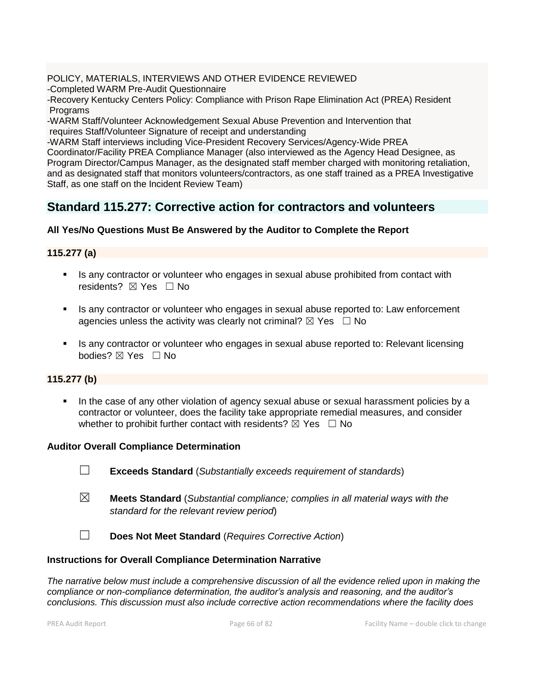POLICY, MATERIALS, INTERVIEWS AND OTHER EVIDENCE REVIEWED

-Completed WARM Pre-Audit Questionnaire

-Recovery Kentucky Centers Policy: Compliance with Prison Rape Elimination Act (PREA) Resident Programs

-WARM Staff/Volunteer Acknowledgement Sexual Abuse Prevention and Intervention that requires Staff/Volunteer Signature of receipt and understanding

-WARM Staff interviews including Vice-President Recovery Services/Agency-Wide PREA

Coordinator/Facility PREA Compliance Manager (also interviewed as the Agency Head Designee, as Program Director/Campus Manager, as the designated staff member charged with monitoring retaliation, and as designated staff that monitors volunteers/contractors, as one staff trained as a PREA Investigative Staff, as one staff on the Incident Review Team)

# **Standard 115.277: Corrective action for contractors and volunteers**

# **All Yes/No Questions Must Be Answered by the Auditor to Complete the Report**

# **115.277 (a)**

- **EXECT** Is any contractor or volunteer who engages in sexual abuse prohibited from contact with residents?  $\boxtimes$  Yes  $\Box$  No
- Is any contractor or volunteer who engages in sexual abuse reported to: Law enforcement agencies unless the activity was clearly not criminal?  $\boxtimes$  Yes  $\Box$  No
- Is any contractor or volunteer who engages in sexual abuse reported to: Relevant licensing bodies? ⊠ Yes □ No

# **115.277 (b)**

**■** In the case of any other violation of agency sexual abuse or sexual harassment policies by a contractor or volunteer, does the facility take appropriate remedial measures, and consider whether to prohibit further contact with residents?  $\boxtimes$  Yes  $\Box$  No

# **Auditor Overall Compliance Determination**

- ☐ **Exceeds Standard** (*Substantially exceeds requirement of standards*)
- ☒ **Meets Standard** (*Substantial compliance; complies in all material ways with the standard for the relevant review period*)
- ☐ **Does Not Meet Standard** (*Requires Corrective Action*)

# **Instructions for Overall Compliance Determination Narrative**

*The narrative below must include a comprehensive discussion of all the evidence relied upon in making the compliance or non-compliance determination, the auditor's analysis and reasoning, and the auditor's conclusions. This discussion must also include corrective action recommendations where the facility does*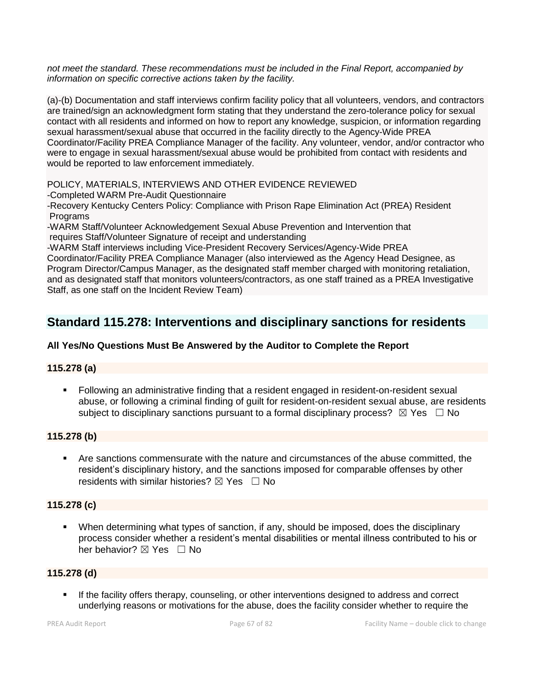*not meet the standard. These recommendations must be included in the Final Report, accompanied by information on specific corrective actions taken by the facility.*

(a)-(b) Documentation and staff interviews confirm facility policy that all volunteers, vendors, and contractors are trained/sign an acknowledgment form stating that they understand the zero-tolerance policy for sexual contact with all residents and informed on how to report any knowledge, suspicion, or information regarding sexual harassment/sexual abuse that occurred in the facility directly to the Agency-Wide PREA Coordinator/Facility PREA Compliance Manager of the facility. Any volunteer, vendor, and/or contractor who were to engage in sexual harassment/sexual abuse would be prohibited from contact with residents and would be reported to law enforcement immediately.

POLICY, MATERIALS, INTERVIEWS AND OTHER EVIDENCE REVIEWED

-Completed WARM Pre-Audit Questionnaire

-Recovery Kentucky Centers Policy: Compliance with Prison Rape Elimination Act (PREA) Resident Programs

-WARM Staff/Volunteer Acknowledgement Sexual Abuse Prevention and Intervention that requires Staff/Volunteer Signature of receipt and understanding

-WARM Staff interviews including Vice-President Recovery Services/Agency-Wide PREA

Coordinator/Facility PREA Compliance Manager (also interviewed as the Agency Head Designee, as Program Director/Campus Manager, as the designated staff member charged with monitoring retaliation, and as designated staff that monitors volunteers/contractors, as one staff trained as a PREA Investigative Staff, as one staff on the Incident Review Team)

# **Standard 115.278: Interventions and disciplinary sanctions for residents**

# **All Yes/No Questions Must Be Answered by the Auditor to Complete the Report**

# **115.278 (a)**

**• Following an administrative finding that a resident engaged in resident-on-resident sexual** abuse, or following a criminal finding of guilt for resident-on-resident sexual abuse, are residents subject to disciplinary sanctions pursuant to a formal disciplinary process?  $\boxtimes$  Yes  $\Box$  No

# **115.278 (b)**

Are sanctions commensurate with the nature and circumstances of the abuse committed, the resident's disciplinary history, and the sanctions imposed for comparable offenses by other residents with similar histories?  $\boxtimes$  Yes  $\Box$  No

# **115.278 (c)**

▪ When determining what types of sanction, if any, should be imposed, does the disciplinary process consider whether a resident's mental disabilities or mental illness contributed to his or her behavior? ⊠ Yes □ No

# **115.278 (d)**

**EXECT** If the facility offers therapy, counseling, or other interventions designed to address and correct underlying reasons or motivations for the abuse, does the facility consider whether to require the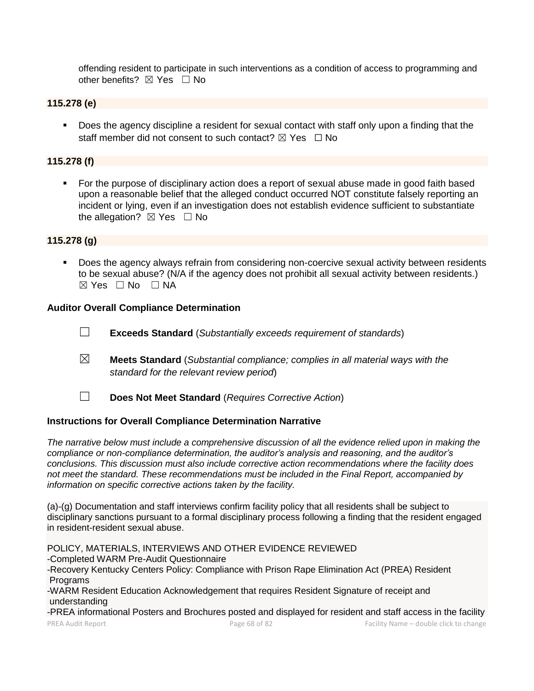offending resident to participate in such interventions as a condition of access to programming and other benefits?  $\boxtimes$  Yes  $\Box$  No

### **115.278 (e)**

**•** Does the agency discipline a resident for sexual contact with staff only upon a finding that the staff member did not consent to such contact?  $\boxtimes$  Yes  $\Box$  No

#### **115.278 (f)**

■ For the purpose of disciplinary action does a report of sexual abuse made in good faith based upon a reasonable belief that the alleged conduct occurred NOT constitute falsely reporting an incident or lying, even if an investigation does not establish evidence sufficient to substantiate the allegation?  $\boxtimes$  Yes  $\Box$  No

#### **115.278 (g)**

▪ Does the agency always refrain from considering non-coercive sexual activity between residents to be sexual abuse? (N/A if the agency does not prohibit all sexual activity between residents.)  $⊠ Yes ⊡ No ⊡ NA$ 

#### **Auditor Overall Compliance Determination**

- ☐ **Exceeds Standard** (*Substantially exceeds requirement of standards*)
- ☒ **Meets Standard** (*Substantial compliance; complies in all material ways with the standard for the relevant review period*)
- ☐ **Does Not Meet Standard** (*Requires Corrective Action*)

#### **Instructions for Overall Compliance Determination Narrative**

*The narrative below must include a comprehensive discussion of all the evidence relied upon in making the compliance or non-compliance determination, the auditor's analysis and reasoning, and the auditor's conclusions. This discussion must also include corrective action recommendations where the facility does not meet the standard. These recommendations must be included in the Final Report, accompanied by information on specific corrective actions taken by the facility.*

(a)-(g) Documentation and staff interviews confirm facility policy that all residents shall be subject to disciplinary sanctions pursuant to a formal disciplinary process following a finding that the resident engaged in resident-resident sexual abuse.

POLICY, MATERIALS, INTERVIEWS AND OTHER EVIDENCE REVIEWED -Completed WARM Pre-Audit Questionnaire -Recovery Kentucky Centers Policy: Compliance with Prison Rape Elimination Act (PREA) Resident Programs -WARM Resident Education Acknowledgement that requires Resident Signature of receipt and understanding -PREA informational Posters and Brochures posted and displayed for resident and staff access in the facility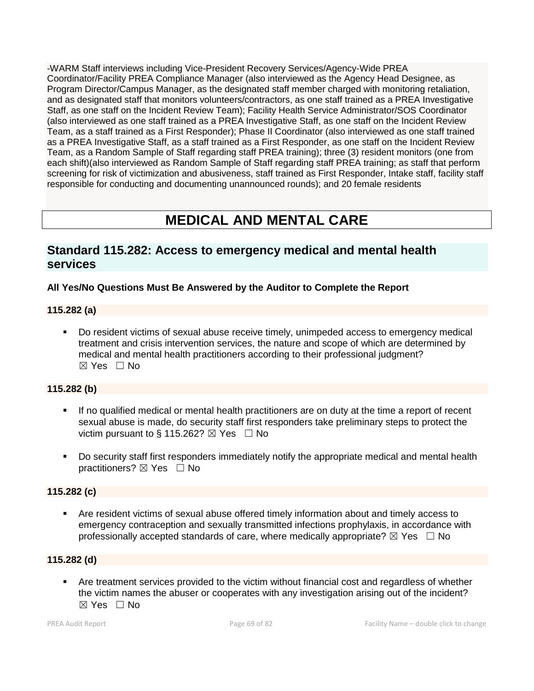-WARM Staff interviews including Vice-President Recovery Services/Agency-Wide PREA Coordinator/Facility PREA Compliance Manager (also interviewed as the Agency Head Designee, as Program Director/Campus Manager, as the designated staff member charged with monitoring retaliation, and as designated staff that monitors volunteers/contractors, as one staff trained as a PREA Investigative Staff, as one staff on the Incident Review Team); Facility Health Service Administrator/SOS Coordinator (also interviewed as one staff trained as a PREA Investigative Staff, as one staff on the Incident Review Team, as a staff trained as a First Responder); Phase II Coordinator (also interviewed as one staff trained as a PREA Investigative Staff, as a staff trained as a First Responder, as one staff on the Incident Review Team, as a Random Sample of Staff regarding staff PREA training); three (3) resident monitors (one from each shift)(also interviewed as Random Sample of Staff regarding staff PREA training; as staff that perform screening for risk of victimization and abusiveness, staff trained as First Responder, Intake staff, facility staff responsible for conducting and documenting unannounced rounds); and 20 female residents

# **MEDICAL AND MENTAL CARE**

# **Standard 115.282: Access to emergency medical and mental health services**

# **All Yes/No Questions Must Be Answered by the Auditor to Complete the Report**

# **115.282 (a)**

▪ Do resident victims of sexual abuse receive timely, unimpeded access to emergency medical treatment and crisis intervention services, the nature and scope of which are determined by medical and mental health practitioners according to their professional judgment? ☒ Yes ☐ No

# **115.282 (b)**

- If no qualified medical or mental health practitioners are on duty at the time a report of recent sexual abuse is made, do security staff first responders take preliminary steps to protect the victim pursuant to § 115.262?  $\boxtimes$  Yes  $\Box$  No
- Do security staff first responders immediately notify the appropriate medical and mental health practitioners?  $\boxtimes$  Yes  $\Box$  No

# **115.282 (c)**

Are resident victims of sexual abuse offered timely information about and timely access to emergency contraception and sexually transmitted infections prophylaxis, in accordance with professionally accepted standards of care, where medically appropriate?  $\boxtimes$  Yes  $\Box$  No

# **115.282 (d)**

▪ Are treatment services provided to the victim without financial cost and regardless of whether the victim names the abuser or cooperates with any investigation arising out of the incident?  $\boxtimes$  Yes  $\Box$  No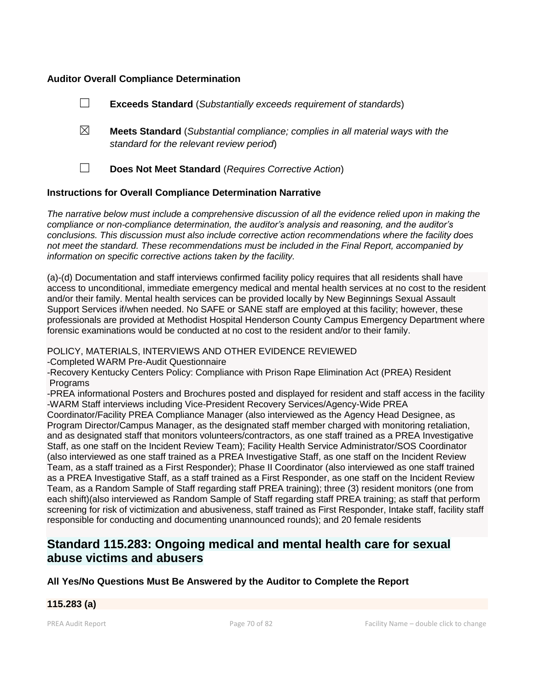### **Auditor Overall Compliance Determination**

|                                                                    |   | <b>Exceeds Standard</b> (Substantially exceeds requirement of standards)                                                          |
|--------------------------------------------------------------------|---|-----------------------------------------------------------------------------------------------------------------------------------|
|                                                                    | ⊠ | <b>Meets Standard</b> (Substantial compliance; complies in all material ways with the<br>standard for the relevant review period) |
|                                                                    |   | Does Not Meet Standard (Requires Corrective Action)                                                                               |
| <b>Instructions for Overall Compliance Determination Narrative</b> |   |                                                                                                                                   |

*The narrative below must include a comprehensive discussion of all the evidence relied upon in making the compliance or non-compliance determination, the auditor's analysis and reasoning, and the auditor's conclusions. This discussion must also include corrective action recommendations where the facility does not meet the standard. These recommendations must be included in the Final Report, accompanied by information on specific corrective actions taken by the facility.*

(a)-(d) Documentation and staff interviews confirmed facility policy requires that all residents shall have access to unconditional, immediate emergency medical and mental health services at no cost to the resident and/or their family. Mental health services can be provided locally by New Beginnings Sexual Assault Support Services if/when needed. No SAFE or SANE staff are employed at this facility; however, these professionals are provided at Methodist Hospital Henderson County Campus Emergency Department where forensic examinations would be conducted at no cost to the resident and/or to their family.

POLICY, MATERIALS, INTERVIEWS AND OTHER EVIDENCE REVIEWED

-Completed WARM Pre-Audit Questionnaire

-Recovery Kentucky Centers Policy: Compliance with Prison Rape Elimination Act (PREA) Resident **Programs** 

-PREA informational Posters and Brochures posted and displayed for resident and staff access in the facility -WARM Staff interviews including Vice-President Recovery Services/Agency-Wide PREA

Coordinator/Facility PREA Compliance Manager (also interviewed as the Agency Head Designee, as Program Director/Campus Manager, as the designated staff member charged with monitoring retaliation, and as designated staff that monitors volunteers/contractors, as one staff trained as a PREA Investigative Staff, as one staff on the Incident Review Team); Facility Health Service Administrator/SOS Coordinator (also interviewed as one staff trained as a PREA Investigative Staff, as one staff on the Incident Review Team, as a staff trained as a First Responder); Phase II Coordinator (also interviewed as one staff trained as a PREA Investigative Staff, as a staff trained as a First Responder, as one staff on the Incident Review Team, as a Random Sample of Staff regarding staff PREA training); three (3) resident monitors (one from each shift)(also interviewed as Random Sample of Staff regarding staff PREA training; as staff that perform screening for risk of victimization and abusiveness, staff trained as First Responder, Intake staff, facility staff responsible for conducting and documenting unannounced rounds); and 20 female residents

# **Standard 115.283: Ongoing medical and mental health care for sexual abuse victims and abusers**

# **All Yes/No Questions Must Be Answered by the Auditor to Complete the Report**

# **115.283 (a)**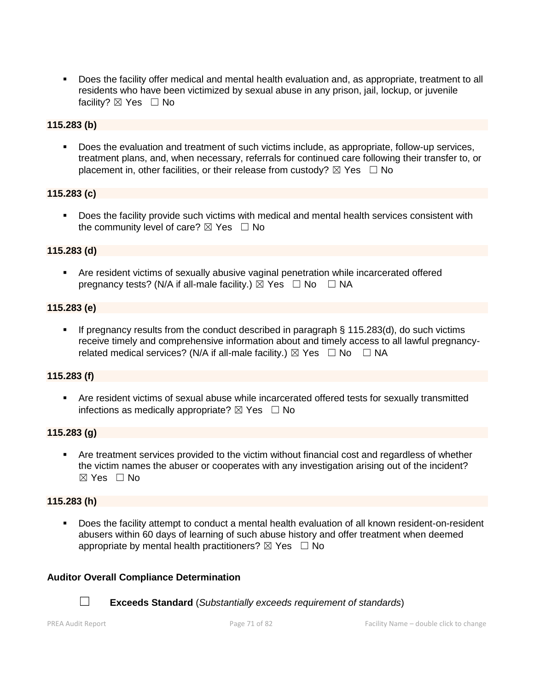■ Does the facility offer medical and mental health evaluation and, as appropriate, treatment to all residents who have been victimized by sexual abuse in any prison, jail, lockup, or juvenile facility? ⊠ Yes □ No

# **115.283 (b)**

**•** Does the evaluation and treatment of such victims include, as appropriate, follow-up services, treatment plans, and, when necessary, referrals for continued care following their transfer to, or placement in, other facilities, or their release from custody?  $\boxtimes$  Yes  $\Box$  No

#### **115.283 (c)**

■ Does the facility provide such victims with medical and mental health services consistent with the community level of care?  $\boxtimes$  Yes  $\Box$  No

# **115.283 (d)**

**EXP** Are resident victims of sexually abusive vaginal penetration while incarcerated offered pregnancy tests? (N/A if all-male facility.)  $\boxtimes$  Yes  $\Box$  No  $\Box$  NA

#### **115.283 (e)**

■ If pregnancy results from the conduct described in paragraph § 115.283(d), do such victims receive timely and comprehensive information about and timely access to all lawful pregnancyrelated medical services? (N/A if all-male facility.)  $\boxtimes$  Yes  $\Box$  No  $\Box$  NA

# **115.283 (f)**

▪ Are resident victims of sexual abuse while incarcerated offered tests for sexually transmitted infections as medically appropriate?  $\boxtimes$  Yes  $\Box$  No

#### **115.283 (g)**

Are treatment services provided to the victim without financial cost and regardless of whether the victim names the abuser or cooperates with any investigation arising out of the incident?  $\boxtimes$  Yes  $\Box$  No

#### **115.283 (h)**

Does the facility attempt to conduct a mental health evaluation of all known resident-on-resident abusers within 60 days of learning of such abuse history and offer treatment when deemed appropriate by mental health practitioners?  $\boxtimes$  Yes  $\Box$  No

#### **Auditor Overall Compliance Determination**



☐ **Exceeds Standard** (*Substantially exceeds requirement of standards*)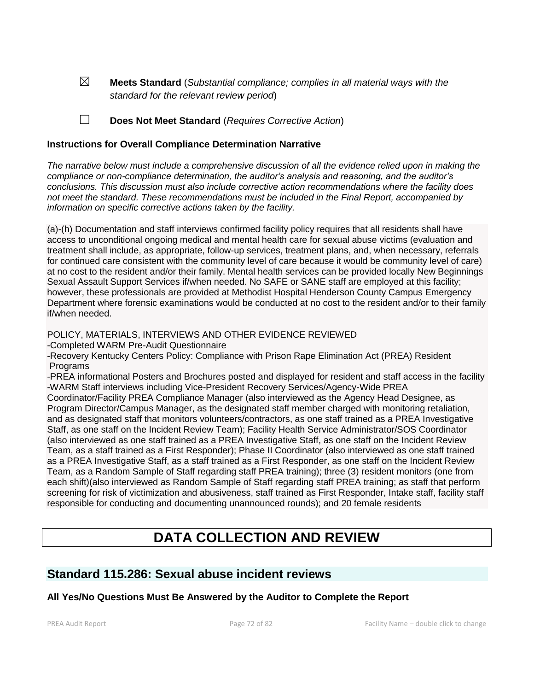☒ **Meets Standard** (*Substantial compliance; complies in all material ways with the standard for the relevant review period*)

☐ **Does Not Meet Standard** (*Requires Corrective Action*)

#### **Instructions for Overall Compliance Determination Narrative**

*The narrative below must include a comprehensive discussion of all the evidence relied upon in making the compliance or non-compliance determination, the auditor's analysis and reasoning, and the auditor's conclusions. This discussion must also include corrective action recommendations where the facility does not meet the standard. These recommendations must be included in the Final Report, accompanied by information on specific corrective actions taken by the facility.*

(a)-(h) Documentation and staff interviews confirmed facility policy requires that all residents shall have access to unconditional ongoing medical and mental health care for sexual abuse victims (evaluation and treatment shall include, as appropriate, follow-up services, treatment plans, and, when necessary, referrals for continued care consistent with the community level of care because it would be community level of care) at no cost to the resident and/or their family. Mental health services can be provided locally New Beginnings Sexual Assault Support Services if/when needed. No SAFE or SANE staff are employed at this facility; however, these professionals are provided at Methodist Hospital Henderson County Campus Emergency Department where forensic examinations would be conducted at no cost to the resident and/or to their family if/when needed.

POLICY, MATERIALS, INTERVIEWS AND OTHER EVIDENCE REVIEWED

-Completed WARM Pre-Audit Questionnaire

-Recovery Kentucky Centers Policy: Compliance with Prison Rape Elimination Act (PREA) Resident **Programs** 

-PREA informational Posters and Brochures posted and displayed for resident and staff access in the facility -WARM Staff interviews including Vice-President Recovery Services/Agency-Wide PREA

Coordinator/Facility PREA Compliance Manager (also interviewed as the Agency Head Designee, as Program Director/Campus Manager, as the designated staff member charged with monitoring retaliation, and as designated staff that monitors volunteers/contractors, as one staff trained as a PREA Investigative Staff, as one staff on the Incident Review Team); Facility Health Service Administrator/SOS Coordinator (also interviewed as one staff trained as a PREA Investigative Staff, as one staff on the Incident Review Team, as a staff trained as a First Responder); Phase II Coordinator (also interviewed as one staff trained as a PREA Investigative Staff, as a staff trained as a First Responder, as one staff on the Incident Review Team, as a Random Sample of Staff regarding staff PREA training); three (3) resident monitors (one from each shift)(also interviewed as Random Sample of Staff regarding staff PREA training; as staff that perform screening for risk of victimization and abusiveness, staff trained as First Responder, Intake staff, facility staff responsible for conducting and documenting unannounced rounds); and 20 female residents

# **DATA COLLECTION AND REVIEW**

# **Standard 115.286: Sexual abuse incident reviews**

# **All Yes/No Questions Must Be Answered by the Auditor to Complete the Report**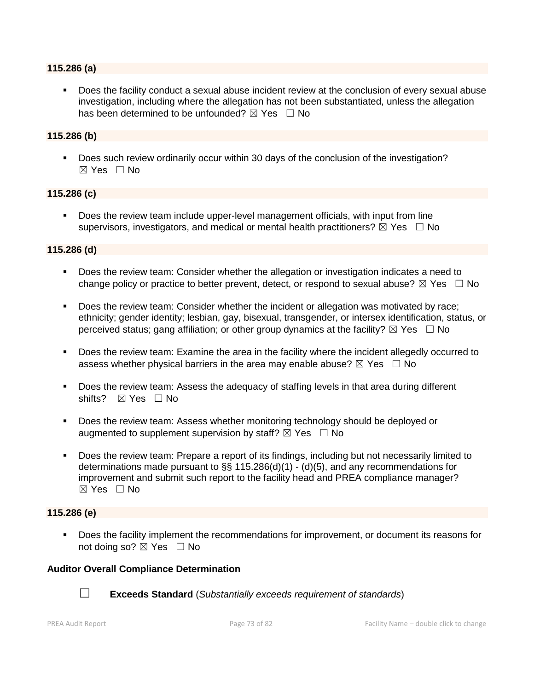#### **115.286 (a)**

Does the facility conduct a sexual abuse incident review at the conclusion of every sexual abuse investigation, including where the allegation has not been substantiated, unless the allegation has been determined to be unfounded?  $\boxtimes$  Yes  $\Box$  No

#### **115.286 (b)**

▪ Does such review ordinarily occur within 30 days of the conclusion of the investigation?  $\boxtimes$  Yes  $\Box$  No

#### **115.286 (c)**

■ Does the review team include upper-level management officials, with input from line supervisors, investigators, and medical or mental health practitioners?  $\boxtimes$  Yes  $\Box$  No

#### **115.286 (d)**

- Does the review team: Consider whether the allegation or investigation indicates a need to change policy or practice to better prevent, detect, or respond to sexual abuse?  $\boxtimes$  Yes  $\Box$  No
- Does the review team: Consider whether the incident or allegation was motivated by race; ethnicity; gender identity; lesbian, gay, bisexual, transgender, or intersex identification, status, or perceived status; gang affiliation; or other group dynamics at the facility?  $\boxtimes$  Yes  $\Box$  No
- Does the review team: Examine the area in the facility where the incident allegedly occurred to assess whether physical barriers in the area may enable abuse?  $\boxtimes$  Yes  $\Box$  No
- Does the review team: Assess the adequacy of staffing levels in that area during different shifts? ⊠ Yes □ No
- Does the review team: Assess whether monitoring technology should be deployed or augmented to supplement supervision by staff?  $\boxtimes$  Yes  $\Box$  No
- Does the review team: Prepare a report of its findings, including but not necessarily limited to determinations made pursuant to §§ 115.286(d)(1) - (d)(5), and any recommendations for improvement and submit such report to the facility head and PREA compliance manager? ☒ Yes ☐ No

#### **115.286 (e)**

▪ Does the facility implement the recommendations for improvement, or document its reasons for not doing so?  $\boxtimes$  Yes  $\Box$  No

#### **Auditor Overall Compliance Determination**



☐ **Exceeds Standard** (*Substantially exceeds requirement of standards*)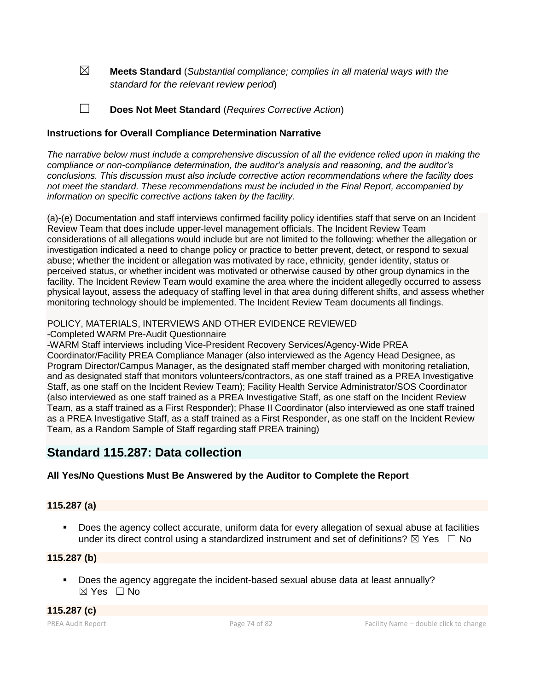☒ **Meets Standard** (*Substantial compliance; complies in all material ways with the standard for the relevant review period*)

☐ **Does Not Meet Standard** (*Requires Corrective Action*)

#### **Instructions for Overall Compliance Determination Narrative**

*The narrative below must include a comprehensive discussion of all the evidence relied upon in making the compliance or non-compliance determination, the auditor's analysis and reasoning, and the auditor's conclusions. This discussion must also include corrective action recommendations where the facility does not meet the standard. These recommendations must be included in the Final Report, accompanied by information on specific corrective actions taken by the facility.*

(a)-(e) Documentation and staff interviews confirmed facility policy identifies staff that serve on an Incident Review Team that does include upper-level management officials. The Incident Review Team considerations of all allegations would include but are not limited to the following: whether the allegation or investigation indicated a need to change policy or practice to better prevent, detect, or respond to sexual abuse; whether the incident or allegation was motivated by race, ethnicity, gender identity, status or perceived status, or whether incident was motivated or otherwise caused by other group dynamics in the facility. The Incident Review Team would examine the area where the incident allegedly occurred to assess physical layout, assess the adequacy of staffing level in that area during different shifts, and assess whether monitoring technology should be implemented. The Incident Review Team documents all findings.

#### POLICY, MATERIALS, INTERVIEWS AND OTHER EVIDENCE REVIEWED

-Completed WARM Pre-Audit Questionnaire

-WARM Staff interviews including Vice-President Recovery Services/Agency-Wide PREA Coordinator/Facility PREA Compliance Manager (also interviewed as the Agency Head Designee, as Program Director/Campus Manager, as the designated staff member charged with monitoring retaliation, and as designated staff that monitors volunteers/contractors, as one staff trained as a PREA Investigative Staff, as one staff on the Incident Review Team); Facility Health Service Administrator/SOS Coordinator (also interviewed as one staff trained as a PREA Investigative Staff, as one staff on the Incident Review Team, as a staff trained as a First Responder); Phase II Coordinator (also interviewed as one staff trained as a PREA Investigative Staff, as a staff trained as a First Responder, as one staff on the Incident Review Team, as a Random Sample of Staff regarding staff PREA training)

## **Standard 115.287: Data collection**

## **All Yes/No Questions Must Be Answered by the Auditor to Complete the Report**

#### **115.287 (a)**

■ Does the agency collect accurate, uniform data for every allegation of sexual abuse at facilities under its direct control using a standardized instrument and set of definitions?  $\boxtimes$  Yes  $\Box$  No

#### **115.287 (b)**

▪ Does the agency aggregate the incident-based sexual abuse data at least annually? ☒ Yes ☐ No

**115.287 (c)**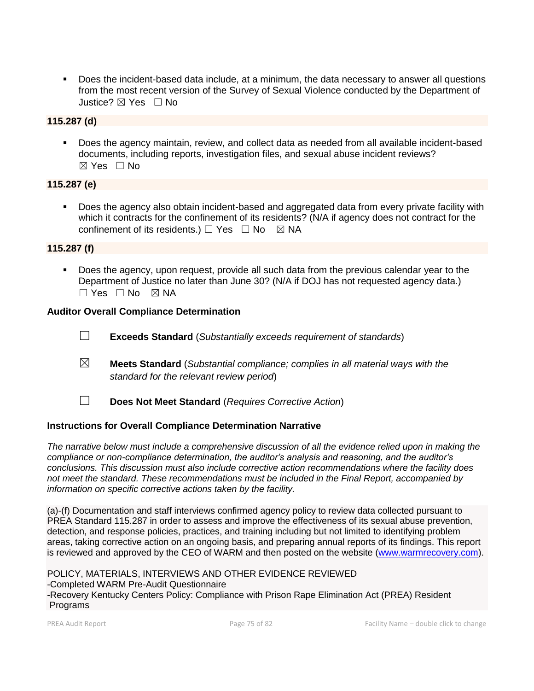■ Does the incident-based data include, at a minimum, the data necessary to answer all questions from the most recent version of the Survey of Sexual Violence conducted by the Department of Justice? ☒ Yes ☐ No

## **115.287 (d)**

▪ Does the agency maintain, review, and collect data as needed from all available incident-based documents, including reports, investigation files, and sexual abuse incident reviews?  $\boxtimes$  Yes  $\Box$  No

## **115.287 (e)**

▪ Does the agency also obtain incident-based and aggregated data from every private facility with which it contracts for the confinement of its residents? (N/A if agency does not contract for the confinement of its residents.)  $\Box$  Yes  $\Box$  No  $\boxtimes$  NA

## **115.287 (f)**

▪ Does the agency, upon request, provide all such data from the previous calendar year to the Department of Justice no later than June 30? (N/A if DOJ has not requested agency data.)  $\Box$  Yes  $\Box$  No  $\boxtimes$  NA

## **Auditor Overall Compliance Determination**

- ☐ **Exceeds Standard** (*Substantially exceeds requirement of standards*)
- ☒ **Meets Standard** (*Substantial compliance; complies in all material ways with the standard for the relevant review period*)
- ☐ **Does Not Meet Standard** (*Requires Corrective Action*)

## **Instructions for Overall Compliance Determination Narrative**

*The narrative below must include a comprehensive discussion of all the evidence relied upon in making the compliance or non-compliance determination, the auditor's analysis and reasoning, and the auditor's conclusions. This discussion must also include corrective action recommendations where the facility does not meet the standard. These recommendations must be included in the Final Report, accompanied by information on specific corrective actions taken by the facility.*

(a)-(f) Documentation and staff interviews confirmed agency policy to review data collected pursuant to PREA Standard 115.287 in order to assess and improve the effectiveness of its sexual abuse prevention, detection, and response policies, practices, and training including but not limited to identifying problem areas, taking corrective action on an ongoing basis, and preparing annual reports of its findings. This report is reviewed and approved by the CEO of WARM and then posted on the website [\(www.warmrecovery.com\)](http://www.warmrecovery.com/).

POLICY, MATERIALS, INTERVIEWS AND OTHER EVIDENCE REVIEWED -Completed WARM Pre-Audit Questionnaire -Recovery Kentucky Centers Policy: Compliance with Prison Rape Elimination Act (PREA) Resident Programs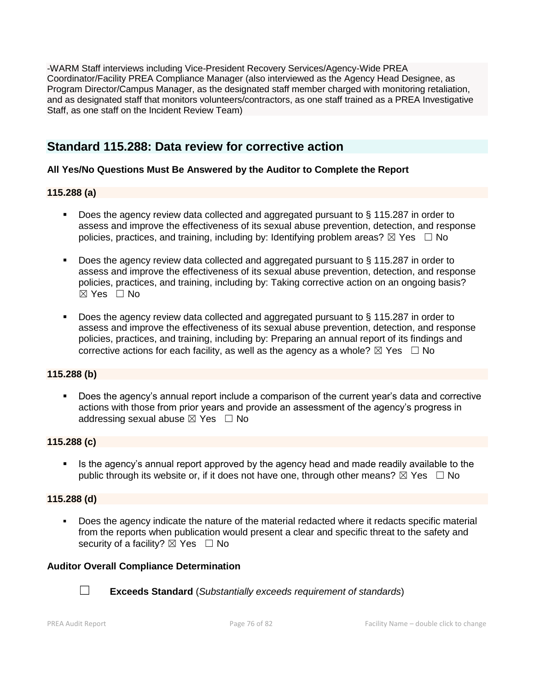-WARM Staff interviews including Vice-President Recovery Services/Agency-Wide PREA Coordinator/Facility PREA Compliance Manager (also interviewed as the Agency Head Designee, as Program Director/Campus Manager, as the designated staff member charged with monitoring retaliation, and as designated staff that monitors volunteers/contractors, as one staff trained as a PREA Investigative Staff, as one staff on the Incident Review Team)

## **Standard 115.288: Data review for corrective action**

## **All Yes/No Questions Must Be Answered by the Auditor to Complete the Report**

## **115.288 (a)**

- Does the agency review data collected and aggregated pursuant to § 115.287 in order to assess and improve the effectiveness of its sexual abuse prevention, detection, and response policies, practices, and training, including by: Identifying problem areas?  $\boxtimes$  Yes  $\Box$  No
- Does the agency review data collected and aggregated pursuant to § 115.287 in order to assess and improve the effectiveness of its sexual abuse prevention, detection, and response policies, practices, and training, including by: Taking corrective action on an ongoing basis? ☒ Yes ☐ No
- Does the agency review data collected and aggregated pursuant to § 115.287 in order to assess and improve the effectiveness of its sexual abuse prevention, detection, and response policies, practices, and training, including by: Preparing an annual report of its findings and corrective actions for each facility, as well as the agency as a whole?  $\boxtimes$  Yes  $\Box$  No

## **115.288 (b)**

Does the agency's annual report include a comparison of the current year's data and corrective actions with those from prior years and provide an assessment of the agency's progress in addressing sexual abuse  $\boxtimes$  Yes  $\Box$  No

## **115.288 (c)**

**EXTE:** Is the agency's annual report approved by the agency head and made readily available to the public through its website or, if it does not have one, through other means?  $\boxtimes$  Yes  $\Box$  No

## **115.288 (d)**

▪ Does the agency indicate the nature of the material redacted where it redacts specific material from the reports when publication would present a clear and specific threat to the safety and security of a facility?  $\boxtimes$  Yes  $\Box$  No

## **Auditor Overall Compliance Determination**



☐ **Exceeds Standard** (*Substantially exceeds requirement of standards*)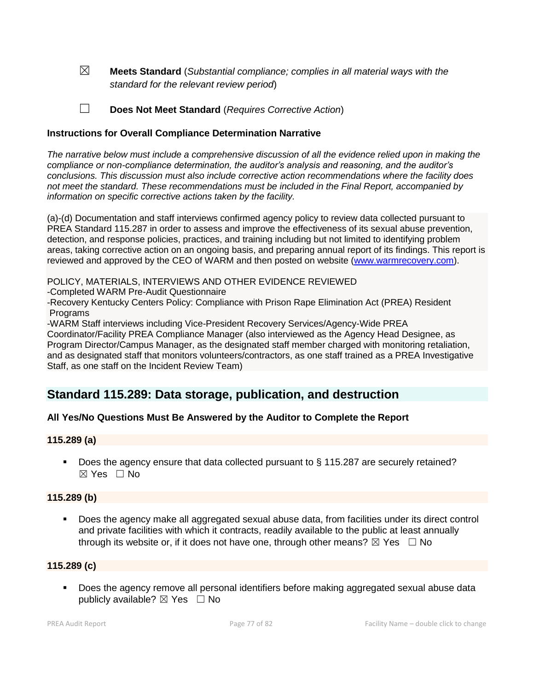☒ **Meets Standard** (*Substantial compliance; complies in all material ways with the standard for the relevant review period*)

☐ **Does Not Meet Standard** (*Requires Corrective Action*)

#### **Instructions for Overall Compliance Determination Narrative**

*The narrative below must include a comprehensive discussion of all the evidence relied upon in making the compliance or non-compliance determination, the auditor's analysis and reasoning, and the auditor's conclusions. This discussion must also include corrective action recommendations where the facility does not meet the standard. These recommendations must be included in the Final Report, accompanied by information on specific corrective actions taken by the facility.*

(a)-(d) Documentation and staff interviews confirmed agency policy to review data collected pursuant to PREA Standard 115.287 in order to assess and improve the effectiveness of its sexual abuse prevention, detection, and response policies, practices, and training including but not limited to identifying problem areas, taking corrective action on an ongoing basis, and preparing annual report of its findings. This report is reviewed and approved by the CEO of WARM and then posted on website [\(www.warmrecovery.com\)](http://www.warmrecovery.com/).

POLICY, MATERIALS, INTERVIEWS AND OTHER EVIDENCE REVIEWED

-Completed WARM Pre-Audit Questionnaire

-Recovery Kentucky Centers Policy: Compliance with Prison Rape Elimination Act (PREA) Resident **Programs** 

-WARM Staff interviews including Vice-President Recovery Services/Agency-Wide PREA

Coordinator/Facility PREA Compliance Manager (also interviewed as the Agency Head Designee, as Program Director/Campus Manager, as the designated staff member charged with monitoring retaliation, and as designated staff that monitors volunteers/contractors, as one staff trained as a PREA Investigative Staff, as one staff on the Incident Review Team)

## **Standard 115.289: Data storage, publication, and destruction**

## **All Yes/No Questions Must Be Answered by the Auditor to Complete the Report**

#### **115.289 (a)**

■ Does the agency ensure that data collected pursuant to § 115.287 are securely retained?  $\boxtimes$  Yes  $\Box$  No

## **115.289 (b)**

▪ Does the agency make all aggregated sexual abuse data, from facilities under its direct control and private facilities with which it contracts, readily available to the public at least annually through its website or, if it does not have one, through other means?  $\boxtimes$  Yes  $\Box$  No

#### **115.289 (c)**

Does the agency remove all personal identifiers before making aggregated sexual abuse data publicly available?  $\boxtimes$  Yes  $\Box$  No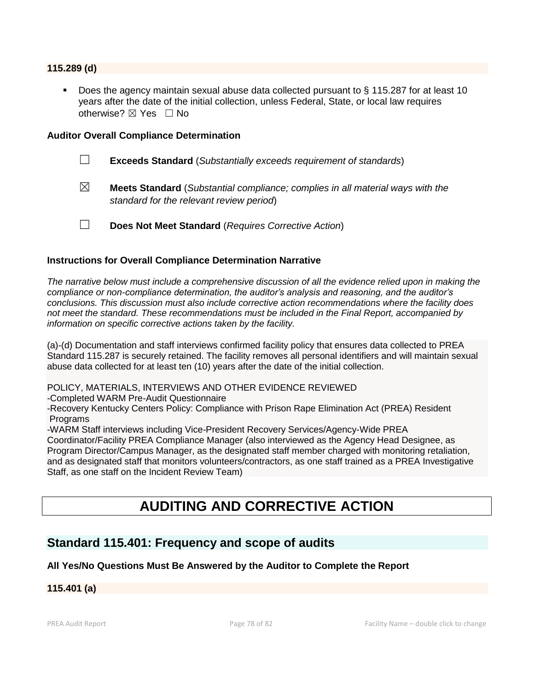#### **115.289 (d)**

Does the agency maintain sexual abuse data collected pursuant to  $\S$  115.287 for at least 10 years after the date of the initial collection, unless Federal, State, or local law requires otherwise?  $\boxtimes$  Yes  $\Box$  No

#### **Auditor Overall Compliance Determination**

- ☐ **Exceeds Standard** (*Substantially exceeds requirement of standards*)
- ☒ **Meets Standard** (*Substantial compliance; complies in all material ways with the standard for the relevant review period*)
- ☐ **Does Not Meet Standard** (*Requires Corrective Action*)

#### **Instructions for Overall Compliance Determination Narrative**

*The narrative below must include a comprehensive discussion of all the evidence relied upon in making the compliance or non-compliance determination, the auditor's analysis and reasoning, and the auditor's conclusions. This discussion must also include corrective action recommendations where the facility does not meet the standard. These recommendations must be included in the Final Report, accompanied by information on specific corrective actions taken by the facility.*

(a)-(d) Documentation and staff interviews confirmed facility policy that ensures data collected to PREA Standard 115.287 is securely retained. The facility removes all personal identifiers and will maintain sexual abuse data collected for at least ten (10) years after the date of the initial collection.

POLICY, MATERIALS, INTERVIEWS AND OTHER EVIDENCE REVIEWED

-Completed WARM Pre-Audit Questionnaire

-Recovery Kentucky Centers Policy: Compliance with Prison Rape Elimination Act (PREA) Resident **Programs** 

-WARM Staff interviews including Vice-President Recovery Services/Agency-Wide PREA

Coordinator/Facility PREA Compliance Manager (also interviewed as the Agency Head Designee, as Program Director/Campus Manager, as the designated staff member charged with monitoring retaliation, and as designated staff that monitors volunteers/contractors, as one staff trained as a PREA Investigative Staff, as one staff on the Incident Review Team)

# **AUDITING AND CORRECTIVE ACTION**

## **Standard 115.401: Frequency and scope of audits**

#### **All Yes/No Questions Must Be Answered by the Auditor to Complete the Report**

**115.401 (a)**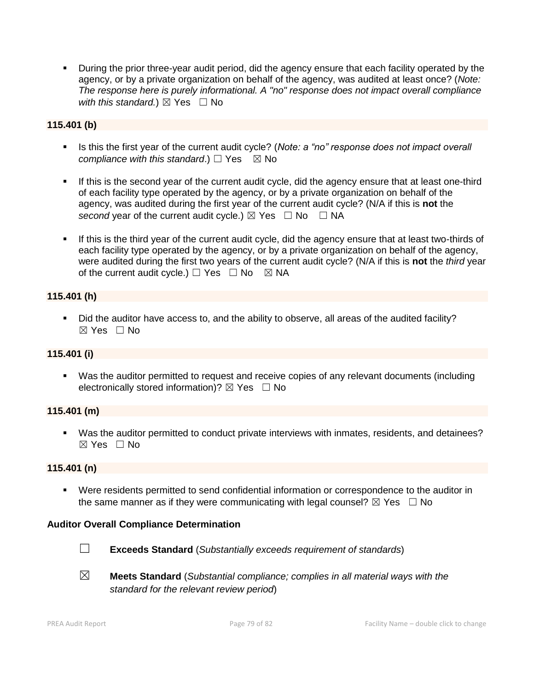▪ During the prior three-year audit period, did the agency ensure that each facility operated by the agency, or by a private organization on behalf of the agency, was audited at least once? (*Note: The response here is purely informational. A "no" response does not impact overall compliance with this standard.*)  $\boxtimes$  Yes  $\Box$  No

#### **115.401 (b)**

- Is this the first year of the current audit cycle? (*Note: a "no" response does not impact overall compliance with this standard.*) □ Yes  $\boxtimes$  No
- **.** If this is the second year of the current audit cycle, did the agency ensure that at least one-third of each facility type operated by the agency, or by a private organization on behalf of the agency, was audited during the first year of the current audit cycle? (N/A if this is **not** the *second* year of the current audit cycle.)  $\boxtimes$  Yes  $\Box$  No  $\Box$  NA
- If this is the third year of the current audit cycle, did the agency ensure that at least two-thirds of each facility type operated by the agency, or by a private organization on behalf of the agency, were audited during the first two years of the current audit cycle? (N/A if this is **not** the *third* year of the current audit cycle.)  $\Box$  Yes  $\Box$  No  $\boxtimes$  NA

#### **115.401 (h)**

▪ Did the auditor have access to, and the ability to observe, all areas of the audited facility?  $\boxtimes$  Yes  $\Box$  No

#### **115.401 (i)**

▪ Was the auditor permitted to request and receive copies of any relevant documents (including electronically stored information)?  $\boxtimes$  Yes  $\Box$  No

#### **115.401 (m)**

▪ Was the auditor permitted to conduct private interviews with inmates, residents, and detainees?  $\boxtimes$  Yes  $\Box$  No

#### **115.401 (n)**

▪ Were residents permitted to send confidential information or correspondence to the auditor in the same manner as if they were communicating with legal counsel?  $\boxtimes$  Yes  $\Box$  No

#### **Auditor Overall Compliance Determination**



☐ **Exceeds Standard** (*Substantially exceeds requirement of standards*)

☒ **Meets Standard** (*Substantial compliance; complies in all material ways with the standard for the relevant review period*)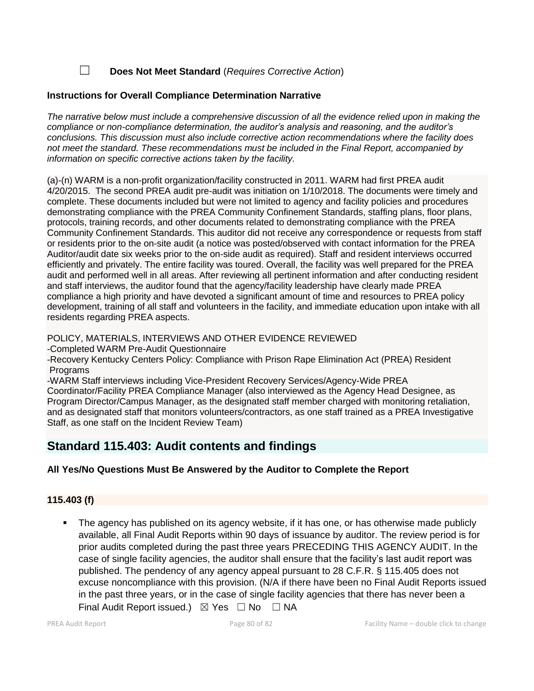☐ **Does Not Meet Standard** (*Requires Corrective Action*)

## **Instructions for Overall Compliance Determination Narrative**

*The narrative below must include a comprehensive discussion of all the evidence relied upon in making the compliance or non-compliance determination, the auditor's analysis and reasoning, and the auditor's conclusions. This discussion must also include corrective action recommendations where the facility does not meet the standard. These recommendations must be included in the Final Report, accompanied by information on specific corrective actions taken by the facility.*

(a)-(n) WARM is a non-profit organization/facility constructed in 2011. WARM had first PREA audit 4/20/2015. The second PREA audit pre-audit was initiation on 1/10/2018. The documents were timely and complete. These documents included but were not limited to agency and facility policies and procedures demonstrating compliance with the PREA Community Confinement Standards, staffing plans, floor plans, protocols, training records, and other documents related to demonstrating compliance with the PREA Community Confinement Standards. This auditor did not receive any correspondence or requests from staff or residents prior to the on-site audit (a notice was posted/observed with contact information for the PREA Auditor/audit date six weeks prior to the on-side audit as required). Staff and resident interviews occurred efficiently and privately. The entire facility was toured. Overall, the facility was well prepared for the PREA audit and performed well in all areas. After reviewing all pertinent information and after conducting resident and staff interviews, the auditor found that the agency/facility leadership have clearly made PREA compliance a high priority and have devoted a significant amount of time and resources to PREA policy development, training of all staff and volunteers in the facility, and immediate education upon intake with all residents regarding PREA aspects.

POLICY, MATERIALS, INTERVIEWS AND OTHER EVIDENCE REVIEWED

-Completed WARM Pre-Audit Questionnaire

-Recovery Kentucky Centers Policy: Compliance with Prison Rape Elimination Act (PREA) Resident Programs

-WARM Staff interviews including Vice-President Recovery Services/Agency-Wide PREA

Coordinator/Facility PREA Compliance Manager (also interviewed as the Agency Head Designee, as Program Director/Campus Manager, as the designated staff member charged with monitoring retaliation, and as designated staff that monitors volunteers/contractors, as one staff trained as a PREA Investigative Staff, as one staff on the Incident Review Team)

## **Standard 115.403: Audit contents and findings**

## **All Yes/No Questions Must Be Answered by the Auditor to Complete the Report**

## **115.403 (f)**

The agency has published on its agency website, if it has one, or has otherwise made publicly available, all Final Audit Reports within 90 days of issuance by auditor. The review period is for prior audits completed during the past three years PRECEDING THIS AGENCY AUDIT. In the case of single facility agencies, the auditor shall ensure that the facility's last audit report was published. The pendency of any agency appeal pursuant to 28 C.F.R. § 115.405 does not excuse noncompliance with this provision. (N/A if there have been no Final Audit Reports issued in the past three years, or in the case of single facility agencies that there has never been a Final Audit Report issued.)  $\boxtimes$  Yes  $\Box$  No  $\Box$  NA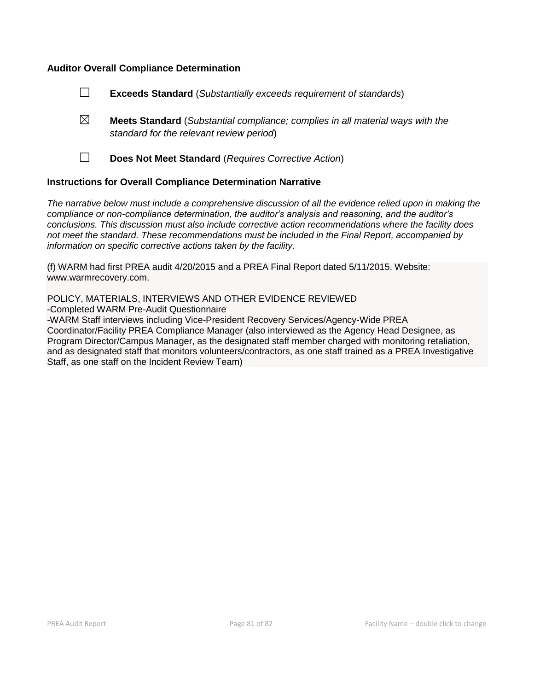#### **Auditor Overall Compliance Determination**

- ☐ **Exceeds Standard** (*Substantially exceeds requirement of standards*)
- ☒ **Meets Standard** (*Substantial compliance; complies in all material ways with the standard for the relevant review period*)
- 

☐ **Does Not Meet Standard** (*Requires Corrective Action*)

#### **Instructions for Overall Compliance Determination Narrative**

*The narrative below must include a comprehensive discussion of all the evidence relied upon in making the compliance or non-compliance determination, the auditor's analysis and reasoning, and the auditor's conclusions. This discussion must also include corrective action recommendations where the facility does not meet the standard. These recommendations must be included in the Final Report, accompanied by information on specific corrective actions taken by the facility.*

(f) WARM had first PREA audit 4/20/2015 and a PREA Final Report dated 5/11/2015. Website: www.warmrecovery.com.

POLICY, MATERIALS, INTERVIEWS AND OTHER EVIDENCE REVIEWED -Completed WARM Pre-Audit Questionnaire

-WARM Staff interviews including Vice-President Recovery Services/Agency-Wide PREA Coordinator/Facility PREA Compliance Manager (also interviewed as the Agency Head Designee, as Program Director/Campus Manager, as the designated staff member charged with monitoring retaliation, and as designated staff that monitors volunteers/contractors, as one staff trained as a PREA Investigative Staff, as one staff on the Incident Review Team)